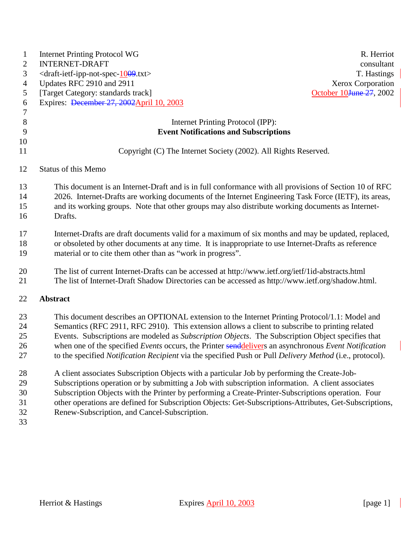| $\mathbf{1}$<br>$\overline{c}$<br>3<br>$\overline{4}$<br>5<br>6<br>$\overline{7}$ | <b>Internet Printing Protocol WG</b><br>R. Herriot<br><b>INTERNET-DRAFT</b><br>consultant<br><draft-ietf-ipp-not-spec-1009.txt><br/>T. Hastings<br/>Updates RFC 2910 and 2911<br/>Xerox Corporation<br/>[Target Category: standards track]<br/>October 10<del>June 27</del>, 2002<br/>Expires: December 27, 2002 April 10, 2003</draft-ietf-ipp-not-spec-1009.txt>                                                                                                                                                                                                                                                                                                                                                                                                                                                                                                                                                                                                                               |
|-----------------------------------------------------------------------------------|--------------------------------------------------------------------------------------------------------------------------------------------------------------------------------------------------------------------------------------------------------------------------------------------------------------------------------------------------------------------------------------------------------------------------------------------------------------------------------------------------------------------------------------------------------------------------------------------------------------------------------------------------------------------------------------------------------------------------------------------------------------------------------------------------------------------------------------------------------------------------------------------------------------------------------------------------------------------------------------------------|
| $8\,$                                                                             | Internet Printing Protocol (IPP):                                                                                                                                                                                                                                                                                                                                                                                                                                                                                                                                                                                                                                                                                                                                                                                                                                                                                                                                                                |
| 9<br>10                                                                           | <b>Event Notifications and Subscriptions</b>                                                                                                                                                                                                                                                                                                                                                                                                                                                                                                                                                                                                                                                                                                                                                                                                                                                                                                                                                     |
| 11                                                                                | Copyright (C) The Internet Society (2002). All Rights Reserved.                                                                                                                                                                                                                                                                                                                                                                                                                                                                                                                                                                                                                                                                                                                                                                                                                                                                                                                                  |
| 12                                                                                | <b>Status of this Memo</b>                                                                                                                                                                                                                                                                                                                                                                                                                                                                                                                                                                                                                                                                                                                                                                                                                                                                                                                                                                       |
| 13<br>14<br>15<br>16                                                              | This document is an Internet-Draft and is in full conformance with all provisions of Section 10 of RFC<br>2026. Internet-Drafts are working documents of the Internet Engineering Task Force (IETF), its areas,<br>and its working groups. Note that other groups may also distribute working documents as Internet-<br>Drafts.                                                                                                                                                                                                                                                                                                                                                                                                                                                                                                                                                                                                                                                                  |
| 17<br>18<br>19                                                                    | Internet-Drafts are draft documents valid for a maximum of six months and may be updated, replaced,<br>or obsoleted by other documents at any time. It is inappropriate to use Internet-Drafts as reference<br>material or to cite them other than as "work in progress".                                                                                                                                                                                                                                                                                                                                                                                                                                                                                                                                                                                                                                                                                                                        |
| 20<br>21                                                                          | The list of current Internet-Drafts can be accessed at http://www.ietf.org/ietf/1id-abstracts.html<br>The list of Internet-Draft Shadow Directories can be accessed as http://www.ietf.org/shadow.html.                                                                                                                                                                                                                                                                                                                                                                                                                                                                                                                                                                                                                                                                                                                                                                                          |
| 22                                                                                | <b>Abstract</b>                                                                                                                                                                                                                                                                                                                                                                                                                                                                                                                                                                                                                                                                                                                                                                                                                                                                                                                                                                                  |
| 23<br>24<br>25<br>26<br>27<br>28<br>29<br>30<br>31<br>32<br>33                    | This document describes an OPTIONAL extension to the Internet Printing Protocol/1.1: Model and<br>Semantics (RFC 2911, RFC 2910). This extension allows a client to subscribe to printing related<br>Events. Subscriptions are modeled as Subscription Objects. The Subscription Object specifies that<br>when one of the specified Events occurs, the Printer senddelivers an asynchronous Event Notification<br>to the specified Notification Recipient via the specified Push or Pull Delivery Method (i.e., protocol).<br>A client associates Subscription Objects with a particular Job by performing the Create-Job-<br>Subscriptions operation or by submitting a Job with subscription information. A client associates<br>Subscription Objects with the Printer by performing a Create-Printer-Subscriptions operation. Four<br>other operations are defined for Subscription Objects: Get-Subscriptions-Attributes, Get-Subscriptions,<br>Renew-Subscription, and Cancel-Subscription. |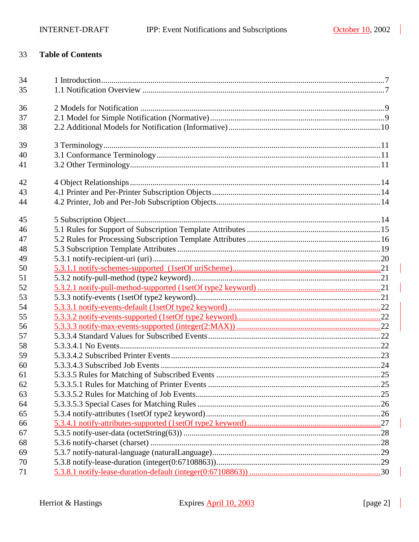#### 33 **Table of Contents**

| 34 |  |
|----|--|
| 35 |  |
| 36 |  |
| 37 |  |
| 38 |  |
| 39 |  |
| 40 |  |
| 41 |  |
| 42 |  |
| 43 |  |
| 44 |  |
| 45 |  |
| 46 |  |
| 47 |  |
| 48 |  |
| 49 |  |
| 50 |  |
| 51 |  |
| 52 |  |
| 53 |  |
| 54 |  |
| 55 |  |
| 56 |  |
| 57 |  |
| 58 |  |
| 59 |  |
| 60 |  |
| 61 |  |
| 62 |  |
| 63 |  |
| 64 |  |
| 65 |  |
| 66 |  |
| 67 |  |
| 68 |  |
| 69 |  |
| 70 |  |
| 71 |  |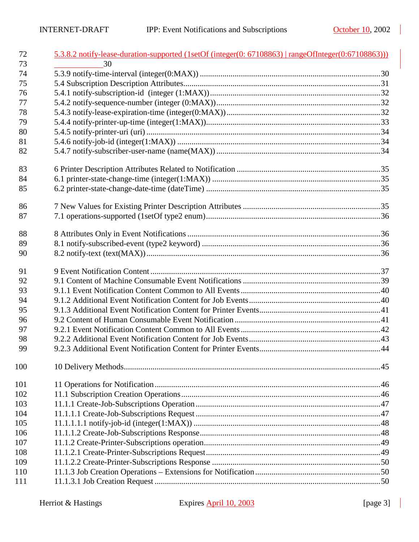| 72       | 5.3.8.2 notify-lease-duration-supported (1setOf (integer(0: 67108863)   rangeOfInteger(0:67108863))) |  |
|----------|------------------------------------------------------------------------------------------------------|--|
| 73       | 30                                                                                                   |  |
| 74       |                                                                                                      |  |
| 75       |                                                                                                      |  |
| 76       |                                                                                                      |  |
| 77       |                                                                                                      |  |
| 78       |                                                                                                      |  |
| 79       |                                                                                                      |  |
| 80       |                                                                                                      |  |
| 81<br>82 |                                                                                                      |  |
|          |                                                                                                      |  |
| 83       |                                                                                                      |  |
| 84       |                                                                                                      |  |
| 85       |                                                                                                      |  |
| 86       |                                                                                                      |  |
| 87       |                                                                                                      |  |
|          |                                                                                                      |  |
| 88       |                                                                                                      |  |
| 89       |                                                                                                      |  |
| 90       |                                                                                                      |  |
| 91       |                                                                                                      |  |
| 92       |                                                                                                      |  |
| 93       |                                                                                                      |  |
| 94       |                                                                                                      |  |
| 95       |                                                                                                      |  |
| 96       |                                                                                                      |  |
| 97       |                                                                                                      |  |
| 98       |                                                                                                      |  |
| 99       |                                                                                                      |  |
| 100      |                                                                                                      |  |
| 101      |                                                                                                      |  |
| 102      |                                                                                                      |  |
| 103      |                                                                                                      |  |
| 104      |                                                                                                      |  |
| 105      |                                                                                                      |  |
| 106      |                                                                                                      |  |
| 107      |                                                                                                      |  |
| 108      |                                                                                                      |  |
| 109      |                                                                                                      |  |
| 110      |                                                                                                      |  |
| 111      |                                                                                                      |  |

 $\mathbb{R}$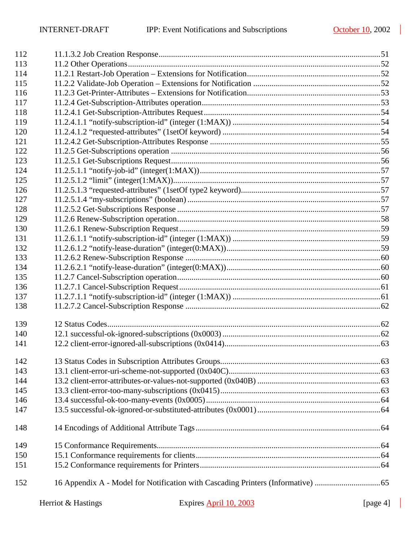$\blacksquare$ 

| 112 |                    |                        |             |  |
|-----|--------------------|------------------------|-------------|--|
| 113 |                    |                        |             |  |
| 114 |                    |                        |             |  |
| 115 |                    |                        |             |  |
| 116 |                    |                        |             |  |
| 117 |                    |                        |             |  |
| 118 |                    |                        |             |  |
| 119 |                    |                        |             |  |
| 120 |                    |                        |             |  |
| 121 |                    |                        |             |  |
| 122 |                    |                        |             |  |
| 123 |                    |                        |             |  |
| 124 |                    |                        |             |  |
| 125 |                    |                        |             |  |
| 126 |                    |                        |             |  |
| 127 |                    |                        |             |  |
| 128 |                    |                        |             |  |
| 129 |                    |                        |             |  |
| 130 |                    |                        |             |  |
| 131 |                    |                        |             |  |
| 132 |                    |                        |             |  |
| 133 |                    |                        |             |  |
| 134 |                    |                        |             |  |
| 135 |                    |                        |             |  |
| 136 |                    |                        |             |  |
| 137 |                    |                        |             |  |
| 138 |                    |                        |             |  |
| 139 |                    |                        |             |  |
| 140 |                    |                        |             |  |
| 141 |                    |                        |             |  |
| 142 |                    |                        |             |  |
| 143 |                    |                        |             |  |
| 144 |                    |                        |             |  |
| 145 |                    |                        |             |  |
| 146 |                    |                        |             |  |
| 147 |                    |                        |             |  |
| 148 |                    |                        |             |  |
| 149 |                    |                        |             |  |
| 150 |                    |                        |             |  |
| 151 |                    |                        |             |  |
| 152 |                    |                        |             |  |
|     | Herriot & Hastings | Expires April 10, 2003 | [page $4$ ] |  |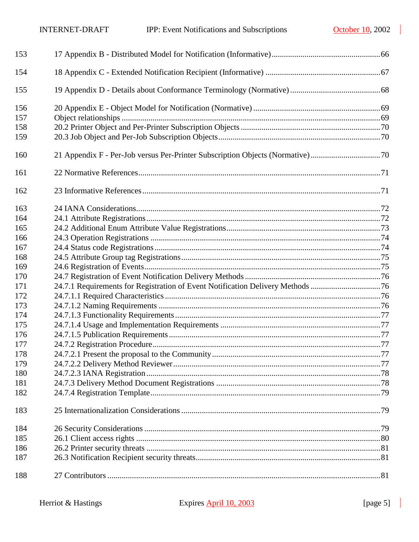| 153 |                                                                                |  |
|-----|--------------------------------------------------------------------------------|--|
| 154 |                                                                                |  |
| 155 |                                                                                |  |
| 156 |                                                                                |  |
| 157 |                                                                                |  |
| 158 |                                                                                |  |
| 159 |                                                                                |  |
| 160 | 21 Appendix F - Per-Job versus Per-Printer Subscription Objects (Normative)70  |  |
| 161 |                                                                                |  |
| 162 |                                                                                |  |
| 163 |                                                                                |  |
| 164 |                                                                                |  |
| 165 |                                                                                |  |
| 166 |                                                                                |  |
| 167 |                                                                                |  |
| 168 |                                                                                |  |
| 169 |                                                                                |  |
| 170 |                                                                                |  |
| 171 | 24.7.1 Requirements for Registration of Event Notification Delivery Methods 76 |  |
| 172 |                                                                                |  |
| 173 |                                                                                |  |
| 174 |                                                                                |  |
| 175 |                                                                                |  |
| 176 |                                                                                |  |
| 177 |                                                                                |  |
| 178 |                                                                                |  |
| 179 |                                                                                |  |
| 180 |                                                                                |  |
| 181 |                                                                                |  |
| 182 |                                                                                |  |
| 183 |                                                                                |  |
| 184 |                                                                                |  |
| 185 |                                                                                |  |
| 186 |                                                                                |  |
| 187 |                                                                                |  |
| 188 |                                                                                |  |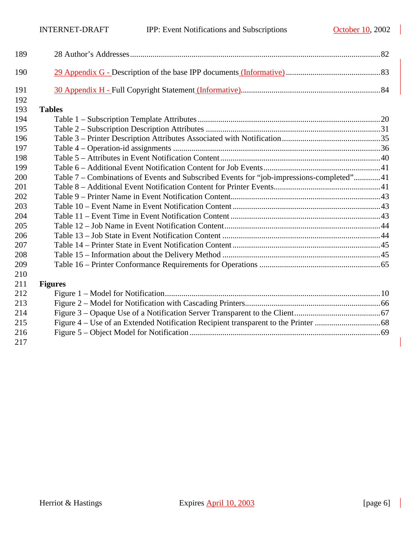$\mathbb{R}^2$ 

| 189 |                                                                                          |  |
|-----|------------------------------------------------------------------------------------------|--|
| 190 |                                                                                          |  |
| 191 |                                                                                          |  |
| 192 |                                                                                          |  |
| 193 | <b>Tables</b>                                                                            |  |
| 194 |                                                                                          |  |
| 195 |                                                                                          |  |
| 196 |                                                                                          |  |
| 197 |                                                                                          |  |
| 198 |                                                                                          |  |
| 199 |                                                                                          |  |
| 200 | Table 7 – Combinations of Events and Subscribed Events for "job-impressions-completed"41 |  |
| 201 |                                                                                          |  |
| 202 |                                                                                          |  |
| 203 |                                                                                          |  |
| 204 |                                                                                          |  |
| 205 |                                                                                          |  |
| 206 |                                                                                          |  |
| 207 |                                                                                          |  |
| 208 |                                                                                          |  |
| 209 |                                                                                          |  |
| 210 |                                                                                          |  |
| 211 | <b>Figures</b>                                                                           |  |
| 212 |                                                                                          |  |
| 213 |                                                                                          |  |
| 214 |                                                                                          |  |
| 215 |                                                                                          |  |
| 216 |                                                                                          |  |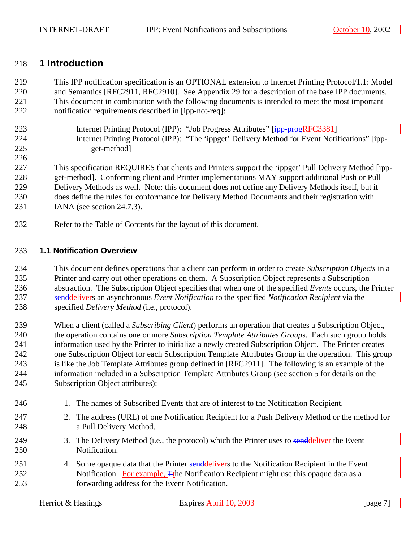#### <span id="page-6-0"></span>218 **1 Introduction**

219 This IPP notification specification is an OPTIONAL extension to Internet Printing Protocol/1.1: Model 220 and Semantics [RFC2911, RFC2910]. See Appendix [29](#page-82-0) for a description of the base IPP documents. 221 This document in combination with the following documents is intended to meet the most important 222 notification requirements described in [ipp-not-req]:

223 Internet Printing Protocol (IPP): "Job Progress Attributes" [ipp-progRFC3381] 224 Internet Printing Protocol (IPP): "The 'ippget' Delivery Method for Event Notifications" [ipp-225 get-method]

226

227 This specification REQUIRES that clients and Printers support the 'ippget' Pull Delivery Method [ipp-228 get-method]. Conforming client and Printer implementations MAY support additional Push or Pull 229 Delivery Methods as well. Note: this document does not define any Delivery Methods itself, but it 230 does define the rules for conformance for Delivery Method Documents and their registration with 231 IANA (see section [24.7.3\)](#page-77-0).

232 Refer to the Table of Contents for the layout of this document.

#### 233 **1.1 Notification Overview**

234 This document defines operations that a client can perform in order to create *Subscription Objects* in a 235 Printer and carry out other operations on them. A Subscription Object represents a Subscription 236 abstraction. The Subscription Object specifies that when one of the specified *Events* occurs, the Printer 237 senddelivers an asynchronous *Event Notification* to the specified *Notification Recipient* via the 238 specified *Delivery Method* (i.e., protocol).

239 When a client (called a *Subscribing Client*) performs an operation that creates a Subscription Object, 240 the operation contains one or more *Subscription Template Attributes Group*s. Each such group holds 241 information used by the Printer to initialize a newly created Subscription Object. The Printer creates 242 one Subscription Object for each Subscription Template Attributes Group in the operation. This group 243 is like the Job Template Attributes group defined in [RFC2911]. The following is an example of the 244 information included in a Subscription Template Attributes Group (see section [5](#page-13-0) for details on the 245 Subscription Object attributes):

- 246 1. The names of Subscribed Events that are of interest to the Notification Recipient.
- 247 2. The address (URL) of one Notification Recipient for a Push Delivery Method or the method for 248 a Pull Delivery Method.
- 249 3. The Delivery Method (i.e., the protocol) which the Printer uses to send deliver the Event 250 Notification.
- 251 4. Some opaque data that the Printer senddelivers to the Notification Recipient in the Event 252 Notification. For example, The Notification Recipient might use this opaque data as a 253 forwarding address for the Event Notification.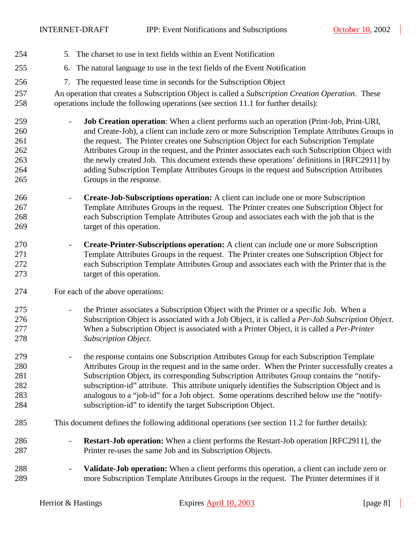- 254 5. The charset to use in text fields within an Event Notification
- 255 6. The natural language to use in the text fields of the Event Notification
- 256 7. The requested lease time in seconds for the Subscription Object
- 257 An operation that creates a Subscription Object is called a *Subscription Creation Operation*. These 258 operations include the following operations (see section [11.1](#page-45-0) for further details):
- 259 **Job Creation operation**: When a client performs such an operation (Print-Job, Print-URI, 260 and Create-Job), a client can include zero or more Subscription Template Attributes Groups in 261 the request. The Printer creates one Subscription Object for each Subscription Template 262 Attributes Group in the request, and the Printer associates each such Subscription Object with 263 the newly created Job. This document extends these operations' definitions in [RFC2911] by 264 adding Subscription Template Attributes Groups in the request and Subscription Attributes 265 Groups in the response.
- 266 **Create-Job-Subscriptions operation:** A client can include one or more Subscription 267 Template Attributes Groups in the request. The Printer creates one Subscription Object for 268 each Subscription Template Attributes Group and associates each with the job that is the 269 target of this operation.
- 270 **Create-Printer-Subscriptions operation:** A client can include one or more Subscription 271 Template Attributes Groups in the request. The Printer creates one Subscription Object for 272 each Subscription Template Attributes Group and associates each with the Printer that is the 273 target of this operation.
- 274 For each of the above operations:
- 275 the Printer associates a Subscription Object with the Printer or a specific Job. When a 276 Subscription Object is associated with a Job Object, it is called a *Per-Job Subscription Object*. 277 When a Subscription Object is associated with a Printer Object, it is called a *Per-Printer*  278 *Subscription Object*.
- 279 the response contains one Subscription Attributes Group for each Subscription Template 280 Attributes Group in the request and in the same order. When the Printer successfully creates a 281 Subscription Object, its corresponding Subscription Attributes Group contains the "notify-282 subscription-id" attribute. This attribute uniquely identifies the Subscription Object and is 283 analogous to a "job-id" for a Job object. Some operations described below use the "notify-284 subscription-id" to identify the target Subscription Object.
- 285 This document defines the following additional operations (see section [11.2](#page-51-0) for further details):
- 286 **Restart-Job operation:** When a client performs the Restart-Job operation [RFC2911], the 287 Printer re-uses the same Job and its Subscription Objects.
- 288 **Validate-Job operation:** When a client performs this operation, a client can include zero or 289 more Subscription Template Attributes Groups in the request. The Printer determines if it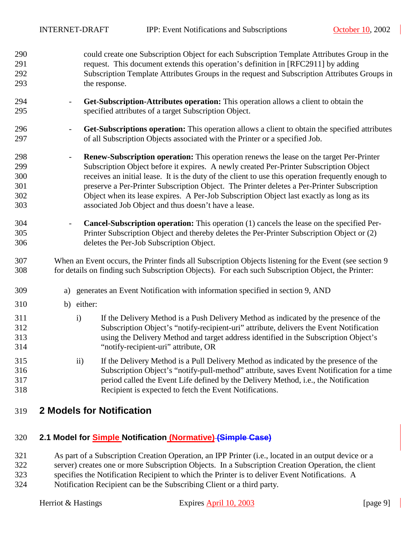- <span id="page-8-0"></span>290 could create one Subscription Object for each Subscription Template Attributes Group in the 291 request. This document extends this operation's definition in [RFC2911] by adding 292 Subscription Template Attributes Groups in the request and Subscription Attributes Groups in 293 the response.
- 294 **Get-Subscription-Attributes operation:** This operation allows a client to obtain the 295 specified attributes of a target Subscription Object.
- 296 **Get-Subscriptions operation:** This operation allows a client to obtain the specified attributes 297 of all Subscription Objects associated with the Printer or a specified Job.
- 298 **Renew-Subscription operation:** This operation renews the lease on the target Per-Printer 299 Subscription Object before it expires. A newly created Per-Printer Subscription Object 300 receives an initial lease. It is the duty of the client to use this operation frequently enough to 301 preserve a Per-Printer Subscription Object. The Printer deletes a Per-Printer Subscription 302 Object when its lease expires. A Per-Job Subscription Object last exactly as long as its 303 associated Job Object and thus doesn't have a lease.
- 304 **Cancel-Subscription operation:** This operation (1) cancels the lease on the specified Per-305 Printer Subscription Object and thereby deletes the Per-Printer Subscription Object or (2) 306 deletes the Per-Job Subscription Object.
- 307 When an Event occurs, the Printer finds all Subscription Objects listening for the Event (see section [9](#page-36-0)  308 for details on finding such Subscription Objects). For each such Subscription Object, the Printer:
- 309 a) generates an Event Notification with information specified in section [9,](#page-36-0) AND
- 310 b) either:
- 311 i) If the Delivery Method is a Push Delivery Method as indicated by the presence of the 312 Subscription Object's "notify-recipient-uri" attribute, delivers the Event Notification 313 using the Delivery Method and target address identified in the Subscription Object's 314 "notify-recipient-uri" attribute, OR
- 315 ii) If the Delivery Method is a Pull Delivery Method as indicated by the presence of the 316 Subscription Object's "notify-pull-method" attribute, saves Event Notification for a time 317 period called the Event Life defined by the Delivery Method, i.e., the Notification 318 Recipient is expected to fetch the Event Notifications.
- 319 **2 Models for Notification**

# 320 **2.1 Model for Simple Notification (Normative) (Simple Case)**

- 321 As part of a Subscription Creation Operation, an IPP Printer (i.e., located in an output device or a
- 322 server) creates one or more Subscription Objects. In a Subscription Creation Operation, the client
- 323 specifies the Notification Recipient to which the Printer is to deliver Event Notifications. A
- 324 Notification Recipient can be the Subscribing Client or a third party.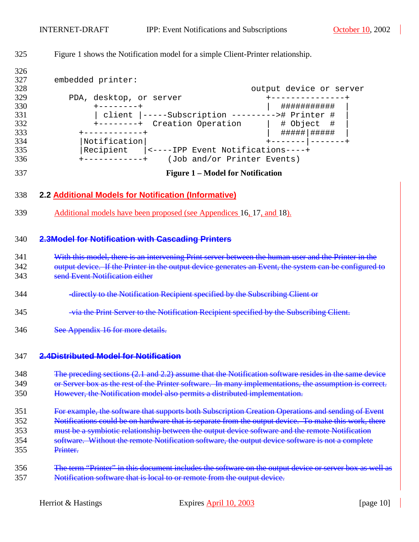$\mathcal{L}$ 

<span id="page-9-0"></span>

| 325                                                                              | Figure 1 shows the Notification model for a simple Client-Printer relationship.                                                                                                                                                                                                                                                                                                                                               |  |  |
|----------------------------------------------------------------------------------|-------------------------------------------------------------------------------------------------------------------------------------------------------------------------------------------------------------------------------------------------------------------------------------------------------------------------------------------------------------------------------------------------------------------------------|--|--|
| 326<br>327<br>328<br>329<br>330<br>331<br>332<br>333<br>334<br>335<br>336<br>337 | embedded printer:<br>output device or server<br>PDA, desktop, or server<br>  ###########<br>+--------+<br>  client  -----Subscription ---------># Printer #<br>+--------+ Creation Operation   # Object #<br>$+ - - - - - - - - - - +$<br> Notification <br>Recipient  <----IPP Event Notifications----+<br>$+$ ------------+ (Job and/or Printer Events)<br><b>Figure 1 – Model for Notification</b>                         |  |  |
| 338                                                                              | 2.2 Additional Models for Notification (Informative)                                                                                                                                                                                                                                                                                                                                                                          |  |  |
| 339                                                                              | <u>Additional models have been proposed (see Appendices 16, 17, and 18).</u>                                                                                                                                                                                                                                                                                                                                                  |  |  |
| 340                                                                              | <b>2.3Model for Notification with Cascading Printers</b>                                                                                                                                                                                                                                                                                                                                                                      |  |  |
| 341<br>342<br>343                                                                | With this model, there is an intervening Print server between the human user and the Printer in the<br>output device. If the Printer in the output device generates an Event, the system can be configured to<br>send Event Notification either                                                                                                                                                                               |  |  |
| 344                                                                              | -directly to the Notification Recipient specified by the Subscribing Client or                                                                                                                                                                                                                                                                                                                                                |  |  |
| 345                                                                              | -via the Print Server to the Notification Recipient specified by the Subscribing Client.                                                                                                                                                                                                                                                                                                                                      |  |  |
| 346                                                                              | See Appendix 16 for more details.                                                                                                                                                                                                                                                                                                                                                                                             |  |  |
| 347                                                                              | 2.4Distributed Model for Notification                                                                                                                                                                                                                                                                                                                                                                                         |  |  |
| 348<br>349<br>350                                                                | The preceding sections (2.1 and 2.2) assume that the Notification software resides in the same device<br>or Server box as the rest of the Printer software. In many implementations, the assumption is correct.<br>However, the Notification model also permits a distributed implementation.                                                                                                                                 |  |  |
| 351<br>352<br>353<br>354<br>355                                                  | For example, the software that supports both Subscription Creation Operations and sending of Event<br>Notifications could be on hardware that is separate from the output device. To make this work, there<br>must be a symbiotic relationship between the output device software and the remote Notification<br>software. Without the remote Notification software, the output device software is not a complete<br>Printer. |  |  |
| 356<br>357                                                                       | The term "Printer" in this document includes the software on the output device or server box as well as<br>Notification software that is local to or remote from the output device.                                                                                                                                                                                                                                           |  |  |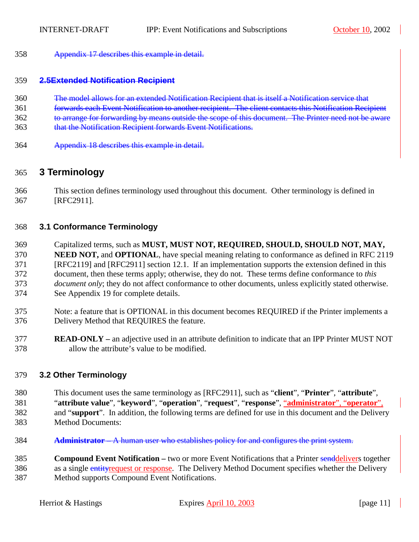<span id="page-10-0"></span>358 Appendix [17](#page-65-0) describes this example in detail.

#### 359 **2.5Extended Notification Recipient**

- 360 The model allows for an extended Notification Recipient that is itself a Notification service that
- 361 forwards each Event Notification to another recipient. The client contacts this Notification Recipient
- 362 to arrange for forwarding by means outside the scope of this document. The Printer need not be aware
- 363 that the Notification Recipient forwards Event Notifications.
- 364 Appendix [18](#page-66-0) describes this example in detail.

# 365 **3 Terminology**

366 This section defines terminology used throughout this document. Other terminology is defined in 367 [RFC2911].

# 368 **3.1 Conformance Terminology**

- 369 Capitalized terms, such as **MUST, MUST NOT, REQUIRED, SHOULD, SHOULD NOT, MAY,**  370 **NEED NOT,** and **OPTIONAL**, have special meaning relating to conformance as defined in RFC 2119 371 [RFC2119] and [RFC2911] section 12.1. If an implementation supports the extension defined in this 372 document, then these terms apply; otherwise, they do not. These terms define conformance to *this*  373 *document only*; they do not affect conformance to other documents, unless explicitly stated otherwise. 374 See Appendix [19](#page-67-0) for complete details.
- 375 Note: a feature that is OPTIONAL in this document becomes REQUIRED if the Printer implements a 376 Delivery Method that REQUIRES the feature.
- 377 **READ-ONLY** an adjective used in an attribute definition to indicate that an IPP Printer MUST NOT 378 allow the attribute's value to be modified.

# 379 **3.2 Other Terminology**

- 380 This document uses the same terminology as [RFC2911], such as "**client**", "**Printer**", "**attribute**", 381 "**attribute value**", "**keyword**", "**operation**", "**request**", "**response**", "**administrator**", "**operator**", 382 and "**support**". In addition, the following terms are defined for use in this document and the Delivery 383 Method Documents:
- 384 **Administrator –** A human user who establishes policy for and configures the print system.

385 **Compound Event Notification –** two or more Event Notifications that a Printer senddelivers together 386 as a single entityrequest or response. The Delivery Method Document specifies whether the Delivery 387 Method supports Compound Event Notifications.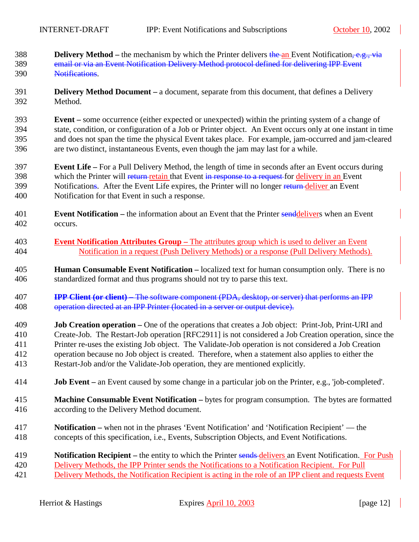- 388 **Delivery Method** the mechanism by which the Printer delivers the an Event Notification, e.g., via 389 email or via an Event Notification Delivery Method protocol defined for delivering IPP Event 390 Notifications.
- 391 **Delivery Method Document** a document, separate from this document, that defines a Delivery 392 Method.
- 393 **Event** some occurrence (either expected or unexpected) within the printing system of a change of 394 state, condition, or configuration of a Job or Printer object. An Event occurs only at one instant in time 395 and does not span the time the physical Event takes place. For example, jam-occurred and jam-cleared 396 are two distinct, instantaneous Events, even though the jam may last for a while.
- 397 **Event Life** For a Pull Delivery Method, the length of time in seconds after an Event occurs during 398 which the Printer will return retain that Event in response to a request for delivery in an Event 399 Notifications. After the Event Life expires, the Printer will no longer return deliver an Event 400 Notification for that Event in such a response.
- 401 **Event Notification** the information about an Event that the Printer senddelivers when an Event 402 occurs.
- 403 **Event Notification Attributes Group** The attributes group which is used to deliver an Event 404 Notification in a request (Push Delivery Methods) or a response (Pull Delivery Methods).
- 405 **Human Consumable Event Notification** localized text for human consumption only. There is no 406 standardized format and thus programs should not try to parse this text.
- 407 **IPP Client (or client) –** The software component (PDA, desktop, or server) that performs an IPP 408 operation directed at an IPP Printer (located in a server or output device).
- 409 **Job Creation operation** One of the operations that creates a Job object: Print-Job, Print-URI and 410 Create-Job. The Restart-Job operation [RFC2911] is not considered a Job Creation operation, since the 411 Printer re-uses the existing Job object. The Validate-Job operation is not considered a Job Creation 412 operation because no Job object is created. Therefore, when a statement also applies to either the 413 Restart-Job and/or the Validate-Job operation, they are mentioned explicitly.
- 414 **Job Event** an Event caused by some change in a particular job on the Printer, e.g., 'job-completed'.
- 415 **Machine Consumable Event Notification** bytes for program consumption. The bytes are formatted 416 according to the Delivery Method document.
- 417 **Notification –** when not in the phrases 'Event Notification' and 'Notification Recipient' the 418 concepts of this specification, i.e., Events, Subscription Objects, and Event Notifications.

| 419 | <b>Notification Recipient</b> – the entity to which the Printer sends-delivers an Event Notification. For Push |
|-----|----------------------------------------------------------------------------------------------------------------|
| 420 | Delivery Methods, the IPP Printer sends the Notifications to a Notification Recipient. For Pull                |
| 421 | Delivery Methods, the Notification Recipient is acting in the role of an IPP client and requests Event         |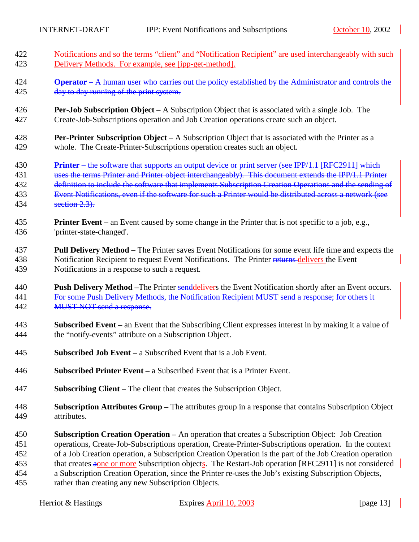- 422 Notifications and so the terms "client" and "Notification Recipient" are used interchangeably with such 423 Delivery Methods. For example, see [ipp-get-method].
- 424 **Operator –** A human user who carries out the policy established by the Administrator and controls the 425 day to day running of the print system.
- 426 **Per-Job Subscription Object** A Subscription Object that is associated with a single Job. The 427 Create-Job-Subscriptions operation and Job Creation operations create such an object.
- 428 **Per-Printer Subscription Object** A Subscription Object that is associated with the Printer as a 429 whole. The Create-Printer-Subscriptions operation creates such an object.
- 430 **Printer –** the software that supports an output device or print server (see IPP/1.1 [RFC2911] which 431 uses the terms Printer and Printer object interchangeably). This document extends the IPP/1.1 Printer 432 definition to include the software that implements Subscription Creation Operations and the sending of 433 Event Notifications, even if the software for such a Printer would be distributed across a network (see 434 section [2.3\)](#page-9-0).
- 435 **Printer Event** an Event caused by some change in the Printer that is not specific to a job, e.g., 436 'printer-state-changed'.
- 437 **Pull Delivery Method** The Printer saves Event Notifications for some event life time and expects the 438 Notification Recipient to request Event Notifications. The Printer returns-delivers the Event 439 Notifications in a response to such a request.
- 440 **Push Delivery Method –**The Printer senddelivers the Event Notification shortly after an Event occurs. 441 For some Push Delivery Methods, the Notification Recipient MUST send a response; for others it 442 MUST NOT send a response.
- 443 **Subscribed Event** an Event that the Subscribing Client expresses interest in by making it a value of 444 the "notify-events" attribute on a Subscription Object.
- 445 **Subscribed Job Event** a Subscribed Event that is a Job Event.
- 446 **Subscribed Printer Event** a Subscribed Event that is a Printer Event.
- 447 **Subscribing Client** The client that creates the Subscription Object.
- 448 **Subscription Attributes Group** The attributes group in a response that contains Subscription Object 449 attributes.
- 450 **Subscription Creation Operation** An operation that creates a Subscription Object: Job Creation 451 operations, Create-Job-Subscriptions operation, Create-Printer-Subscriptions operation. In the context 452 of a Job Creation operation, a Subscription Creation Operation is the part of the Job Creation operation 453 that creates aone or more Subscription objects. The Restart-Job operation [RFC2911] is not considered 454 a Subscription Creation Operation, since the Printer re-uses the Job's existing Subscription Objects, 455 rather than creating any new Subscription Objects.
	-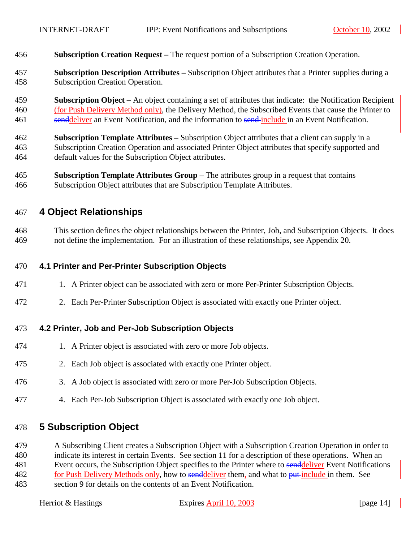- <span id="page-13-0"></span>456 **Subscription Creation Request –** The request portion of a Subscription Creation Operation.
- 457 **Subscription Description Attributes** Subscription Object attributes that a Printer supplies during a 458 Subscription Creation Operation.
- 459 **Subscription Object** An object containing a set of attributes that indicate: the Notification Recipient 460 (for Push Delivery Method only), the Delivery Method, the Subscribed Events that cause the Printer to 461 senddeliver an Event Notification, and the information to send-include in an Event Notification.
- 462 **Subscription Template Attributes** Subscription Object attributes that a client can supply in a 463 Subscription Creation Operation and associated Printer Object attributes that specify supported and 464 default values for the Subscription Object attributes.
- 465 **Subscription Template Attributes Group**  The attributes group in a request that contains 466 Subscription Object attributes that are Subscription Template Attributes.

# 467 **4 Object Relationships**

468 This section defines the object relationships between the Printer, Job, and Subscription Objects. It does 469 not define the implementation. For an illustration of these relationships, see Appendix [20.](#page-68-0)

#### 470 **4.1 Printer and Per-Printer Subscription Objects**

- 471 1. A Printer object can be associated with zero or more Per-Printer Subscription Objects.
- 472 2. Each Per-Printer Subscription Object is associated with exactly one Printer object.

#### 473 **4.2 Printer, Job and Per-Job Subscription Objects**

- 474 1. A Printer object is associated with zero or more Job objects.
- 475 2. Each Job object is associated with exactly one Printer object.
- 476 3. A Job object is associated with zero or more Per-Job Subscription Objects.
- 477 4. Each Per-Job Subscription Object is associated with exactly one Job object.

# 478 **5 Subscription Object**

479 A Subscribing Client creates a Subscription Object with a Subscription Creation Operation in order to 480 indicate its interest in certain Events. See section [11](#page-45-0) for a description of these operations. When an 481 Event occurs, the Subscription Object specifies to the Printer where to senddeliver Event Notifications 482 for Push Delivery Methods only, how to senddeliver them, and what to put include in them. See

483 section [9](#page-36-0) for details on the contents of an Event Notification.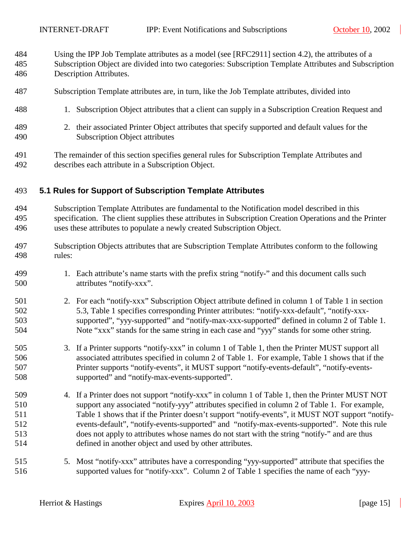<span id="page-14-0"></span>484 Using the IPP Job Template attributes as a model (see [RFC2911] section 4.2), the attributes of a 485 Subscription Object are divided into two categories: Subscription Template Attributes and Subscription

- 486 Description Attributes.
- 487 Subscription Template attributes are, in turn, like the Job Template attributes, divided into
- 488 1. Subscription Object attributes that a client can supply in a Subscription Creation Request and
- 489 2. their associated Printer Object attributes that specify supported and default values for the 490 Subscription Object attributes
- 491 The remainder of this section specifies general rules for Subscription Template Attributes and 492 describes each attribute in a Subscription Object.

#### 493 **5.1 Rules for Support of Subscription Template Attributes**

494 Subscription Template Attributes are fundamental to the Notification model described in this 495 specification. The client supplies these attributes in Subscription Creation Operations and the Printer 496 uses these attributes to populate a newly created Subscription Object.

- 497 Subscription Objects attributes that are Subscription Template Attributes conform to the following 498 rules:
- 499 1. Each attribute's name starts with the prefix string "notify-" and this document calls such 500 attributes "notify-xxx".
- 501 2. For each "notify-xxx" Subscription Object attribute defined in column 1 of [Table 1](#page-19-0) in section 502 [5.3,](#page-18-0) [Table 1](#page-19-0) specifies corresponding Printer attributes: "notify-xxx-default", "notify-xxx-503 supported", "yyy-supported" and "notify-max-xxx-supported" defined in column 2 of [Table 1.](#page-19-0) 504 Note "xxx" stands for the same string in each case and "yyy" stands for some other string.
- 505 3. If a Printer supports "notify-xxx" in column 1 of [Table 1,](#page-19-0) then the Printer MUST support all 506 associated attributes specified in column 2 of [Table 1.](#page-19-0) For example, [Table 1](#page-19-0) shows that if the 507 Printer supports "notify-events", it MUST support "notify-events-default", "notify-events-508 supported" and "notify-max-events-supported".
- 509 4. If a Printer does not support "notify-xxx" in column 1 of [Table 1,](#page-19-0) then the Printer MUST NOT 510 support any associated "notify-yyy" attributes specified in column 2 of [Table 1.](#page-19-0) For example, 511 [Table 1](#page-19-0) shows that if the Printer doesn't support "notify-events", it MUST NOT support "notify-512 events-default", "notify-events-supported" and "notify-max-events-supported". Note this rule 513 does not apply to attributes whose names do not start with the string "notify-" and are thus 514 defined in another object and used by other attributes.
- 515 5. Most "notify-xxx" attributes have a corresponding "yyy-supported" attribute that specifies the 516 supported values for "notify-xxx". Column 2 of [Table 1](#page-19-0) specifies the name of each "yyy-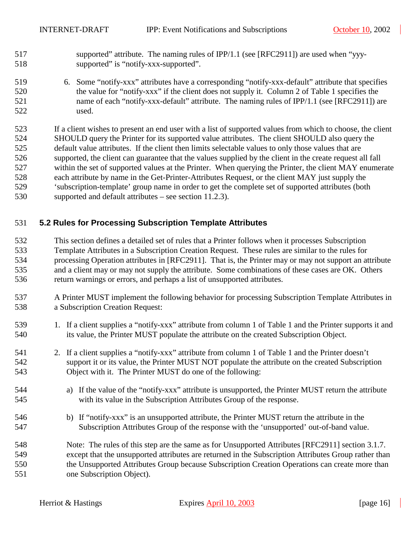- <span id="page-15-0"></span>517 supported" attribute. The naming rules of IPP/1.1 (see [RFC2911]) are used when "yyy-518 supported" is "notify-xxx-supported".
- 519 6. Some "notify-xxx" attributes have a corresponding "notify-xxx-default" attribute that specifies 520 the value for "notify-xxx" if the client does not supply it. Column 2 of [Table 1](#page-19-0) specifies the 521 name of each "notify-xxx-default" attribute. The naming rules of IPP/1.1 (see [RFC2911]) are 522 used.

523 If a client wishes to present an end user with a list of supported values from which to choose, the client 524 SHOULD query the Printer for its supported value attributes. The client SHOULD also query the 525 default value attributes. If the client then limits selectable values to only those values that are 526 supported, the client can guarantee that the values supplied by the client in the create request all fall 527 within the set of supported values at the Printer. When querying the Printer, the client MAY enumerate 528 each attribute by name in the Get-Printer-Attributes Request, or the client MAY just supply the 529 'subscription-template' group name in order to get the complete set of supported attributes (both 530 supported and default attributes – see section [11.2.3\)](#page-52-0).

#### 531 **5.2 Rules for Processing Subscription Template Attributes**

532 This section defines a detailed set of rules that a Printer follows when it processes Subscription 533 Template Attributes in a Subscription Creation Request. These rules are similar to the rules for 534 processing Operation attributes in [RFC2911]. That is, the Printer may or may not support an attribute 535 and a client may or may not supply the attribute. Some combinations of these cases are OK. Others 536 return warnings or errors, and perhaps a list of unsupported attributes.

- 537 A Printer MUST implement the following behavior for processing Subscription Template Attributes in 538 a Subscription Creation Request:
- 539 1. If a client supplies a "notify-xxx" attribute from column 1 of [Table 1](#page-19-0) and the Printer supports it and 540 its value, the Printer MUST populate the attribute on the created Subscription Object.
- 541 2. If a client supplies a "notify-xxx" attribute from column 1 of [Table 1](#page-19-0) and the Printer doesn't 542 support it or its value, the Printer MUST NOT populate the attribute on the created Subscription 543 Object with it. The Printer MUST do one of the following:
- 544 a) If the value of the "notify-xxx" attribute is unsupported, the Printer MUST return the attribute 545 with its value in the Subscription Attributes Group of the response.
- 546 b) If "notify-xxx" is an unsupported attribute, the Printer MUST return the attribute in the 547 Subscription Attributes Group of the response with the 'unsupported' out-of-band value.
- 548 Note: The rules of this step are the same as for Unsupported Attributes [RFC2911] section 3.1.7. 549 except that the unsupported attributes are returned in the Subscription Attributes Group rather than 550 the Unsupported Attributes Group because Subscription Creation Operations can create more than 551 one Subscription Object).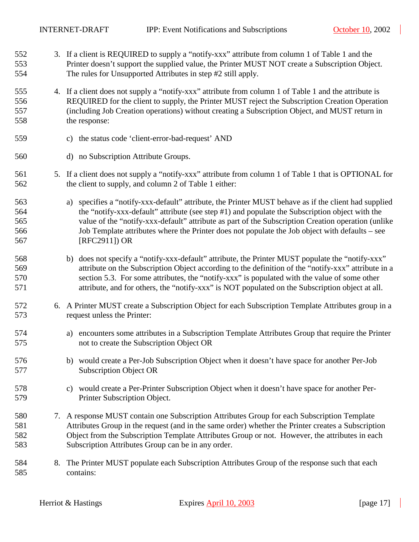- <span id="page-16-0"></span>552 3. If a client is REQUIRED to supply a "notify-xxx" attribute from column 1 of [Table 1](#page-19-0) and the 553 Printer doesn't support the supplied value, the Printer MUST NOT create a Subscription Object. 554 The rules for Unsupported Attributes in step [#2](#page-15-0) still apply.
- 555 4. If a client does not supply a "notify-xxx" attribute from column 1 of [Table 1](#page-19-0) and the attribute is 556 REQUIRED for the client to supply, the Printer MUST reject the Subscription Creation Operation 557 (including Job Creation operations) without creating a Subscription Object, and MUST return in 558 the response:
- 559 c) the status code 'client-error-bad-request' AND
- 560 d) no Subscription Attribute Groups.
- 561 5. If a client does not supply a "notify-xxx" attribute from column 1 of [Table 1](#page-19-0) that is OPTIONAL for 562 the client to supply, and column 2 of [Table 1](#page-19-0) either:
- 563 a) specifies a "notify-xxx-default" attribute, the Printer MUST behave as if the client had supplied 564 the "notify-xxx-default" attribute (see step [#1\)](#page-15-0) and populate the Subscription object with the 565 value of the "notify-xxx-default" attribute as part of the Subscription Creation operation (unlike 566 Job Template attributes where the Printer does not populate the Job object with defaults – see 567 [RFC2911]) OR
- 568 b) does not specify a "notify-xxx-default" attribute, the Printer MUST populate the "notify-xxx" 569 attribute on the Subscription Object according to the definition of the "notify-xxx" attribute in a 570 section [5.3.](#page-18-0) For some attributes, the "notify-xxx" is populated with the value of some other 571 attribute, and for others, the "notify-xxx" is NOT populated on the Subscription object at all.
- 572 6. A Printer MUST create a Subscription Object for each Subscription Template Attributes group in a 573 request unless the Printer:
- 574 a) encounters some attributes in a Subscription Template Attributes Group that require the Printer 575 not to create the Subscription Object OR
- 576 b) would create a Per-Job Subscription Object when it doesn't have space for another Per-Job 577 Subscription Object OR
- 578 c) would create a Per-Printer Subscription Object when it doesn't have space for another Per-579 Printer Subscription Object.
- 580 7. A response MUST contain one Subscription Attributes Group for each Subscription Template 581 Attributes Group in the request (and in the same order) whether the Printer creates a Subscription 582 Object from the Subscription Template Attributes Group or not. However, the attributes in each 583 Subscription Attributes Group can be in any order.
- 584 8. The Printer MUST populate each Subscription Attributes Group of the response such that each 585 contains: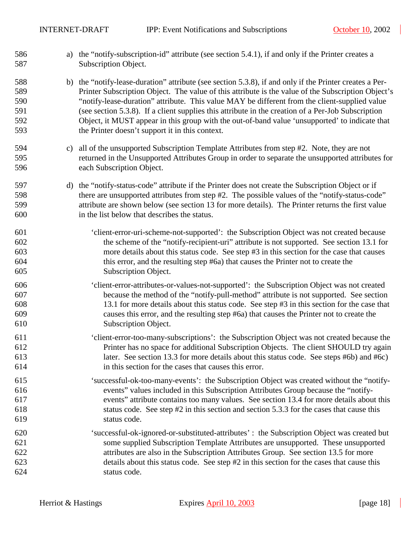| 586<br>587                             | a) the "notify-subscription-id" attribute (see section 5.4.1), if and only if the Printer creates a<br>Subscription Object.                                                                                                                                                                                                                                                                                                                                                                                                                                               |
|----------------------------------------|---------------------------------------------------------------------------------------------------------------------------------------------------------------------------------------------------------------------------------------------------------------------------------------------------------------------------------------------------------------------------------------------------------------------------------------------------------------------------------------------------------------------------------------------------------------------------|
| 588<br>589<br>590<br>591<br>592<br>593 | b) the "notify-lease-duration" attribute (see section 5.3.8), if and only if the Printer creates a Per-<br>Printer Subscription Object. The value of this attribute is the value of the Subscription Object's<br>"notify-lease-duration" attribute. This value MAY be different from the client-supplied value<br>(see section 5.3.8). If a client supplies this attribute in the creation of a Per-Job Subscription<br>Object, it MUST appear in this group with the out-of-band value 'unsupported' to indicate that<br>the Printer doesn't support it in this context. |
| 594<br>595<br>596                      | c) all of the unsupported Subscription Template Attributes from step #2. Note, they are not<br>returned in the Unsupported Attributes Group in order to separate the unsupported attributes for<br>each Subscription Object.                                                                                                                                                                                                                                                                                                                                              |
| 597<br>598<br>599<br>600               | d) the "notify-status-code" attribute if the Printer does not create the Subscription Object or if<br>there are unsupported attributes from step #2. The possible values of the "notify-status-code"<br>attribute are shown below (see section 13 for more details). The Printer returns the first value<br>in the list below that describes the status.                                                                                                                                                                                                                  |
| 601<br>602<br>603<br>604<br>605        | 'client-error-uri-scheme-not-supported': the Subscription Object was not created because<br>the scheme of the "notify-recipient-uri" attribute is not supported. See section 13.1 for<br>more details about this status code. See step #3 in this section for the case that causes<br>this error, and the resulting step #6a) that causes the Printer not to create the<br>Subscription Object.                                                                                                                                                                           |
| 606<br>607<br>608<br>609<br>610        | 'client-error-attributes-or-values-not-supported': the Subscription Object was not created<br>because the method of the "notify-pull-method" attribute is not supported. See section<br>13.1 for more details about this status code. See step #3 in this section for the case that<br>causes this error, and the resulting step #6a) that causes the Printer not to create the<br>Subscription Object.                                                                                                                                                                   |
| 611<br>612<br>613<br>614               | 'client-error-too-many-subscriptions': the Subscription Object was not created because the<br>Printer has no space for additional Subscription Objects. The client SHOULD try again<br>later. See section 13.3 for more details about this status code. See steps #6b) and #6c)<br>in this section for the cases that causes this error.                                                                                                                                                                                                                                  |
| 615<br>616<br>617<br>618<br>619        | 'successful-ok-too-many-events': the Subscription Object was created without the "notify-<br>events" values included in this Subscription Attributes Group because the "notify-<br>events" attribute contains too many values. See section 13.4 for more details about this<br>status code. See step #2 in this section and section 5.3.3 for the cases that cause this<br>status code.                                                                                                                                                                                   |
| 620<br>621<br>622<br>623<br>624        | 'successful-ok-ignored-or-substituted-attributes' : the Subscription Object was created but<br>some supplied Subscription Template Attributes are unsupported. These unsupported<br>attributes are also in the Subscription Attributes Group. See section 13.5 for more<br>details about this status code. See step #2 in this section for the cases that cause this<br>status code.                                                                                                                                                                                      |

 $\overline{\phantom{a}}$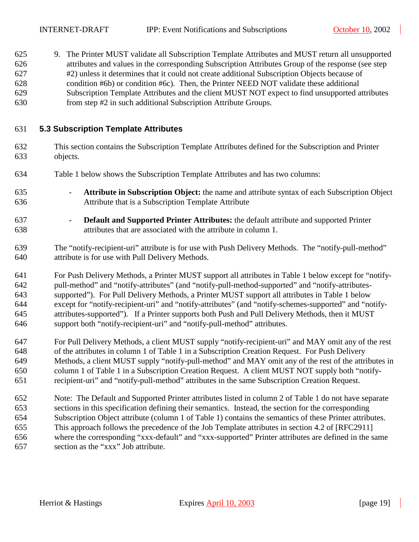<span id="page-18-0"></span>625 9. The Printer MUST validate all Subscription Template Attributes and MUST return all unsupported 626 attributes and values in the corresponding Subscription Attributes Group of the response (see step 627 #[2\)](#page-15-0) unless it determines that it could not create additional Subscription Objects because of 628 condition [#6b\)](#page-16-0) or condition #[6c\).](#page-16-0) Then, the Printer NEED NOT validate these additional 629 Subscription Template Attributes and the client MUST NOT expect to find unsupported attributes 630 from step #[2](#page-15-0) in such additional Subscription Attribute Groups.

#### 631 **5.3 Subscription Template Attributes**

- 632 This section contains the Subscription Template Attributes defined for the Subscription and Printer 633 objects.
- 634 [Table 1](#page-19-0) below shows the Subscription Template Attributes and has two columns:
- 635 **Attribute in Subscription Object:** the name and attribute syntax of each Subscription Object 636 Attribute that is a Subscription Template Attribute
- 637 **Default and Supported Printer Attributes:** the default attribute and supported Printer 638 attributes that are associated with the attribute in column 1.
- 639 The "notify-recipient-uri" attribute is for use with Push Delivery Methods. The "notify-pull-method" 640 attribute is for use with Pull Delivery Methods.
- 641 For Push Delivery Methods, a Printer MUST support all attributes in [Table 1](#page-19-0) below except for "notify-642 pull-method" and "notify-attributes" (and "notify-pull-method-supported" and "notify-attributes-643 supported"). For Pull Delivery Methods, a Printer MUST support all attributes in [Table 1](#page-19-0) below 644 except for "notify-recipient-uri" and "notify-attributes" (and "notify-schemes-supported" and "notify-645 attributes-supported"). If a Printer supports both Push and Pull Delivery Methods, then it MUST 646 support both "notify-recipient-uri" and "notify-pull-method" attributes.
- 647 For Pull Delivery Methods, a client MUST supply "notify-recipient-uri" and MAY omit any of the rest 648 of the attributes in column 1 of [Table 1](#page-19-0) in a Subscription Creation Request. For Push Delivery 649 Methods, a client MUST supply "notify-pull-method" and MAY omit any of the rest of the attributes in 650 column 1 of [Table 1](#page-19-0) in a Subscription Creation Request. A client MUST NOT supply both "notify-651 recipient-uri" and "notify-pull-method" attributes in the same Subscription Creation Request.
- 652 Note: The Default and Supported Printer attributes listed in column 2 of [Table 1](#page-19-0) do not have separate 653 sections in this specification defining their semantics. Instead, the section for the corresponding 654 Subscription Object attribute (column 1 of [Table 1\)](#page-19-0) contains the semantics of these Printer attributes. 655 This approach follows the precedence of the Job Template attributes in section 4.2 of [RFC2911] 656 where the corresponding "xxx-default" and "xxx-supported" Printer attributes are defined in the same 657 section as the "xxx" Job attribute.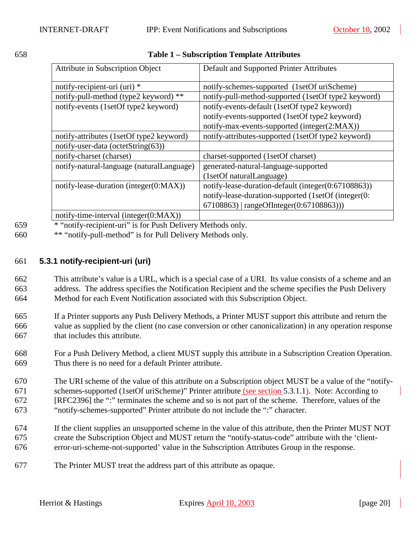<span id="page-19-0"></span>

| 658 | <b>Table 1 – Subscription Template Attributes</b> |
|-----|---------------------------------------------------|

| Attribute in Subscription Object                 | Default and Supported Printer Attributes            |
|--------------------------------------------------|-----------------------------------------------------|
| notify-recipient-uri (uri) *                     | notify-schemes-supported (1setOf uriScheme)         |
| notify-pull-method (type2 keyword) **            | notify-pull-method-supported (1setOf type2 keyword) |
| notify-events (1setOf type2 keyword)             | notify-events-default (1setOf type2 keyword)        |
|                                                  | notify-events-supported (1setOf type2 keyword)      |
|                                                  | notify-max-events-supported (integer(2:MAX))        |
| notify-attributes (1setOf type2 keyword)         | notify-attributes-supported (1setOf type2 keyword)  |
| notify-user-data (octetString $(63)$ )           |                                                     |
| notify-charset (charset)                         | charset-supported (1setOf charset)                  |
| notify-natural-language (naturalLanguage)        | generated-natural-language-supported                |
|                                                  | (1setOf naturalLanguage)                            |
| notify-lease-duration (integer(0:MAX))           | notify-lease-duration-default (integer(0:67108863)) |
|                                                  | notify-lease-duration-supported (1setOf (integer(0: |
|                                                  | 67108863)   rangeOfInteger(0:67108863)))            |
| notify-time-interval (integer( $0. M \Delta Y$ ) |                                                     |

notify-time-interval (integer(0:MAX))

- 659 \* "notify-recipient-uri" is for Push Delivery Methods only.
- 660 \*\* "notify-pull-method" is for Pull Delivery Methods only.

### 661 **5.3.1 notify-recipient-uri (uri)**

662 This attribute's value is a URL, which is a special case of a URI. Its value consists of a scheme and an 663 address. The address specifies the Notification Recipient and the scheme specifies the Push Delivery 664 Method for each Event Notification associated with this Subscription Object.

- 665 If a Printer supports any Push Delivery Methods, a Printer MUST support this attribute and return the 666 value as supplied by the client (no case conversion or other canonicalization) in any operation response 667 that includes this attribute.
- 668 For a Push Delivery Method, a client MUST supply this attribute in a Subscription Creation Operation. 669 Thus there is no need for a default Printer attribute.
- 670 The URI scheme of the value of this attribute on a Subscription object MUST be a value of the "notify-671 schemes-supported (1setOf uriScheme)" Printer attribute (see section [5.3.1.1\)](#page-20-0). Note: According to 672 [RFC2396] the ":" terminates the scheme and so is not part of the scheme. Therefore, values of the 673 "notify-schemes-supported" Printer attribute do not include the ":" character.
- 674 If the client supplies an unsupported scheme in the value of this attribute, then the Printer MUST NOT 675 create the Subscription Object and MUST return the "notify-status-code" attribute with the 'client-676 error-uri-scheme-not-supported' value in the Subscription Attributes Group in the response.
- 677 The Printer MUST treat the address part of this attribute as opaque.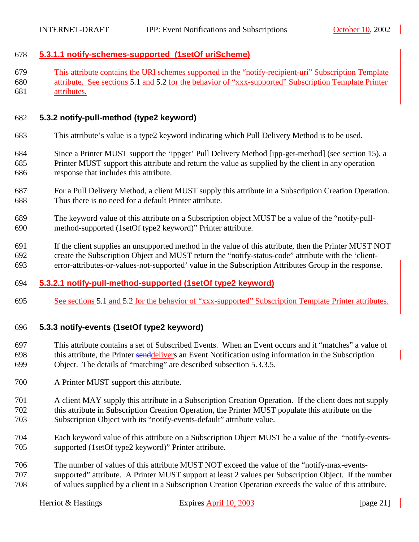#### <span id="page-20-0"></span>678 **5.3.1.1 notify-schemes-supported (1setOf uriScheme)**

679 This attribute contains the URI schemes supported in the "notify-recipient-uri" Subscription Template 680 attribute. See sections [5.1](#page-14-0) and [5.2](#page-15-0) for the behavior of "xxx-supported" Subscription Template Printer 681 attributes.

#### 682 **5.3.2 notify-pull-method (type2 keyword)**

- 683 This attribute's value is a type2 keyword indicating which Pull Delivery Method is to be used.
- 684 Since a Printer MUST support the 'ippget' Pull Delivery Method [ipp-get-method] (see section [15\)](#page-63-0), a 685 Printer MUST support this attribute and return the value as supplied by the client in any operation 686 response that includes this attribute.
- 687 For a Pull Delivery Method, a client MUST supply this attribute in a Subscription Creation Operation. 688 Thus there is no need for a default Printer attribute.
- 689 The keyword value of this attribute on a Subscription object MUST be a value of the "notify-pull-690 method-supported (1setOf type2 keyword)" Printer attribute.
- 691 If the client supplies an unsupported method in the value of this attribute, then the Printer MUST NOT 692 create the Subscription Object and MUST return the "notify-status-code" attribute with the 'client-693 error-attributes-or-values-not-supported' value in the Subscription Attributes Group in the response.

#### 694 **5.3.2.1 notify-pull-method-supported (1setOf type2 keyword)**

695 See sections [5.1](#page-14-0) and [5.2](#page-15-0) for the behavior of "xxx-supported" Subscription Template Printer attributes.

#### 696 **5.3.3 notify-events (1setOf type2 keyword)**

- 697 This attribute contains a set of Subscribed Events. When an Event occurs and it "matches" a value of 698 this attribute, the Printer senddelivers an Event Notification using information in the Subscription 699 Object. The details of "matching" are described subsection [5.3.3.5.](#page-24-0)
- 700 A Printer MUST support this attribute.
- 701 A client MAY supply this attribute in a Subscription Creation Operation. If the client does not supply 702 this attribute in Subscription Creation Operation, the Printer MUST populate this attribute on the 703 Subscription Object with its "notify-events-default" attribute value.
- 704 Each keyword value of this attribute on a Subscription Object MUST be a value of the "notify-events-705 supported (1setOf type2 keyword)" Printer attribute.
- 706 The number of values of this attribute MUST NOT exceed the value of the "notify-max-events-707 supported" attribute. A Printer MUST support at least 2 values per Subscription Object. If the number 708 of values supplied by a client in a Subscription Creation Operation exceeds the value of this attribute,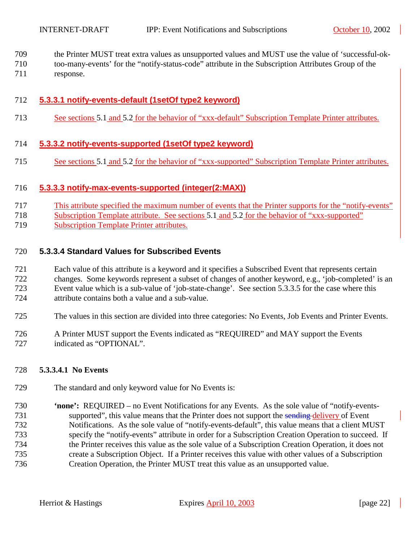<span id="page-21-0"></span>709 the Printer MUST treat extra values as unsupported values and MUST use the value of 'successful-ok-

- 710 too-many-events' for the "notify-status-code" attribute in the Subscription Attributes Group of the
- 711 response.

## 712 **5.3.3.1 notify-events-default (1setOf type2 keyword)**

713 See sections [5.1](#page-14-0) and [5.2](#page-15-0) for the behavior of "xxx-default" Subscription Template Printer attributes.

#### 714 **5.3.3.2 notify-events-supported (1setOf type2 keyword)**

715 See sections [5.1](#page-14-0) and [5.2](#page-15-0) for the behavior of "xxx-supported" Subscription Template Printer attributes.

#### 716 **5.3.3.3 notify-max-events-supported (integer(2:MAX))**

- 717 This attribute specified the maximum number of events that the Printer supports for the "notify-events"
- 718 Subscription Template attribute. See sections [5.1](#page-14-0) and [5.2](#page-15-0) for the behavior of "xxx-supported"
- 719 Subscription Template Printer attributes.

#### 720 **5.3.3.4 Standard Values for Subscribed Events**

721 Each value of this attribute is a keyword and it specifies a Subscribed Event that represents certain 722 changes. Some keywords represent a subset of changes of another keyword, e.g., 'job-completed' is an 723 Event value which is a sub-value of 'job-state-change'. See section [5.3.3.5](#page-24-0) for the case where this 724 attribute contains both a value and a sub-value.

- 725 The values in this section are divided into three categories: No Events, Job Events and Printer Events.
- 726 A Printer MUST support the Events indicated as "REQUIRED" and MAY support the Events 727 indicated as "OPTIONAL".

#### 728 **5.3.3.4.1 No Events**

- 729 The standard and only keyword value for No Events is:
- 730 **'none':** REQUIRED no Event Notifications for any Events. As the sole value of "notify-events-731 supported", this value means that the Printer does not support the sending delivery of Event 732 Notifications. As the sole value of "notify-events-default", this value means that a client MUST 733 specify the "notify-events" attribute in order for a Subscription Creation Operation to succeed. If 734 the Printer receives this value as the sole value of a Subscription Creation Operation, it does not 735 create a Subscription Object. If a Printer receives this value with other values of a Subscription 736 Creation Operation, the Printer MUST treat this value as an unsupported value.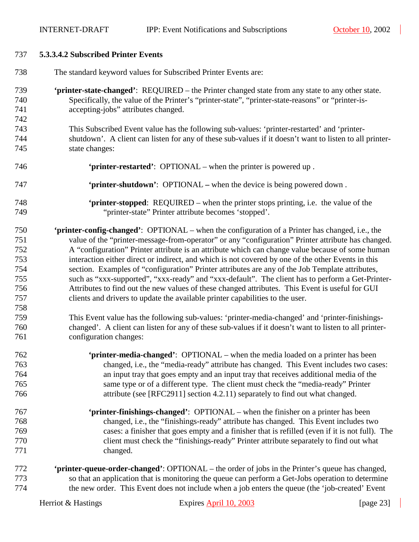<span id="page-22-0"></span>

| 737 | 5.3.3.4.2 Subscribed Printer Events                                                                     |
|-----|---------------------------------------------------------------------------------------------------------|
| 738 | The standard keyword values for Subscribed Printer Events are:                                          |
| 739 | 'printer-state-changed': REQUIRED – the Printer changed state from any state to any other state.        |
| 740 | Specifically, the value of the Printer's "printer-state", "printer-state-reasons" or "printer-is-       |
| 741 | accepting-jobs" attributes changed.                                                                     |
| 742 |                                                                                                         |
| 743 | This Subscribed Event value has the following sub-values: 'printer-restarted' and 'printer-             |
| 744 | shutdown'. A client can listen for any of these sub-values if it doesn't want to listen to all printer- |
| 745 | state changes:                                                                                          |
| 746 | 'printer-restarted': OPTIONAL – when the printer is powered up.                                         |
| 747 | 'printer-shutdown': OPTIONAL - when the device is being powered down.                                   |
| 748 | <b>'printer-stopped:</b> REQUIRED – when the printer stops printing, i.e. the value of the              |
| 749 | "printer-state" Printer attribute becomes 'stopped'.                                                    |
| 750 | 'printer-config-changed': OPTIONAL – when the configuration of a Printer has changed, i.e., the         |
| 751 | value of the "printer-message-from-operator" or any "configuration" Printer attribute has changed.      |
| 752 | A "configuration" Printer attribute is an attribute which can change value because of some human        |
| 753 | interaction either direct or indirect, and which is not covered by one of the other Events in this      |
| 754 | section. Examples of "configuration" Printer attributes are any of the Job Template attributes,         |
| 755 | such as "xxx-supported", "xxx-ready" and "xxx-default". The client has to perform a Get-Printer-        |
| 756 | Attributes to find out the new values of these changed attributes. This Event is useful for GUI         |
| 757 | clients and drivers to update the available printer capabilities to the user.                           |
| 758 |                                                                                                         |
| 759 | This Event value has the following sub-values: 'printer-media-changed' and 'printer-finishings-         |
| 760 | changed'. A client can listen for any of these sub-values if it doesn't want to listen to all printer-  |
| 761 | configuration changes:                                                                                  |
| 762 | 'printer-media-changed': OPTIONAL – when the media loaded on a printer has been                         |
| 763 | changed, i.e., the "media-ready" attribute has changed. This Event includes two cases:                  |
| 764 | an input tray that goes empty and an input tray that receives additional media of the                   |
| 765 | same type or of a different type. The client must check the "media-ready" Printer                       |
| 766 | attribute (see [RFC2911] section 4.2.11) separately to find out what changed.                           |
| 767 | 'printer-finishings-changed': OPTIONAL – when the finisher on a printer has been                        |
| 768 | changed, i.e., the "finishings-ready" attribute has changed. This Event includes two                    |
| 769 | cases: a finisher that goes empty and a finisher that is refilled (even if it is not full). The         |
| 770 | client must check the "finishings-ready" Printer attribute separately to find out what                  |
| 771 | changed.                                                                                                |
| 772 | <b>'printer-queue-order-changed':</b> OPTIONAL – the order of jobs in the Printer's queue has changed,  |
| 773 | so that an application that is monitoring the queue can perform a Get-Jobs operation to determine       |
| 774 | the new order. This Event does not include when a job enters the queue (the 'job-created' Event         |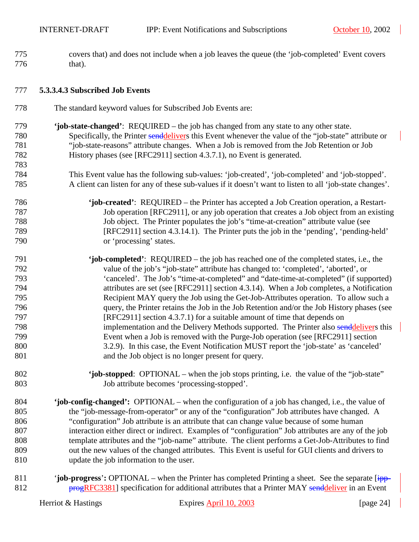<span id="page-23-0"></span>

| 775 | covers that) and does not include when a job leaves the queue (the 'job-completed' Event covers          |
|-----|----------------------------------------------------------------------------------------------------------|
| 776 | that).                                                                                                   |
| 777 | 5.3.3.4.3 Subscribed Job Events                                                                          |
| 778 | The standard keyword values for Subscribed Job Events are:                                               |
| 779 | 'job-state-changed': REQUIRED – the job has changed from any state to any other state.                   |
| 780 | Specifically, the Printer senddelivers this Event whenever the value of the "job-state" attribute or     |
| 781 | "job-state-reasons" attribute changes. When a Job is removed from the Job Retention or Job               |
| 782 | History phases (see [RFC2911] section 4.3.7.1), no Event is generated.                                   |
| 783 |                                                                                                          |
| 784 | This Event value has the following sub-values: 'job-created', 'job-completed' and 'job-stopped'.         |
| 785 | A client can listen for any of these sub-values if it doesn't want to listen to all 'job-state changes'. |
| 786 | 'job-created': REQUIRED – the Printer has accepted a Job Creation operation, a Restart-                  |
| 787 | Job operation [RFC2911], or any job operation that creates a Job object from an existing                 |
| 788 | Job object. The Printer populates the job's "time-at-creation" attribute value (see                      |
| 789 | [RFC2911] section 4.3.14.1). The Printer puts the job in the 'pending', 'pending-held'                   |
| 790 | or 'processing' states.                                                                                  |
| 791 | 'job-completed': REQUIRED – the job has reached one of the completed states, i.e., the                   |
| 792 | value of the job's "job-state" attribute has changed to: 'completed', 'aborted', or                      |
| 793 | 'canceled'. The Job's "time-at-completed" and "date-time-at-completed" (if supported)                    |
| 794 | attributes are set (see [RFC2911] section 4.3.14). When a Job completes, a Notification                  |
| 795 | Recipient MAY query the Job using the Get-Job-Attributes operation. To allow such a                      |
| 796 | query, the Printer retains the Job in the Job Retention and/or the Job History phases (see               |
| 797 | [RFC2911] section 4.3.7.1) for a suitable amount of time that depends on                                 |
| 798 | implementation and the Delivery Methods supported. The Printer also senddelivers this                    |
| 799 | Event when a Job is removed with the Purge-Job operation (see [RFC2911] section                          |
| 800 | 3.2.9). In this case, the Event Notification MUST report the 'job-state' as 'canceled'                   |
| 801 | and the Job object is no longer present for query.                                                       |
| 802 | 'job-stopped: OPTIONAL – when the job stops printing, i.e. the value of the "job-state"                  |
| 803 | Job attribute becomes 'processing-stopped'.                                                              |
| 804 | 'job-config-changed': OPTIONAL – when the configuration of a job has changed, i.e., the value of         |
| 805 | the "job-message-from-operator" or any of the "configuration" Job attributes have changed. A             |
| 806 | "configuration" Job attribute is an attribute that can change value because of some human                |
| 807 | interaction either direct or indirect. Examples of "configuration" Job attributes are any of the job     |
| 808 | template attributes and the "job-name" attribute. The client performs a Get-Job-Attributes to find       |
| 809 | out the new values of the changed attributes. This Event is useful for GUI clients and drivers to        |
| 810 | update the job information to the user.                                                                  |
| Q11 | "ich programs", ODTIONAL when the Printer has completed Printing a sheet. See the separate line          |

811 '**job-progress**'**:** OPTIONAL – when the Printer has completed Printing a sheet. See the separate [ipp-812 **progRFC3381**] specification for additional attributes that a Printer MAY senddeliver in an Event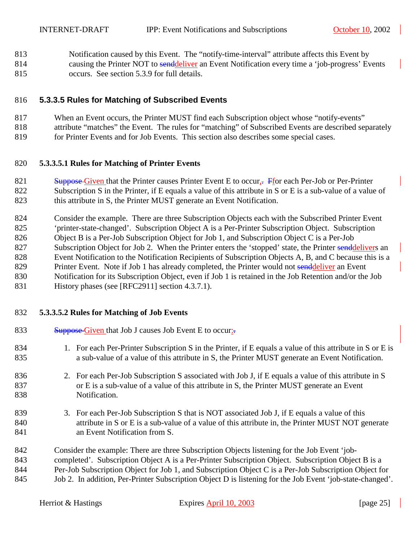<span id="page-24-0"></span>813 Notification caused by this Event. The "notify-time-interval" attribute affects this Event by 814 causing the Printer NOT to senddeliver an Event Notification every time a 'job-progress' Events 815 occurs. See section [5.3.9](#page-29-0) for full details.

#### 816 **5.3.3.5 Rules for Matching of Subscribed Events**

- 817 When an Event occurs, the Printer MUST find each Subscription object whose "notify-events"
- 818 attribute "matches" the Event. The rules for "matching" of Subscribed Events are described separately
- 819 for Printer Events and for Job Events. This section also describes some special cases.

### 820 **5.3.3.5.1 Rules for Matching of Printer Events**

- 821 Suppose Given that the Printer causes Printer Event E to occur,  $\frac{1}{2}$  Ffor each Per-Job or Per-Printer
- 822 Subscription S in the Printer, if E equals a value of this attribute in S or E is a sub-value of a value of
- 823 this attribute in S, the Printer MUST generate an Event Notification.
- 824 Consider the example. There are three Subscription Objects each with the Subscribed Printer Event 825 'printer-state-changed'. Subscription Object A is a Per-Printer Subscription Object. Subscription 826 Object B is a Per-Job Subscription Object for Job 1, and Subscription Object C is a Per-Job 827 Subscription Object for Job 2. When the Printer enters the 'stopped' state, the Printer senddelivers an 828 Event Notification to the Notification Recipients of Subscription Objects A, B, and C because this is a 829 Printer Event. Note if Job 1 has already completed, the Printer would not sendedliver an Event 830 Notification for its Subscription Object, even if Job 1 is retained in the Job Retention and/or the Job 831 History phases (see [RFC2911] section 4.3.7.1).

# 832 **5.3.3.5.2 Rules for Matching of Job Events**

- 
- 833 Suppose Given that Job J causes Job Event E to occur-
- 834 1. For each Per-Printer Subscription S in the Printer, if E equals a value of this attribute in S or E is 835 a sub-value of a value of this attribute in S, the Printer MUST generate an Event Notification.
- 836 2. For each Per-Job Subscription S associated with Job J, if E equals a value of this attribute in S 837 or E is a sub-value of a value of this attribute in S, the Printer MUST generate an Event 838 Notification.
- 839 3. For each Per-Job Subscription S that is NOT associated Job J, if E equals a value of this 840 attribute in S or E is a sub-value of a value of this attribute in, the Printer MUST NOT generate 841 an Event Notification from S.
- 842 Consider the example: There are three Subscription Objects listening for the Job Event 'job-
- 843 completed'. Subscription Object A is a Per-Printer Subscription Object. Subscription Object B is a
- 844 Per-Job Subscription Object for Job 1, and Subscription Object C is a Per-Job Subscription Object for
- 845 Job 2. In addition, Per-Printer Subscription Object D is listening for the Job Event 'job-state-changed'.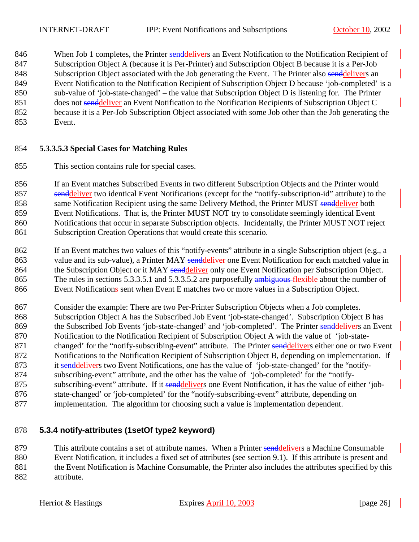<span id="page-25-0"></span>846 When Job 1 completes, the Printer senddelivers an Event Notification to the Notification Recipient of 847 Subscription Object A (because it is Per-Printer) and Subscription Object B because it is a Per-Job 848 Subscription Object associated with the Job generating the Event. The Printer also sendelivers an 849 Event Notification to the Notification Recipient of Subscription Object D because 'job-completed' is a 850 sub-value of 'job-state-changed' – the value that Subscription Object D is listening for. The Printer 851 does not senddeliver an Event Notification to the Notification Recipients of Subscription Object C 852 because it is a Per-Job Subscription Object associated with some Job other than the Job generating the 853 Event.

#### 854 **5.3.3.5.3 Special Cases for Matching Rules**

855 This section contains rule for special cases.

856 If an Event matches Subscribed Events in two different Subscription Objects and the Printer would 857 senddeliver two identical Event Notifications (except for the "notify-subscription-id" attribute) to the 858 same Notification Recipient using the same Delivery Method, the Printer MUST sendeliver both 859 Event Notifications. That is, the Printer MUST NOT try to consolidate seemingly identical Event 860 Notifications that occur in separate Subscription objects. Incidentally, the Printer MUST NOT reject 861 Subscription Creation Operations that would create this scenario.

- 862 If an Event matches two values of this "notify-events" attribute in a single Subscription object (e.g., a 863 value and its sub-value), a Printer MAY senddeliver one Event Notification for each matched value in 864 the Subscription Object or it MAY senddeliver only one Event Notification per Subscription Object. 865 The rules in sections [5.3.3.5.1](#page-24-0) and [5.3.3.5.2](#page-24-0) are purposefully ambiguous flexible about the number of 866 Event Notifications sent when Event E matches two or more values in a Subscription Object.
- 867 Consider the example: There are two Per-Printer Subscription Objects when a Job completes. 868 Subscription Object A has the Subscribed Job Event 'job-state-changed'. Subscription Object B has 869 the Subscribed Job Events 'job-state-changed' and 'job-completed'. The Printer senddelivers an Event 870 Notification to the Notification Recipient of Subscription Object A with the value of 'job-state-871 changed' for the "notify-subscribing-event" attribute. The Printer senddelivers either one or two Event 872 Notifications to the Notification Recipient of Subscription Object B, depending on implementation. If 873 it senddelivers two Event Notifications, one has the value of 'job-state-changed' for the "notify-874 subscribing-event" attribute, and the other has the value of 'job-completed' for the "notify-875 subscribing-event" attribute. If it senddelivers one Event Notification, it has the value of either 'job-876 state-changed' or 'job-completed' for the "notify-subscribing-event" attribute, depending on
- 877 implementation. The algorithm for choosing such a value is implementation dependent.

#### 878 **5.3.4 notify-attributes (1setOf type2 keyword)**

879 This attribute contains a set of attribute names. When a Printer senddelivers a Machine Consumable 880 Event Notification, it includes a fixed set of attributes (see section [9.1\)](#page-38-0). If this attribute is present and 881 the Event Notification is Machine Consumable, the Printer also includes the attributes specified by this 882 attribute.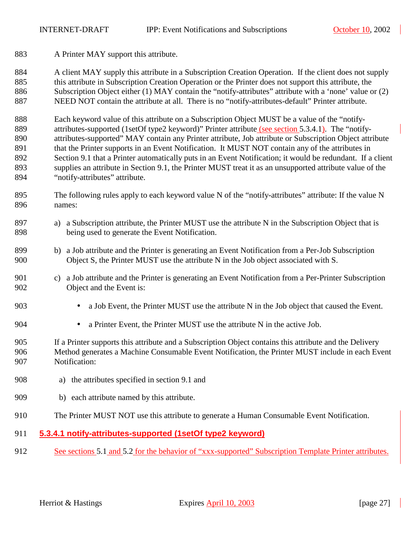<span id="page-26-0"></span>883 A Printer MAY support this attribute.

884 A client MAY supply this attribute in a Subscription Creation Operation. If the client does not supply 885 this attribute in Subscription Creation Operation or the Printer does not support this attribute, the 886 Subscription Object either (1) MAY contain the "notify-attributes" attribute with a 'none' value or (2) 887 NEED NOT contain the attribute at all. There is no "notify-attributes-default" Printer attribute.

888 Each keyword value of this attribute on a Subscription Object MUST be a value of the "notify-889 attributes-supported (1setOf type2 keyword)" Printer attribute (see section 5.3.4.1). The "notify-890 attributes-supported" MAY contain any Printer attribute, Job attribute or Subscription Object attribute 891 that the Printer supports in an Event Notification. It MUST NOT contain any of the attributes in 892 Section [9.1](#page-38-0) that a Printer automatically puts in an Event Notification; it would be redundant. If a client 893 supplies an attribute in Section [9.1,](#page-38-0) the Printer MUST treat it as an unsupported attribute value of the 894 "notify-attributes" attribute.

- 895 The following rules apply to each keyword value N of the "notify-attributes" attribute: If the value N 896 names:
- 897 a) a Subscription attribute, the Printer MUST use the attribute N in the Subscription Object that is 898 being used to generate the Event Notification.
- 899 b) a Job attribute and the Printer is generating an Event Notification from a Per-Job Subscription 900 Object S, the Printer MUST use the attribute N in the Job object associated with S.
- 901 c) a Job attribute and the Printer is generating an Event Notification from a Per-Printer Subscription 902 Object and the Event is:
- 903 a Job Event, the Printer MUST use the attribute N in the Job object that caused the Event.
- 904 a Printer Event, the Printer MUST use the attribute N in the active Job.
- 905 If a Printer supports this attribute and a Subscription Object contains this attribute and the Delivery 906 Method generates a Machine Consumable Event Notification, the Printer MUST include in each Event 907 Notification:
- 908 a) the attributes specified in section [9.1](#page-38-0) and
- 909 b) each attribute named by this attribute.
- 910 The Printer MUST NOT use this attribute to generate a Human Consumable Event Notification.

#### 911 **5.3.4.1 notify-attributes-supported (1setOf type2 keyword)**

912 See sections [5.1](#page-14-0) and [5.2](#page-15-0) for the behavior of "xxx-supported" Subscription Template Printer attributes.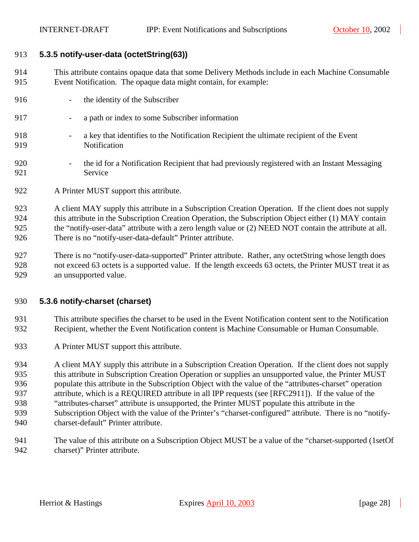#### <span id="page-27-0"></span>913 **5.3.5 notify-user-data (octetString(63))**

- 914 This attribute contains opaque data that some Delivery Methods include in each Machine Consumable 915 Event Notification. The opaque data might contain, for example:
- 916 the identity of the Subscriber
- 917 a path or index to some Subscriber information
- 918 a key that identifies to the Notification Recipient the ultimate recipient of the Event 919 Notification
- 920 the id for a Notification Recipient that had previously registered with an Instant Messaging 921 Service
- 922 A Printer MUST support this attribute.
- 923 A client MAY supply this attribute in a Subscription Creation Operation. If the client does not supply 924 this attribute in the Subscription Creation Operation, the Subscription Object either (1) MAY contain 925 the "notify-user-data" attribute with a zero length value or (2) NEED NOT contain the attribute at all. 926 There is no "notify-user-data-default" Printer attribute.
- 927 There is no "notify-user-data-supported" Printer attribute. Rather, any octetString whose length does 928 not exceed 63 octets is a supported value. If the length exceeds 63 octets, the Printer MUST treat it as 929 an unsupported value.

#### 930 **5.3.6 notify-charset (charset)**

- 931 This attribute specifies the charset to be used in the Event Notification content sent to the Notification 932 Recipient, whether the Event Notification content is Machine Consumable or Human Consumable.
- 933 A Printer MUST support this attribute.

934 A client MAY supply this attribute in a Subscription Creation Operation. If the client does not supply 935 this attribute in Subscription Creation Operation or supplies an unsupported value, the Printer MUST 936 populate this attribute in the Subscription Object with the value of the "attributes-charset" operation 937 attribute, which is a REQUIRED attribute in all IPP requests (see [RFC2911]). If the value of the 938 "attributes-charset" attribute is unsupported, the Printer MUST populate this attribute in the 939 Subscription Object with the value of the Printer's "charset-configured" attribute. There is no "notify-940 charset-default" Printer attribute.

941 The value of this attribute on a Subscription Object MUST be a value of the "charset-supported (1setOf 942 charset)" Printer attribute.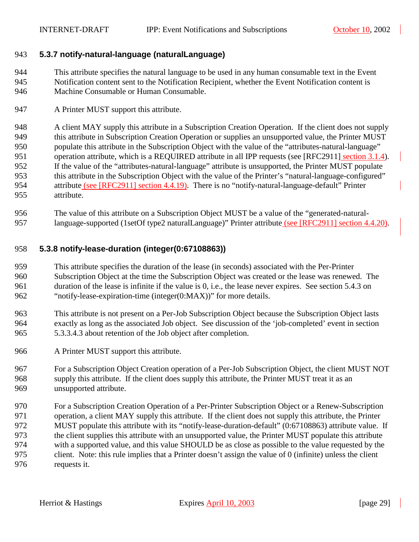#### <span id="page-28-0"></span>943 **5.3.7 notify-natural-language (naturalLanguage)**

944 This attribute specifies the natural language to be used in any human consumable text in the Event 945 Notification content sent to the Notification Recipient, whether the Event Notification content is 946 Machine Consumable or Human Consumable.

947 A Printer MUST support this attribute.

948 A client MAY supply this attribute in a Subscription Creation Operation. If the client does not supply 949 this attribute in Subscription Creation Operation or supplies an unsupported value, the Printer MUST 950 populate this attribute in the Subscription Object with the value of the "attributes-natural-language" 951 operation attribute, which is a REQUIRED attribute in all IPP requests (see [RFC2911] section 3.1.4). 952 If the value of the "attributes-natural-language" attribute is unsupported, the Printer MUST populate 953 this attribute in the Subscription Object with the value of the Printer's "natural-language-configured" 954 attribute (see [RFC2911] section 4.4.19). There is no "notify-natural-language-default" Printer 955 attribute.

956 The value of this attribute on a Subscription Object MUST be a value of the "generated-natural-957 language-supported (1setOf type2 naturalLanguage)" Printer attribute (see [RFC2911] section 4.4.20).

#### 958 **5.3.8 notify-lease-duration (integer(0:67108863))**

959 This attribute specifies the duration of the lease (in seconds) associated with the Per-Printer 960 Subscription Object at the time the Subscription Object was created or the lease was renewed. The 961 duration of the lease is infinite if the value is 0, i.e., the lease never expires. See section [5.4.3](#page-31-0) on 962 "[notify-lease-expiration-time \(integer\(0:MAX\)\)"](#page-31-0) for more details.

- 963 This attribute is not present on a Per-Job Subscription Object because the Subscription Object lasts 964 exactly as long as the associated Job object. See discussion of the 'job-completed' event in section 965 [5.3.3.4.3](#page-23-0) about retention of the Job object after completion.
- 966 A Printer MUST support this attribute.
- 967 For a Subscription Object Creation operation of a Per-Job Subscription Object, the client MUST NOT 968 supply this attribute. If the client does supply this attribute, the Printer MUST treat it as an 969 unsupported attribute.
- 970 For a Subscription Creation Operation of a Per-Printer Subscription Object or a Renew-Subscription 971 operation, a client MAY supply this attribute. If the client does not supply this attribute, the Printer 972 MUST populate this attribute with its "notify-lease-duration-default" (0:67108863) attribute value. If 973 the client supplies this attribute with an unsupported value, the Printer MUST populate this attribute 974 with a supported value, and this value SHOULD be as close as possible to the value requested by the 975 client. Note: this rule implies that a Printer doesn't assign the value of 0 (infinite) unless the client 976 requests it.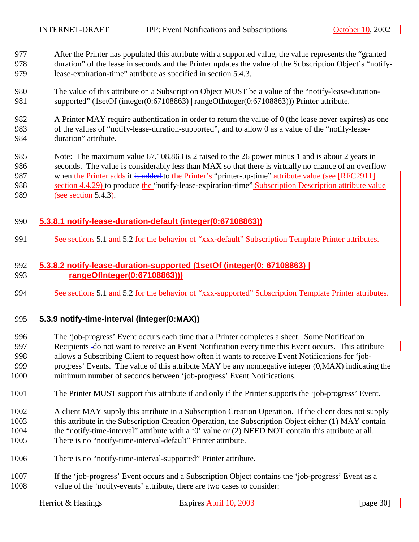<span id="page-29-0"></span>977 After the Printer has populated this attribute with a supported value, the value represents the "granted 978 duration" of the lease in seconds and the Printer updates the value of the Subscription Object's "notify-979 lease-expiration-time" attribute as specified in section [5.4.3.](#page-31-0)

- 980 The value of this attribute on a Subscription Object MUST be a value of the "notify-lease-duration-981 supported" (1setOf (integer(0:67108863) | rangeOfInteger(0:67108863))) Printer attribute.
- 982 A Printer MAY require authentication in order to return the value of 0 (the lease never expires) as one 983 of the values of "notify-lease-duration-supported", and to allow 0 as a value of the "notify-lease-984 duration" attribute.
- 985 Note: The maximum value 67,108,863 is 2 raised to the 26 power minus 1 and is about 2 years in 986 seconds. The value is considerably less than MAX so that there is virtually no chance of an overflow 987 when the Printer adds it is added to the Printer's "printer-up-time" attribute value (see [RFC2911] 988 section 4.4.29) to produce the "notify-lease-expiration-time" Subscription Description attribute value 989 (see section [5.4.3\)](#page-31-0).

#### 990 **5.3.8.1 notify-lease-duration-default (integer(0:67108863))**

991 See sections [5.1](#page-14-0) and [5.2](#page-15-0) for the behavior of "xxx-default" Subscription Template Printer attributes.

#### 992 **5.3.8.2 notify-lease-duration-supported (1setOf (integer(0: 67108863) |**  993 **rangeOfInteger(0:67108863)))**

994 See sections [5.1](#page-14-0) and [5.2](#page-15-0) for the behavior of "xxx-supported" Subscription Template Printer attributes.

#### 995 **5.3.9 notify-time-interval (integer(0:MAX))**

- 996 The 'job-progress' Event occurs each time that a Printer completes a sheet. Some Notification 997 Recipients do not want to receive an Event Notification every time this Event occurs. This attribute 998 allows a Subscribing Client to request how often it wants to receive Event Notifications for 'job-999 progress' Events. The value of this attribute MAY be any nonnegative integer (0,MAX) indicating the 1000 minimum number of seconds between 'job-progress' Event Notifications.
- 1001 The Printer MUST support this attribute if and only if the Printer supports the 'job-progress' Event.
- 1002 A client MAY supply this attribute in a Subscription Creation Operation. If the client does not supply 1003 this attribute in the Subscription Creation Operation, the Subscription Object either (1) MAY contain 1004 the "notify-time-interval" attribute with a '0' value or (2) NEED NOT contain this attribute at all. 1005 There is no "notify-time-interval-default" Printer attribute.
- 1006 There is no "notify-time-interval-supported" Printer attribute.
- 1007 If the 'job-progress' Event occurs and a Subscription Object contains the 'job-progress' Event as a 1008 value of the 'notify-events' attribute, there are two cases to consider: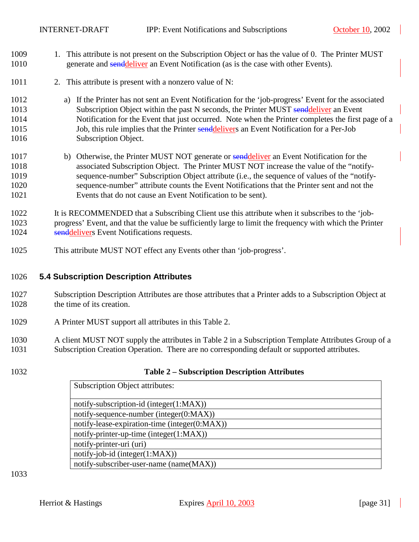- <span id="page-30-0"></span>1009 1. This attribute is not present on the Subscription Object or has the value of 0. The Printer MUST 1010 generate and sendeliver an Event Notification (as is the case with other Events).
- 1011 2. This attribute is present with a nonzero value of N:
- 1012 a) If the Printer has not sent an Event Notification for the 'job-progress' Event for the associated 1013 Subscription Object within the past N seconds, the Printer MUST sendeliver an Event 1014 Notification for the Event that just occurred. Note when the Printer completes the first page of a 1015 Job, this rule implies that the Printer senddelivers an Event Notification for a Per-Job 1016 Subscription Object.
- 1017 b) Otherwise, the Printer MUST NOT generate or senddeliver an Event Notification for the 1018 associated Subscription Object. The Printer MUST NOT increase the value of the "notify-1019 sequence-number" Subscription Object attribute (i.e., the sequence of values of the "notify-1020 sequence-number" attribute counts the Event Notifications that the Printer sent and not the 1021 Events that do not cause an Event Notification to be sent).
- 1022 It is RECOMMENDED that a Subscribing Client use this attribute when it subscribes to the 'job-1023 progress' Event, and that the value be sufficiently large to limit the frequency with which the Printer 1024 senddelivers Event Notifications requests.
- 1025 This attribute MUST NOT effect any Events other than 'job-progress'.

#### 1026 **5.4 Subscription Description Attributes**

- 1027 Subscription Description Attributes are those attributes that a Printer adds to a Subscription Object at 1028 the time of its creation.
- 1029 A Printer MUST support all attributes in this Table 2.
- 1030 A client MUST NOT supply the attributes in Table 2 in a Subscription Template Attributes Group of a 1031 Subscription Creation Operation. There are no corresponding default or supported attributes.
- 

#### 1032 **Table 2 – Subscription Description Attributes**

|                          | <b>Subscription Object attributes:</b>        |  |
|--------------------------|-----------------------------------------------|--|
|                          |                                               |  |
|                          | notify-subscription-id (integer(1:MAX))       |  |
|                          | notify-sequence-number (integer $(0:MAX)$ )   |  |
|                          | notify-lease-expiration-time (integer(0:MAX)) |  |
|                          | notify-printer-up-time (integer $(1:MAX)$ )   |  |
| notify-printer-uri (uri) |                                               |  |
|                          | $notify-job-id (integer(1:MAX))$              |  |
|                          | notify-subscriber-user-name (name(MAX))       |  |

1033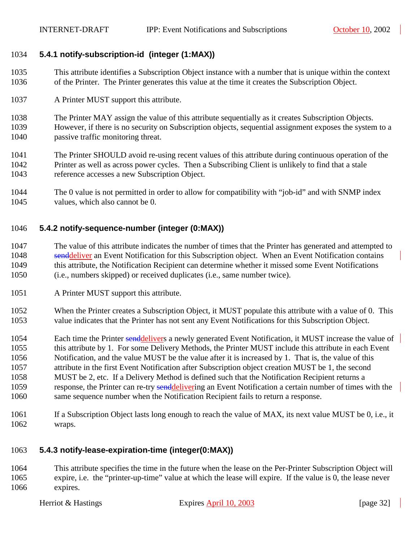#### <span id="page-31-0"></span>1034 **5.4.1 notify-subscription-id (integer (1:MAX))**

- 1035 This attribute identifies a Subscription Object instance with a number that is unique within the context 1036 of the Printer. The Printer generates this value at the time it creates the Subscription Object.
- 1037 A Printer MUST support this attribute.
- 1038 The Printer MAY assign the value of this attribute sequentially as it creates Subscription Objects. 1039 However, if there is no security on Subscription objects, sequential assignment exposes the system to a 1040 passive traffic monitoring threat.
- 1041 The Printer SHOULD avoid re-using recent values of this attribute during continuous operation of the 1042 Printer as well as across power cycles. Then a Subscribing Client is unlikely to find that a stale 1043 reference accesses a new Subscription Object.
- 1044 The 0 value is not permitted in order to allow for compatibility with "job-id" and with SNMP index 1045 values, which also cannot be 0.

#### 1046 **5.4.2 notify-sequence-number (integer (0:MAX))**

- 1047 The value of this attribute indicates the number of times that the Printer has generated and attempted to 1048 senddeliver an Event Notification for this Subscription object. When an Event Notification contains 1049 this attribute, the Notification Recipient can determine whether it missed some Event Notifications 1050 (i.e., numbers skipped) or received duplicates (i.e., same number twice).
- 1051 A Printer MUST support this attribute.
- 1052 When the Printer creates a Subscription Object, it MUST populate this attribute with a value of 0. This 1053 value indicates that the Printer has not sent any Event Notifications for this Subscription Object.
- 1054 Each time the Printer senddelivers a newly generated Event Notification, it MUST increase the value of 1055 this attribute by 1. For some Delivery Methods, the Printer MUST include this attribute in each Event 1056 Notification, and the value MUST be the value after it is increased by 1. That is, the value of this 1057 attribute in the first Event Notification after Subscription object creation MUST be 1, the second 1058 MUST be 2, etc. If a Delivery Method is defined such that the Notification Recipient returns a 1059 response, the Printer can re-try senddelivering an Event Notification a certain number of times with the 1060 same sequence number when the Notification Recipient fails to return a response.
- 1061 If a Subscription Object lasts long enough to reach the value of MAX, its next value MUST be 0, i.e., it 1062 wraps.

#### 1063 **5.4.3 notify-lease-expiration-time (integer(0:MAX))**

1064 This attribute specifies the time in the future when the lease on the Per-Printer Subscription Object will 1065 expire, i.e. the "printer-up-time" value at which the lease will expire. If the value is 0, the lease never 1066 expires.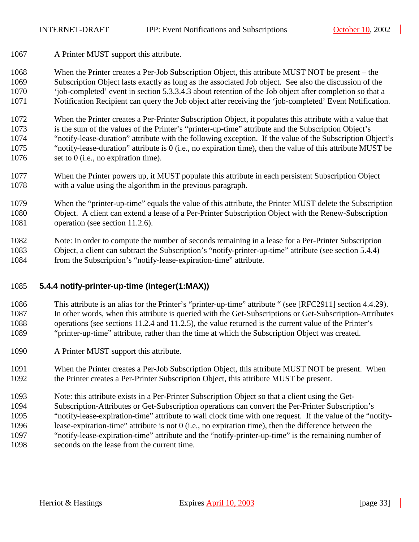<span id="page-32-0"></span>1067 A Printer MUST support this attribute.

1068 When the Printer creates a Per-Job Subscription Object, this attribute MUST NOT be present – the 1069 Subscription Object lasts exactly as long as the associated Job object. See also the discussion of the 1070 'job-completed' event in section [5.3.3.4.3](#page-23-0) about retention of the Job object after completion so that a 1071 Notification Recipient can query the Job object after receiving the 'job-completed' Event Notification.

1072 When the Printer creates a Per-Printer Subscription Object, it populates this attribute with a value that 1073 is the sum of the values of the Printer's "printer-up-time" attribute and the Subscription Object's 1074 "notify-lease-duration" attribute with the following exception. If the value of the Subscription Object's 1075 "notify-lease-duration" attribute is 0 (i.e., no expiration time), then the value of this attribute MUST be 1076 set to 0 (i.e., no expiration time).

1077 When the Printer powers up, it MUST populate this attribute in each persistent Subscription Object 1078 with a value using the algorithm in the previous paragraph.

1079 When the "printer-up-time" equals the value of this attribute, the Printer MUST delete the Subscription 1080 Object. A client can extend a lease of a Per-Printer Subscription Object with the Renew-Subscription 1081 operation (see section [11.2.6\)](#page-57-0).

1082 Note: In order to compute the number of seconds remaining in a lease for a Per-Printer Subscription 1083 Object, a client can subtract the Subscription's "notify-printer-up-time" attribute (see section 5.4.4) 1084 from the Subscription's "notify-lease-expiration-time" attribute.

### 1085 **5.4.4 notify-printer-up-time (integer(1:MAX))**

1086 This attribute is an alias for the Printer's "printer-up-time" attribute " (see [RFC2911] section 4.4.29). 1087 In other words, when this attribute is queried with the Get-Subscriptions or Get-Subscription-Attributes 1088 operations (see sections [11.2.4](#page-52-0) and [11.2.5\)](#page-55-0), the value returned is the current value of the Printer's 1089 "printer-up-time" attribute, rather than the time at which the Subscription Object was created.

- 1090 A Printer MUST support this attribute.
- 1091 When the Printer creates a Per-Job Subscription Object, this attribute MUST NOT be present. When 1092 the Printer creates a Per-Printer Subscription Object, this attribute MUST be present.
- 1093 Note: this attribute exists in a Per-Printer Subscription Object so that a client using the Get-
- 1094 Subscription-Attributes or Get-Subscription operations can convert the Per-Printer Subscription's 1095 "notify-lease-expiration-time" attribute to wall clock time with one request. If the value of the "notify-1096 lease-expiration-time" attribute is not 0 (i.e., no expiration time), then the difference between the 1097 "notify-lease-expiration-time" attribute and the "notify-printer-up-time" is the remaining number of
- 1098 seconds on the lease from the current time.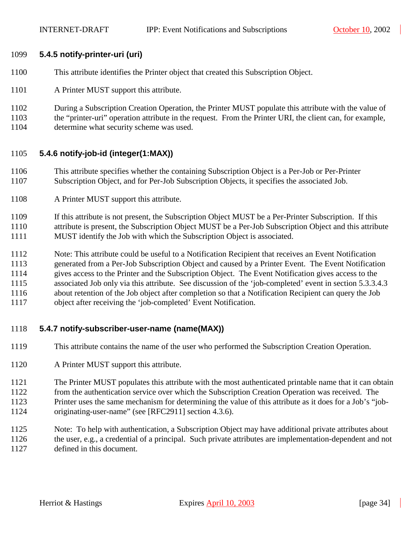#### <span id="page-33-0"></span>1099 **5.4.5 notify-printer-uri (uri)**

- 1100 This attribute identifies the Printer object that created this Subscription Object.
- 1101 A Printer MUST support this attribute.
- 1102 During a Subscription Creation Operation, the Printer MUST populate this attribute with the value of 1103 the "printer-uri" operation attribute in the request. From the Printer URI, the client can, for example,
- 1104 determine what security scheme was used.

#### 1105 **5.4.6 notify-job-id (integer(1:MAX))**

- 1106 This attribute specifies whether the containing Subscription Object is a Per-Job or Per-Printer 1107 Subscription Object, and for Per-Job Subscription Objects, it specifies the associated Job.
- 1108 A Printer MUST support this attribute.
- 1109 If this attribute is not present, the Subscription Object MUST be a Per-Printer Subscription. If this 1110 attribute is present, the Subscription Object MUST be a Per-Job Subscription Object and this attribute 1111 MUST identify the Job with which the Subscription Object is associated.
- 1112 Note: This attribute could be useful to a Notification Recipient that receives an Event Notification 1113 generated from a Per-Job Subscription Object and caused by a Printer Event. The Event Notification 1114 gives access to the Printer and the Subscription Object. The Event Notification gives access to the 1115 associated Job only via this attribute. See discussion of the 'job-completed' event in section [5.3.3.4.3](#page-23-0)  1116 about retention of the Job object after completion so that a Notification Recipient can query the Job 1117 object after receiving the 'job-completed' Event Notification.
- 1118 **5.4.7 notify-subscriber-user-name (name(MAX))**
- 1119 This attribute contains the name of the user who performed the Subscription Creation Operation.
- 1120 A Printer MUST support this attribute.
- 1121 The Printer MUST populates this attribute with the most authenticated printable name that it can obtain
- 1122 from the authentication service over which the Subscription Creation Operation was received. The
- 1123 Printer uses the same mechanism for determining the value of this attribute as it does for a Job's "job-
- 1124 originating-user-name" (see [RFC2911] section 4.3.6).
- 1125 Note: To help with authentication, a Subscription Object may have additional private attributes about 1126 the user, e.g., a credential of a principal. Such private attributes are implementation-dependent and not
- 1127 defined in this document.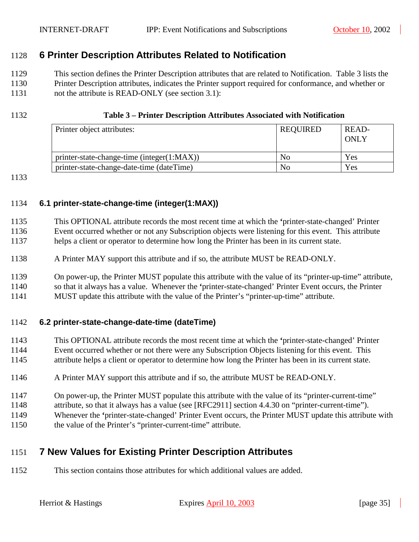# <span id="page-34-0"></span>1128 **6 Printer Description Attributes Related to Notification**

1129 This section defines the Printer Description attributes that are related to Notification. Table 3 lists the 1130 Printer Description attributes, indicates the Printer support required for conformance, and whether or 1131 not the attribute is READ-ONLY (see section [3.1\)](#page-10-0):

#### 1132 **Table 3 – Printer Description Attributes Associated with Notification**

| Printer object attributes:                 | <b>REQUIRED</b> | READ-<br>ONLY |
|--------------------------------------------|-----------------|---------------|
| printer-state-change-time (integer(1:MAX)) | No              | Yes           |
| printer-state-change-date-time (dateTime)  | No              | Yes           |

1133

#### 1134 **6.1 printer-state-change-time (integer(1:MAX))**

| 1135 | This OPTIONAL attribute records the most recent time at which the 'printer-state-changed' Printer    |
|------|------------------------------------------------------------------------------------------------------|
| 1136 | Event occurred whether or not any Subscription objects were listening for this event. This attribute |
| 1137 | helps a client or operator to determine how long the Printer has been in its current state.          |

- 1138 A Printer MAY support this attribute and if so, the attribute MUST be READ-ONLY.
- 1139 On power-up, the Printer MUST populate this attribute with the value of its "printer-up-time" attribute,
- 1140 so that it always has a value. Whenever the **'**printer-state-changed' Printer Event occurs, the Printer
- 1141 MUST update this attribute with the value of the Printer's "printer-up-time" attribute.

#### 1142 **6.2 printer-state-change-date-time (dateTime)**

- 1143 This OPTIONAL attribute records the most recent time at which the **'**printer-state-changed' Printer 1144 Event occurred whether or not there were any Subscription Objects listening for this event. This
- 1145 attribute helps a client or operator to determine how long the Printer has been in its current state.
- 1146 A Printer MAY support this attribute and if so, the attribute MUST be READ-ONLY.
- 1147 On power-up, the Printer MUST populate this attribute with the value of its "printer-current-time"
- 1148 attribute, so that it always has a value (see [RFC2911] section 4.4.30 on "printer-current-time").
- 1149 Whenever the **'**printer-state-changed' Printer Event occurs, the Printer MUST update this attribute with
- 1150 the value of the Printer's "printer-current-time" attribute.

# 1151 **7 New Values for Existing Printer Description Attributes**

1152 This section contains those attributes for which additional values are added.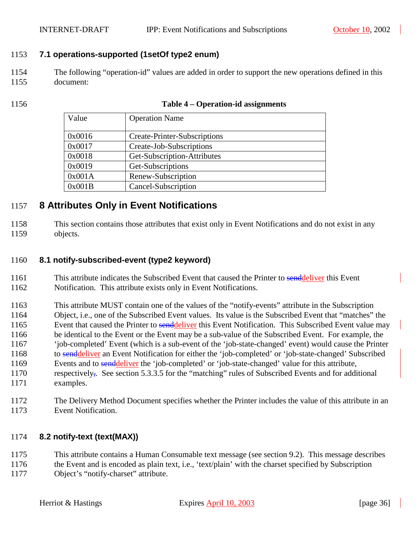#### <span id="page-35-0"></span>1153 **7.1 operations-supported (1setOf type2 enum)**

- 1154 The following "operation-id" values are added in order to support the new operations defined in this 1155 document:
- 

| 1156 | Table 4 – Operation-id assignments |
|------|------------------------------------|
|------|------------------------------------|

| Value  | <b>Operation Name</b>        |
|--------|------------------------------|
|        |                              |
| 0x0016 | Create-Printer-Subscriptions |
| 0x0017 | Create-Job-Subscriptions     |
| 0x0018 | Get-Subscription-Attributes  |
| 0x0019 | Get-Subscriptions            |
| 0x001A | Renew-Subscription           |
| 0x001B | Cancel-Subscription          |

# 1157 **8 Attributes Only in Event Notifications**

1158 This section contains those attributes that exist only in Event Notifications and do not exist in any 1159 objects.

#### 1160 **8.1 notify-subscribed-event (type2 keyword)**

- 1161 This attribute indicates the Subscribed Event that caused the Printer to senddeliver this Event
- 1162 Notification. This attribute exists only in Event Notifications.
- 1163 This attribute MUST contain one of the values of the "notify-events" attribute in the Subscription 1164 Object, i.e., one of the Subscribed Event values. Its value is the Subscribed Event that "matches" the 1165 Event that caused the Printer to senddeliver this Event Notification. This Subscribed Event value may 1166 be identical to the Event or the Event may be a sub-value of the Subscribed Event. For example, the 1167 'job-completed' Event (which is a sub-event of the 'job-state-changed' event) would cause the Printer 1168 to senddeliver an Event Notification for either the 'job-completed' or 'job-state-changed' Subscribed 1169 Events and to senddeliver the 'job-completed' or 'job-state-changed' value for this attribute, 1170 respectively,. See section [5.3.3.5](#page-24-0) for the "matching" rules of Subscribed Events and for additional 1171 examples.
- 1172 The Delivery Method Document specifies whether the Printer includes the value of this attribute in an 1173 Event Notification.

#### 1174 **8.2 notify-text (text(MAX))**

1175 This attribute contains a Human Consumable text message (see section [9.2\)](#page-40-0). This message describes 1176 the Event and is encoded as plain text, i.e., 'text/plain' with the charset specified by Subscription

1177 Object's "notify-charset" attribute.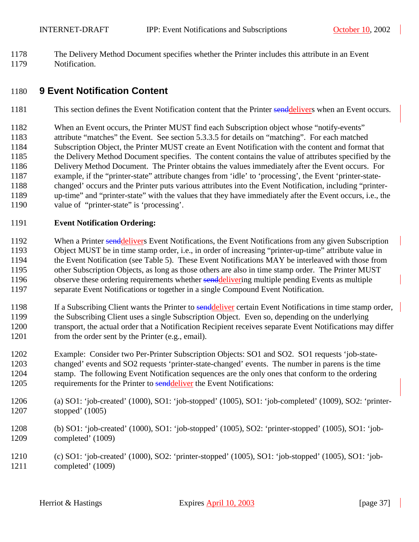<span id="page-36-0"></span>1178 The Delivery Method Document specifies whether the Printer includes this attribute in an Event 1179 Notification.

# 1180 **9 Event Notification Content**

- 1181 This section defines the Event Notification content that the Printer senddelivers when an Event occurs.
- 1182 When an Event occurs, the Printer MUST find each Subscription object whose "notify-events"
- 1183 attribute "matches" the Event. See section [5.3.3.5](#page-24-0) for details on "matching". For each matched 1184 Subscription Object, the Printer MUST create an Event Notification with the content and format that 1185 the Delivery Method Document specifies. The content contains the value of attributes specified by the 1186 Delivery Method Document. The Printer obtains the values immediately after the Event occurs. For 1187 example, if the "printer-state" attribute changes from 'idle' to 'processing', the Event 'printer-state-1188 changed' occurs and the Printer puts various attributes into the Event Notification, including "printer-1189 up-time" and "printer-state" with the values that they have immediately after the Event occurs, i.e., the
- 1190 value of "printer-state" is 'processing'.

#### 1191 **Event Notification Ordering:**

- 1192 When a Printer senddelivers Event Notifications, the Event Notifications from any given Subscription 1193 Object MUST be in time stamp order, i.e., in order of increasing "printer-up-time" attribute value in 1194 the Event Notification (see Table 5). These Event Notifications MAY be interleaved with those from 1195 other Subscription Objects, as long as those others are also in time stamp order. The Printer MUST 1196 observe these ordering requirements whether senddelivering multiple pending Events as multiple 1197 separate Event Notifications or together in a single Compound Event Notification.
- 1198 If a Subscribing Client wants the Printer to send deliver certain Event Notifications in time stamp order, 1199 the Subscribing Client uses a single Subscription Object. Even so, depending on the underlying 1200 transport, the actual order that a Notification Recipient receives separate Event Notifications may differ 1201 from the order sent by the Printer (e.g., email).
- 1202 Example: Consider two Per-Printer Subscription Objects: SO1 and SO2. SO1 requests 'job-state-1203 changed' events and SO2 requests 'printer-state-changed' events. The number in parens is the time 1204 stamp. The following Event Notification sequences are the only ones that conform to the ordering 1205 requirements for the Printer to senddeliver the Event Notifications:
- 1206 (a) SO1: 'job-created' (1000), SO1: 'job-stopped' (1005), SO1: 'job-completed' (1009), SO2: 'printer-1207 stopped' (1005)
- 1208 (b) SO1: 'job-created' (1000), SO1: 'job-stopped' (1005), SO2: 'printer-stopped' (1005), SO1: 'job-1209 completed' (1009)
- 1210 (c) SO1: 'job-created' (1000), SO2: 'printer-stopped' (1005), SO1: 'job-stopped' (1005), SO1: 'job-1211 completed' (1009)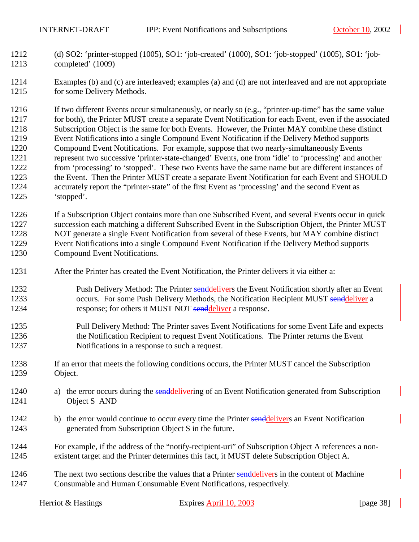- 1212 (d) SO2: 'printer-stopped (1005), SO1: 'job-created' (1000), SO1: 'job-stopped' (1005), SO1: 'job-1213 completed' (1009)
- 1214 Examples (b) and (c) are interleaved; examples (a) and (d) are not interleaved and are not appropriate 1215 for some Delivery Methods.

1216 If two different Events occur simultaneously, or nearly so (e.g., "printer-up-time" has the same value 1217 for both), the Printer MUST create a separate Event Notification for each Event, even if the associated 1218 Subscription Object is the same for both Events. However, the Printer MAY combine these distinct 1219 Event Notifications into a single Compound Event Notification if the Delivery Method supports 1220 Compound Event Notifications. For example, suppose that two nearly-simultaneously Events 1221 represent two successive 'printer-state-changed' Events, one from 'idle' to 'processing' and another 1222 from 'processing' to 'stopped'. These two Events have the same name but are different instances of 1223 the Event. Then the Printer MUST create a separate Event Notification for each Event and SHOULD 1224 accurately report the "printer-state" of the first Event as 'processing' and the second Event as 1225 'stopped'.

1226 If a Subscription Object contains more than one Subscribed Event, and several Events occur in quick 1227 succession each matching a different Subscribed Event in the Subscription Object, the Printer MUST 1228 NOT generate a single Event Notification from several of these Events, but MAY combine distinct 1229 Event Notifications into a single Compound Event Notification if the Delivery Method supports 1230 Compound Event Notifications.

- 1231 After the Printer has created the Event Notification, the Printer delivers it via either a:
- 1232 Push Delivery Method: The Printer senddelivers the Event Notification shortly after an Event 1233 occurs. For some Push Delivery Methods, the Notification Recipient MUST senddeliver a 1234 response; for others it MUST NOT sendeliver a response.
- 1235 Pull Delivery Method: The Printer saves Event Notifications for some Event Life and expects 1236 the Notification Recipient to request Event Notifications. The Printer returns the Event 1237 Notifications in a response to such a request.
- 1238 If an error that meets the following conditions occurs, the Printer MUST cancel the Subscription 1239 Object.
- 1240 a) the error occurs during the senddelivering of an Event Notification generated from Subscription 1241 Object S AND
- 1242 b) the error would continue to occur every time the Printer senddelivers an Event Notification 1243 generated from Subscription Object S in the future.
- 1244 For example, if the address of the "notify-recipient-uri" of Subscription Object A references a non-1245 existent target and the Printer determines this fact, it MUST delete Subscription Object A.
- 1246 The next two sections describe the values that a Printer senddelivers in the content of Machine 1247 Consumable and Human Consumable Event Notifications, respectively.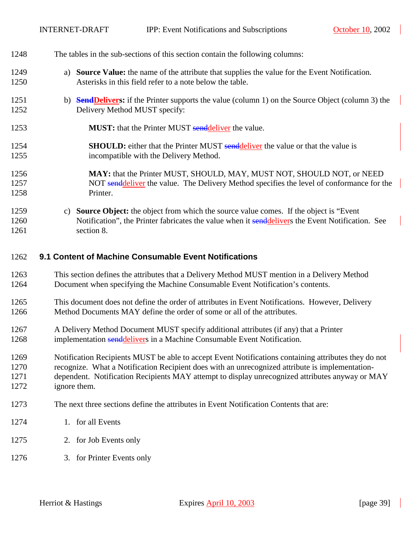$\mathcal{L}$ 

<span id="page-38-0"></span>

| 1248 | The tables in the sub-sections of this section contain the following columns:                             |
|------|-----------------------------------------------------------------------------------------------------------|
| 1249 | a) Source Value: the name of the attribute that supplies the value for the Event Notification.            |
| 1250 | Asterisks in this field refer to a note below the table.                                                  |
| 1251 | b) <b>Send Delivers:</b> if the Printer supports the value (column 1) on the Source Object (column 3) the |
| 1252 | Delivery Method MUST specify:                                                                             |
| 1253 | <b>MUST:</b> that the Printer MUST sendeliver the value.                                                  |
| 1254 | <b>SHOULD:</b> either that the Printer MUST sendeliver the value or that the value is                     |
| 1255 | incompatible with the Delivery Method.                                                                    |
| 1256 | MAY: that the Printer MUST, SHOULD, MAY, MUST NOT, SHOULD NOT, or NEED                                    |
| 1257 | NOT senddeliver the value. The Delivery Method specifies the level of conformance for the                 |
| 1258 | Printer.                                                                                                  |
| 1259 | c) Source Object: the object from which the source value comes. If the object is "Event"                  |
| 1260 | Notification", the Printer fabricates the value when it senddelivers the Event Notification. See          |
| 1261 | section 8.                                                                                                |
| 1262 | 9.1 Content of Machine Consumable Event Notifications                                                     |
| 1263 | This section defines the attributes that a Delivery Method MUST mention in a Delivery Method              |
| 1264 | Document when specifying the Machine Consumable Event Notification's contents.                            |
| 1265 | This document does not define the order of attributes in Event Notifications. However, Delivery           |
| 1266 | Method Documents MAY define the order of some or all of the attributes.                                   |
| 1267 | A Delivery Method Document MUST specify additional attributes (if any) that a Printer                     |
| 1268 | implementation senddelivers in a Machine Consumable Event Notification.                                   |
| 1269 | Notification Recipients MUST be able to accept Event Notifications containing attributes they do not      |
| 1270 | recognize. What a Notification Recipient does with an unrecognized attribute is implementation-           |
| 1271 | dependent. Notification Recipients MAY attempt to display unrecognized attributes anyway or MAY           |
| 1272 | ignore them.                                                                                              |
| 1273 | The next three sections define the attributes in Event Notification Contents that are:                    |
| 1274 | 1. for all Events                                                                                         |
| 1275 | 2. for Job Events only                                                                                    |
| 1276 | 3. for Printer Events only                                                                                |

 $\overline{\phantom{a}}$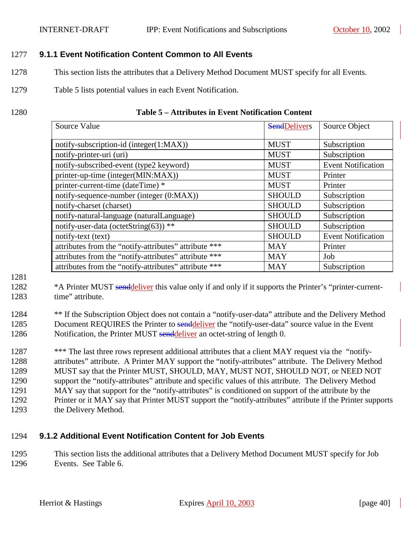#### 1277 **9.1.1 Event Notification Content Common to All Events**

- 1278 This section lists the attributes that a Delivery Method Document MUST specify for all Events.
- 1279 Table 5 lists potential values in each Event Notification.
- 

#### 1280 **Table 5 – Attributes in Event Notification Content**

| Source Value                                          | <b>SendDelivers</b> | Source Object             |
|-------------------------------------------------------|---------------------|---------------------------|
| notify-subscription-id (integer(1:MAX))               | <b>MUST</b>         | Subscription              |
| notify-printer-uri (uri)                              | <b>MUST</b>         | Subscription              |
| notify-subscribed-event (type2 keyword)               | <b>MUST</b>         | <b>Event Notification</b> |
| printer-up-time (integer(MIN:MAX))                    | <b>MUST</b>         | Printer                   |
| printer-current-time (dateTime) *                     | <b>MUST</b>         | Printer                   |
| notify-sequence-number (integer (0:MAX))              | <b>SHOULD</b>       | Subscription              |
| notify-charset (charset)                              | <b>SHOULD</b>       | Subscription              |
| notify-natural-language (naturalLanguage)             | <b>SHOULD</b>       | Subscription              |
| notify-user-data (octetString(63)) **                 | <b>SHOULD</b>       | Subscription              |
| notify-text (text)                                    | <b>SHOULD</b>       | <b>Event Notification</b> |
| attributes from the "notify-attributes" attribute *** | <b>MAY</b>          | Printer                   |
| attributes from the "notify-attributes" attribute *** | <b>MAY</b>          | Job                       |
| attributes from the "notify-attributes" attribute *** | <b>MAY</b>          | Subscription              |

1281

- <sup>\*</sup>A Printer MUST senddeliver this value only if and only if it supports the Printer's "printer-current-1283 time" attribute.
- 1284 \*\* If the Subscription Object does not contain a "notify-user-data" attribute and the Delivery Method 1285 Document REQUIRES the Printer to senddeliver the "notify-user-data" source value in the Event 1286 Notification, the Printer MUST senddeliver an octet-string of length 0.

1287 \*\*\* The last three rows represent additional attributes that a client MAY request via the "notify-1288 attributes" attribute. A Printer MAY support the "notify-attributes" attribute. The Delivery Method 1289 MUST say that the Printer MUST, SHOULD, MAY, MUST NOT, SHOULD NOT, or NEED NOT 1290 support the "notify-attributes" attribute and specific values of this attribute. The Delivery Method 1291 MAY say that support for the "notify-attributes" is conditioned on support of the attribute by the 1292 Printer or it MAY say that Printer MUST support the "notify-attributes" attribute if the Printer supports 1293 the Delivery Method.

#### 1294 **9.1.2 Additional Event Notification Content for Job Events**

1295 This section lists the additional attributes that a Delivery Method Document MUST specify for Job 1296 Events. See [Table 6.](#page-40-0)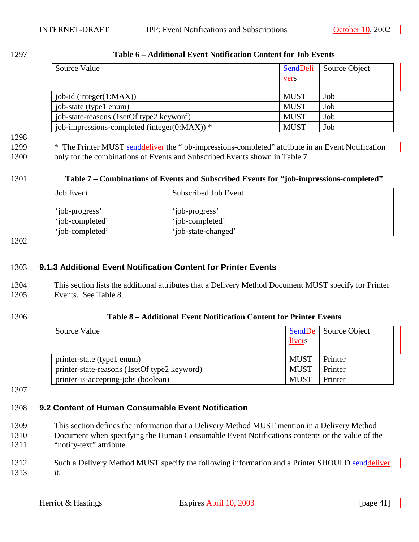<span id="page-40-0"></span>1297 **Table 6 – Additional Event Notification Content for Job Events** 

| Source Value                                     | <b>SendDeli</b><br><u>vers</u> | Source Object |
|--------------------------------------------------|--------------------------------|---------------|
| $job-id$ (integer $(1:MAX)$ )                    | <b>MUST</b>                    | Job           |
| job-state (type1 enum)                           | <b>MUST</b>                    | Job           |
| job-state-reasons (1setOf type2 keyword)         | <b>MUST</b>                    | Job           |
| job-impressions-completed (integer( $0:MAX$ )) * | <b>MUST</b>                    | Job           |

#### 1298

1299 \* The Printer MUST senddeliver the "job-impressions-completed" attribute in an Event Notification 1300 only for the combinations of Events and Subscribed Events shown in Table 7.

#### 1301 **Table 7 – Combinations of Events and Subscribed Events for "job-impressions-completed"**

| <b>Job</b> Event | Subscribed Job Event |
|------------------|----------------------|
| 'job-progress'   | 'iob-progress'       |
| 'iob-completed'  | 'iob-completed'      |
| 'iob-completed'  | 'job-state-changed'  |

1302

#### 1303 **9.1.3 Additional Event Notification Content for Printer Events**

- 1304 This section lists the additional attributes that a Delivery Method Document MUST specify for Printer 1305 Events. See Table 8.
- 

#### 1306 **Table 8 – Additional Event Notification Content for Printer Events**

| Source Value                                 | <b>SendDe</b><br>livers | Source Object |
|----------------------------------------------|-------------------------|---------------|
| printer-state (type1 enum)                   | <b>MUST</b>             | Printer       |
| printer-state-reasons (1setOf type2 keyword) | <b>MUST</b>             | Printer       |
| printer-is-accepting-jobs (boolean)          | <b>MUST</b>             | Printer       |

1307

# 1308 **9.2 Content of Human Consumable Event Notification**

- 1309 This section defines the information that a Delivery Method MUST mention in a Delivery Method 1310 Document when specifying the Human Consumable Event Notifications contents or the value of the 1311 "notify-text" attribute.
- 1312 Such a Delivery Method MUST specify the following information and a Printer SHOULD senddeliver 1313 it: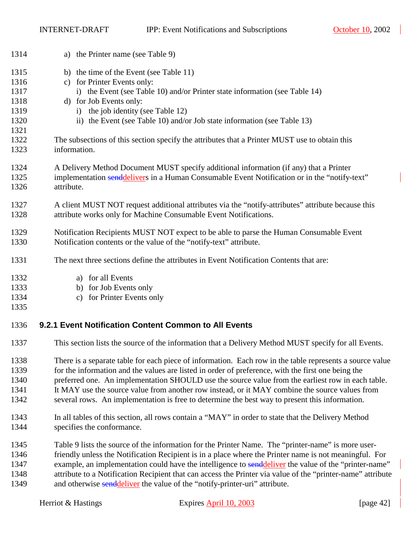INTERNET-DRAFT IPP: Event Notifications and Subscriptions October 10, 2002

| 1314 | a) the Printer name (see Table 9)                                                                           |
|------|-------------------------------------------------------------------------------------------------------------|
| 1315 | b) the time of the Event (see Table 11)                                                                     |
| 1316 | c) for Printer Events only:                                                                                 |
| 1317 | i) the Event (see Table 10) and/or Printer state information (see Table 14)                                 |
| 1318 | d) for Job Events only:                                                                                     |
| 1319 | i) the job identity (see Table 12)                                                                          |
| 1320 | ii) the Event (see Table 10) and/or Job state information (see Table 13)                                    |
| 1321 |                                                                                                             |
| 1322 | The subsections of this section specify the attributes that a Printer MUST use to obtain this               |
| 1323 | information.                                                                                                |
|      |                                                                                                             |
| 1324 | A Delivery Method Document MUST specify additional information (if any) that a Printer                      |
| 1325 | implementation senddelivers in a Human Consumable Event Notification or in the "notify-text"                |
| 1326 | attribute.                                                                                                  |
| 1327 | A client MUST NOT request additional attributes via the "notify-attributes" attribute because this          |
| 1328 | attribute works only for Machine Consumable Event Notifications.                                            |
|      |                                                                                                             |
| 1329 | Notification Recipients MUST NOT expect to be able to parse the Human Consumable Event                      |
| 1330 | Notification contents or the value of the "notify-text" attribute.                                          |
| 1331 | The next three sections define the attributes in Event Notification Contents that are:                      |
| 1332 | a) for all Events                                                                                           |
| 1333 | b) for Job Events only                                                                                      |
| 1334 | for Printer Events only<br>$\mathbf{c}$ )                                                                   |
| 1335 |                                                                                                             |
| 1336 | 9.2.1 Event Notification Content Common to All Events                                                       |
| 1337 | This section lists the source of the information that a Delivery Method MUST specify for all Events.        |
| 1338 | There is a separate table for each piece of information. Each row in the table represents a source value    |
| 1339 | for the information and the values are listed in order of preference, with the first one being the          |
| 1340 | preferred one. An implementation SHOULD use the source value from the earliest row in each table.           |
| 1341 | It MAY use the source value from another row instead, or it MAY combine the source values from              |
| 1342 | several rows. An implementation is free to determine the best way to present this information.              |
| 1343 | In all tables of this section, all rows contain a "MAY" in order to state that the Delivery Method          |
| 1344 | specifies the conformance.                                                                                  |
|      |                                                                                                             |
| 1345 | Table 9 lists the source of the information for the Printer Name. The "printer-name" is more user-          |
| 1346 | friendly unless the Notification Recipient is in a place where the Printer name is not meaningful. For      |
| 1347 | example, an implementation could have the intelligence to send deliver the value of the "printer-name"      |
| 1348 | attribute to a Notification Recipient that can access the Printer via value of the "printer-name" attribute |
| 1349 | and otherwise senddeliver the value of the "notify-printer-uri" attribute.                                  |
|      |                                                                                                             |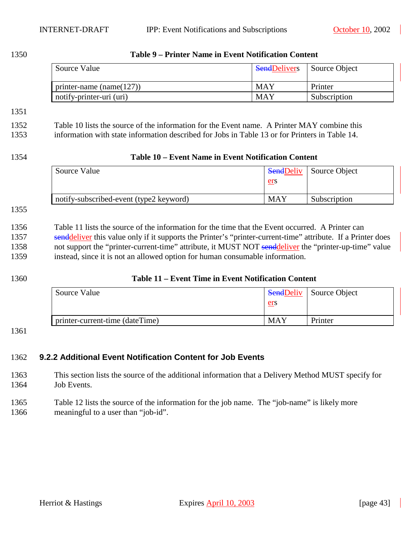<span id="page-42-0"></span>

1350 **Table 9 – Printer Name in Event Notification Content** 

| Source Value                 | <b>SendDelivers</b> | Source Object |
|------------------------------|---------------------|---------------|
| printer-name (name( $127$ )) | <b>MAY</b>          | Printer       |
| notify-printer-uri (uri)     | MAY                 | Subscription  |

#### 1351

#### 1352 Table 10 lists the source of the information for the Event name. A Printer MAY combine this

1353 information with state information described for Jobs in [Table 13](#page-43-0) or for Printers in [Table 14.](#page-44-0)

#### 1354 **Table 10 – Event Name in Event Notification Content**

| Source Value                            |     | <b>SendDeliv</b> Source Object |
|-----------------------------------------|-----|--------------------------------|
|                                         | ers |                                |
| notify-subscribed-event (type2 keyword) | MAY | Subscription                   |

#### 1355

1356 Table 11 lists the source of the information for the time that the Event occurred. A Printer can 1357 senddeliver this value only if it supports the Printer's "printer-current-time" attribute. If a Printer does 1358 not support the "printer-current-time" attribute, it MUST NOT senddeliver the "printer-up-time" value 1359 instead, since it is not an allowed option for human consumable information.

#### 1360 **Table 11 – Event Time in Event Notification Content**

| Source Value                    | ers        | <b>SendDeliv</b> Source Object |
|---------------------------------|------------|--------------------------------|
| printer-current-time (dateTime) | <b>MAY</b> | Printer                        |

#### 1361

#### 1362 **9.2.2 Additional Event Notification Content for Job Events**

1363 This section lists the source of the additional information that a Delivery Method MUST specify for 1364 Job Events.

#### 1365 [Table 12](#page-43-0) lists the source of the information for the job name. The "job-name" is likely more 1366 meaningful to a user than "job-id".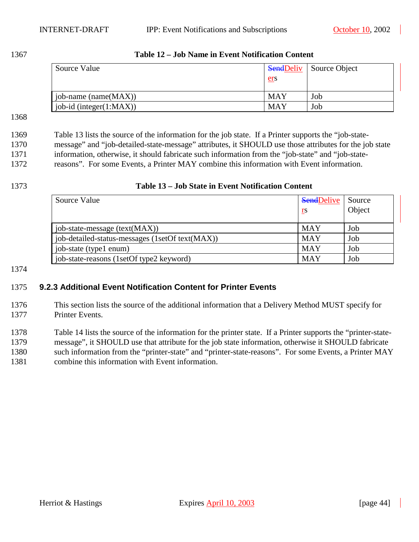<span id="page-43-0"></span>1367 **Table 12 – Job Name in Event Notification Content** 

| Source Value             |            | <b>SendDeliv</b> Source Object |
|--------------------------|------------|--------------------------------|
|                          | ers        |                                |
| job-name (name $(MAX)$ ) | <b>MAY</b> | Job                            |
| job-id (integer(1:MAX))  | <b>MAY</b> | Job                            |

1368

1369 Table 13 lists the source of the information for the job state. If a Printer supports the "job-state-1370 message" and "job-detailed-state-message" attributes, it SHOULD use those attributes for the job state 1371 information, otherwise, it should fabricate such information from the "job-state" and "job-state-1372 reasons". For some Events, a Printer MAY combine this information with Event information.

# 1373 **Table 13 – Job State in Event Notification Content**

| Source Value                                    | <b>SendDelive</b> | Source |
|-------------------------------------------------|-------------------|--------|
|                                                 | rs                | Object |
|                                                 |                   |        |
| job-state-message (text(MAX))                   | <b>MAY</b>        | Job    |
| job-detailed-status-messages (1setOf text(MAX)) | <b>MAY</b>        | Job    |
| job-state (type1 enum)                          | <b>MAY</b>        | Job    |
| job-state-reasons (1setOf type2 keyword)        | <b>MAY</b>        | Job    |

#### 1374

#### 1375 **9.2.3 Additional Event Notification Content for Printer Events**

1376 This section lists the source of the additional information that a Delivery Method MUST specify for 1377 Printer Events.

1378 [Table 14](#page-44-0) lists the source of the information for the printer state. If a Printer supports the "printer-state-1379 message", it SHOULD use that attribute for the job state information, otherwise it SHOULD fabricate 1380 such information from the "printer-state" and "printer-state-reasons". For some Events, a Printer MAY 1381 combine this information with Event information.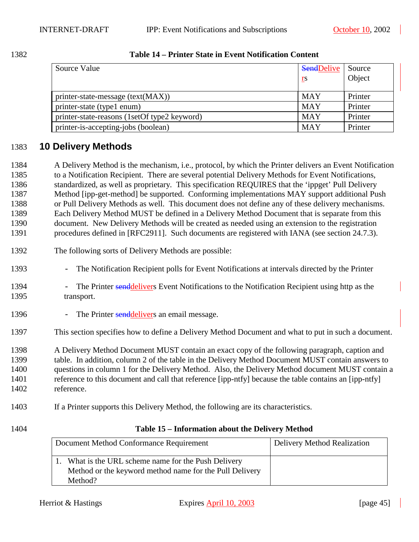<span id="page-44-0"></span>

| 1382 | Table 14 – Printer State in Event Notification Content |
|------|--------------------------------------------------------|
|      |                                                        |

| Source Value                                 | <b>SendDelive</b><br><u>rs</u> | Source<br>Object |
|----------------------------------------------|--------------------------------|------------------|
| printer-state-message (text(MAX))            | <b>MAY</b>                     | Printer          |
| printer-state (type1 enum)                   | <b>MAY</b>                     | Printer          |
| printer-state-reasons (1setOf type2 keyword) | <b>MAY</b>                     | Printer          |
| printer-is-accepting-jobs (boolean)          | <b>MAY</b>                     | Printer          |

### 1383 **10 Delivery Methods**

1384 A Delivery Method is the mechanism, i.e., protocol, by which the Printer delivers an Event Notification 1385 to a Notification Recipient. There are several potential Delivery Methods for Event Notifications, 1386 standardized, as well as proprietary. This specification REQUIRES that the 'ippget' Pull Delivery 1387 Method [ipp-get-method] be supported. Conforming implementations MAY support additional Push 1388 or Pull Delivery Methods as well. This document does not define any of these delivery mechanisms. 1389 Each Delivery Method MUST be defined in a Delivery Method Document that is separate from this 1390 document. New Delivery Methods will be created as needed using an extension to the registration 1391 procedures defined in [RFC2911]. Such documents are registered with IANA (see section [24.7.3\)](#page-77-0).

- 1392 The following sorts of Delivery Methods are possible:
- 1393 The Notification Recipient polls for Event Notifications at intervals directed by the Printer
- 1394 The Printer senddelivers Event Notifications to the Notification Recipient using http as the 1395 transport.
- 1396 The Printer senddelivers an email message.
- 1397 This section specifies how to define a Delivery Method Document and what to put in such a document.

1398 A Delivery Method Document MUST contain an exact copy of the following paragraph, caption and 1399 table. In addition, column 2 of the table in the Delivery Method Document MUST contain answers to 1400 questions in column 1 for the Delivery Method. Also, the Delivery Method document MUST contain a 1401 reference to this document and call that reference [ipp-ntfy] because the table contains an [ipp-ntfy] 1402 reference.

- 1403 If a Printer supports this Delivery Method, the following are its characteristics.
- 

#### 1404 **Table 15 – Information about the Delivery Method**

| Document Method Combiniunce Requirement                                                                         | Denvery internou internation |
|-----------------------------------------------------------------------------------------------------------------|------------------------------|
| 1. What is the URL scheme name for the Push Delivery<br>Method or the keyword method name for the Pull Delivery |                              |
| Method?                                                                                                         |                              |

Document Method Conformance Requirement Delivery Method Realization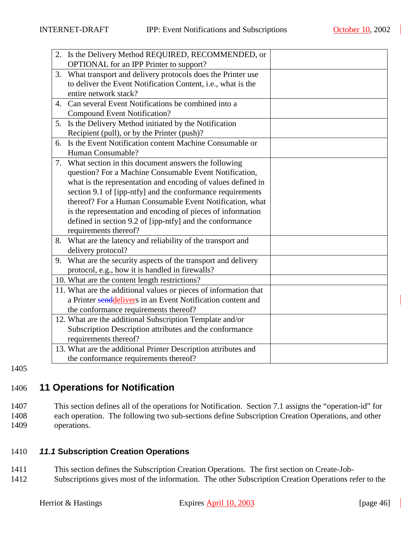<span id="page-45-0"></span>

|    | 2. Is the Delivery Method REQUIRED, RECOMMENDED, or              |  |
|----|------------------------------------------------------------------|--|
|    | OPTIONAL for an IPP Printer to support?                          |  |
| 3. | What transport and delivery protocols does the Printer use       |  |
|    | to deliver the Event Notification Content, i.e., what is the     |  |
|    | entire network stack?                                            |  |
| 4. | Can several Event Notifications be combined into a               |  |
|    | <b>Compound Event Notification?</b>                              |  |
| 5. | Is the Delivery Method initiated by the Notification             |  |
|    | Recipient (pull), or by the Printer (push)?                      |  |
|    | 6. Is the Event Notification content Machine Consumable or       |  |
|    | Human Consumable?                                                |  |
|    | 7. What section in this document answers the following           |  |
|    | question? For a Machine Consumable Event Notification,           |  |
|    | what is the representation and encoding of values defined in     |  |
|    | section 9.1 of [ipp-ntfy] and the conformance requirements       |  |
|    | thereof? For a Human Consumable Event Notification, what         |  |
|    | is the representation and encoding of pieces of information      |  |
|    | defined in section 9.2 of [ipp-ntfy] and the conformance         |  |
|    | requirements thereof?                                            |  |
|    | 8. What are the latency and reliability of the transport and     |  |
|    | delivery protocol?                                               |  |
|    | 9. What are the security aspects of the transport and delivery   |  |
|    | protocol, e.g., how it is handled in firewalls?                  |  |
|    | 10. What are the content length restrictions?                    |  |
|    | 11. What are the additional values or pieces of information that |  |
|    | a Printer senddelivers in an Event Notification content and      |  |
|    | the conformance requirements thereof?                            |  |
|    | 12. What are the additional Subscription Template and/or         |  |
|    | Subscription Description attributes and the conformance          |  |
|    | requirements thereof?                                            |  |
|    | 13. What are the additional Printer Description attributes and   |  |
|    | the conformance requirements thereof?                            |  |
|    |                                                                  |  |

1405

# 1406 **11 Operations for Notification**

1407 This section defines all of the operations for Notification. Section [7.1](#page-35-0) assigns the "operation-id" for 1408 each operation. The following two sub-sections define Subscription Creation Operations, and other 1409 operations.

#### 1410 *11.1* **Subscription Creation Operations**

- 1411 This section defines the Subscription Creation Operations. The first section on Create-Job-
- 1412 Subscriptions gives most of the information. The other Subscription Creation Operations refer to the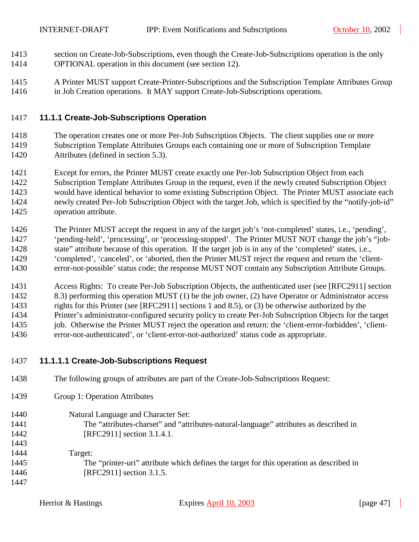- <span id="page-46-0"></span>1413 section on Create-Job-Subscriptions, even though the Create-Job-Subscriptions operation is the only 1414 OPTIONAL operation in this document (see section [12\)](#page-63-0).
- 1415 A Printer MUST support Create-Printer-Subscriptions and the Subscription Template Attributes Group 1416 in Job Creation operations. It MAY support Create-Job-Subscriptions operations.

#### 1417 **11.1.1 Create-Job-Subscriptions Operation**

- 1418 The operation creates one or more Per-Job Subscription Objects. The client supplies one or more 1419 Subscription Template Attributes Groups each containing one or more of Subscription Template 1420 Attributes (defined in section [5.3\)](#page-18-0).
- 1421 Except for errors, the Printer MUST create exactly one Per-Job Subscription Object from each 1422 Subscription Template Attributes Group in the request, even if the newly created Subscription Object 1423 would have identical behavior to some existing Subscription Object. The Printer MUST associate each 1424 newly created Per-Job Subscription Object with the target Job, which is specified by the "notify-job-id" 1425 operation attribute.
- 1426 The Printer MUST accept the request in any of the target job's 'not-completed' states, i.e., 'pending', 1427 'pending-held', 'processing', or 'processing-stopped'. The Printer MUST NOT change the job's "job-1428 state" attribute because of this operation. If the target job is in any of the 'completed' states, i.e., 1429 'completed', 'canceled', or 'aborted, then the Printer MUST reject the request and return the 'client-1430 error-not-possible' status code; the response MUST NOT contain any Subscription Attribute Groups.
- 1431 Access Rights: To create Per-Job Subscription Objects, the authenticated user (see [RFC2911] section 1432 8.3) performing this operation MUST (1) be the job owner, (2) have Operator or Administrator access 1433 rights for this Printer (see [RFC2911] sections 1 and 8.5), or (3) be otherwise authorized by the 1434 Printer's administrator-configured security policy to create Per-Job Subscription Objects for the target 1435 job. Otherwise the Printer MUST reject the operation and return: the 'client-error-forbidden', 'client-1436 error-not-authenticated', or 'client-error-not-authorized' status code as appropriate.
- 1437 **11.1.1.1 Create-Job-Subscriptions Request**
- 1438 The following groups of attributes are part of the Create-Job-Subscriptions Request:
- 1439 Group 1: Operation Attributes
- 1440 Natural Language and Character Set: 1441 The "attributes-charset" and "attributes-natural-language" attributes as described in 1442 [RFC2911] section 3.1.4.1.
- 1443 1444 Target: 1445 The "printer-uri" attribute which defines the target for this operation as described in 1446 **[RFC2911]** section 3.1.5. 1447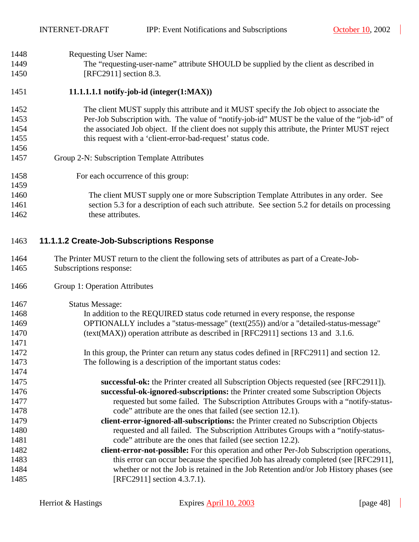<span id="page-47-0"></span>

| 1448 | <b>Requesting User Name:</b>                                                                     |
|------|--------------------------------------------------------------------------------------------------|
| 1449 | The "requesting-user-name" attribute SHOULD be supplied by the client as described in            |
| 1450 | [RFC2911] section 8.3.                                                                           |
| 1451 | 11.1.1.1.1 notify-job-id (integer $(1:MAX)$ )                                                    |
| 1452 | The client MUST supply this attribute and it MUST specify the Job object to associate the        |
| 1453 | Per-Job Subscription with. The value of "notify-job-id" MUST be the value of the "job-id" of     |
| 1454 | the associated Job object. If the client does not supply this attribute, the Printer MUST reject |
| 1455 | this request with a 'client-error-bad-request' status code.                                      |
| 1456 |                                                                                                  |
| 1457 | Group 2-N: Subscription Template Attributes                                                      |
| 1458 | For each occurrence of this group:                                                               |
| 1459 |                                                                                                  |
| 1460 | The client MUST supply one or more Subscription Template Attributes in any order. See            |
| 1461 | section 5.3 for a description of each such attribute. See section 5.2 for details on processing  |
| 1462 | these attributes.                                                                                |
| 1463 | 11.1.1.2 Create-Job-Subscriptions Response                                                       |
| 1464 | The Printer MUST return to the client the following sets of attributes as part of a Create-Job-  |
| 1465 | Subscriptions response:                                                                          |
| 1466 | Group 1: Operation Attributes                                                                    |
| 1467 | <b>Status Message:</b>                                                                           |
| 1468 | In addition to the REQUIRED status code returned in every response, the response                 |
| 1469 | OPTIONALLY includes a "status-message" (text(255)) and/or a "detailed-status-message"            |
| 1470 | (text(MAX)) operation attribute as described in [RFC2911] sections 13 and 3.1.6.                 |
| 1471 |                                                                                                  |
| 1472 | In this group, the Printer can return any status codes defined in [RFC2911] and section 12.      |
| 1473 | The following is a description of the important status codes:                                    |
| 1474 |                                                                                                  |
| 1475 | successful-ok: the Printer created all Subscription Objects requested (see [RFC2911]).           |
| 1476 | successful-ok-ignored-subscriptions: the Printer created some Subscription Objects               |
| 1477 | requested but some failed. The Subscription Attributes Groups with a "notify-status-             |
| 1478 | code" attribute are the ones that failed (see section 12.1).                                     |
| 1479 | client-error-ignored-all-subscriptions: the Printer created no Subscription Objects              |
| 1480 | requested and all failed. The Subscription Attributes Groups with a "notify-status-              |
| 1481 | code" attribute are the ones that failed (see section 12.2).                                     |
| 1482 | client-error-not-possible: For this operation and other Per-Job Subscription operations,         |
| 1483 | this error can occur because the specified Job has already completed (see [RFC2911],             |
| 1484 | whether or not the Job is retained in the Job Retention and/or Job History phases (see           |

1485 [RFC2911] section 4.3.7.1).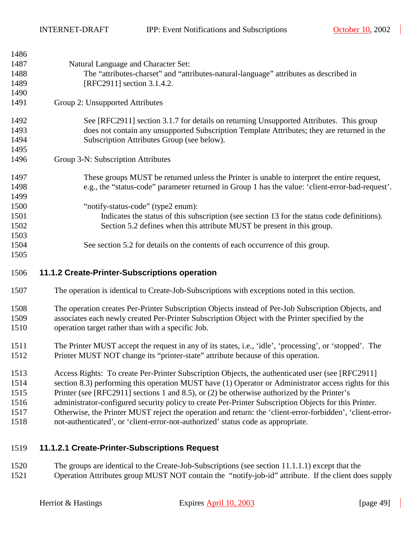<span id="page-48-0"></span>1486

| 1400 |                                                                                                  |
|------|--------------------------------------------------------------------------------------------------|
| 1487 | Natural Language and Character Set:                                                              |
| 1488 | The "attributes-charset" and "attributes-natural-language" attributes as described in            |
| 1489 | [RFC2911] section 3.1.4.2.                                                                       |
| 1490 |                                                                                                  |
| 1491 | Group 2: Unsupported Attributes                                                                  |
| 1492 | See [RFC2911] section 3.1.7 for details on returning Unsupported Attributes. This group          |
| 1493 | does not contain any unsupported Subscription Template Attributes; they are returned in the      |
| 1494 | Subscription Attributes Group (see below).                                                       |
| 1495 |                                                                                                  |
| 1496 | Group 3-N: Subscription Attributes                                                               |
| 1497 | These groups MUST be returned unless the Printer is unable to interpret the entire request,      |
| 1498 | e.g., the "status-code" parameter returned in Group 1 has the value: 'client-error-bad-request'. |
| 1499 |                                                                                                  |
| 1500 | "notify-status-code" (type2 enum):                                                               |
| 1501 | Indicates the status of this subscription (see section 13 for the status code definitions).      |
| 1502 | Section 5.2 defines when this attribute MUST be present in this group.                           |
| 1503 |                                                                                                  |
| 1504 | See section 5.2 for details on the contents of each occurrence of this group.                    |
| 1505 |                                                                                                  |
| 1506 | 11.1.2 Create-Printer-Subscriptions operation                                                    |
|      |                                                                                                  |

- 1507 The operation is identical to Create-Job-Subscriptions with exceptions noted in this section.
- 1508 The operation creates Per-Printer Subscription Objects instead of Per-Job Subscription Objects, and 1509 associates each newly created Per-Printer Subscription Object with the Printer specified by the 1510 operation target rather than with a specific Job.
- 1511 The Printer MUST accept the request in any of its states, i.e., 'idle', 'processing', or 'stopped'. The 1512 Printer MUST NOT change its "printer-state" attribute because of this operation.
- 1513 Access Rights: To create Per-Printer Subscription Objects, the authenticated user (see [RFC2911]
- 1514 section 8.3) performing this operation MUST have (1) Operator or Administrator access rights for this
- 1515 Printer (see [RFC2911] sections 1 and 8.5), or (2) be otherwise authorized by the Printer's
- 1516 administrator-configured security policy to create Per-Printer Subscription Objects for this Printer.
- 1517 Otherwise, the Printer MUST reject the operation and return: the 'client-error-forbidden', 'client-error-
- 1518 not-authenticated', or 'client-error-not-authorized' status code as appropriate.

#### 1519 **11.1.2.1 Create-Printer-Subscriptions Request**

1520 The groups are identical to the Create-Job-Subscriptions (see section [11.1.1.1\)](#page-46-0) except that the 1521 Operation Attributes group MUST NOT contain the "notify-job-id" attribute. If the client does supply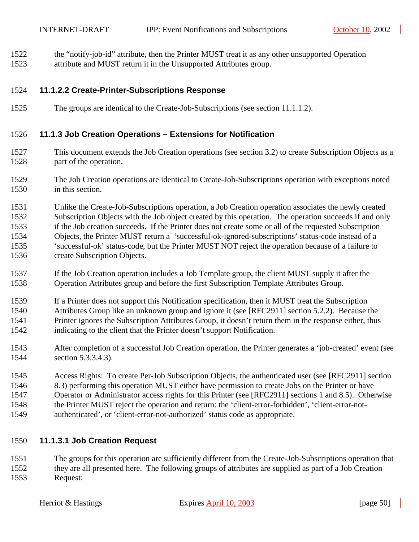<span id="page-49-0"></span>1522 the "notify-job-id" attribute, then the Printer MUST treat it as any other unsupported Operation 1523 attribute and MUST return it in the Unsupported Attributes group.

#### 1524 **11.1.2.2 Create-Printer-Subscriptions Response**

1525 The groups are identical to the Create-Job-Subscriptions (see section [11.1.1.2\)](#page-47-0).

#### 1526 **11.1.3 Job Creation Operations – Extensions for Notification**

- 1527 This document extends the Job Creation operations (see section [3.2\)](#page-10-0) to create Subscription Objects as a 1528 part of the operation.
- 1529 The Job Creation operations are identical to Create-Job-Subscriptions operation with exceptions noted 1530 in this section.

1531 Unlike the Create-Job-Subscriptions operation, a Job Creation operation associates the newly created 1532 Subscription Objects with the Job object created by this operation. The operation succeeds if and only 1533 if the Job creation succeeds. If the Printer does not create some or all of the requested Subscription 1534 Objects, the Printer MUST return a 'successful-ok-ignored-subscriptions' status-code instead of a 1535 'successful-ok' status-code, but the Printer MUST NOT reject the operation because of a failure to 1536 create Subscription Objects.

- 1537 If the Job Creation operation includes a Job Template group, the client MUST supply it after the 1538 Operation Attributes group and before the first Subscription Template Attributes Group.
- 1539 If a Printer does not support this Notification specification, then it MUST treat the Subscription
- 1540 Attributes Group like an unknown group and ignore it (see [RFC2911] section 5.2.2). Because the 1541 Printer ignores the Subscription Attributes Group, it doesn't return them in the response either, thus 1542 indicating to the client that the Printer doesn't support Notification.
- 1543 After completion of a successful Job Creation operation, the Printer generates a 'job-created' event (see 1544 section [5.3.3.4.3\)](#page-23-0).
- 1545 Access Rights: To create Per-Job Subscription Objects, the authenticated user (see [RFC2911] section 1546 8.3) performing this operation MUST either have permission to create Jobs on the Printer or have
- 1547 Operator or Administrator access rights for this Printer (see [RFC2911] sections 1 and 8.5). Otherwise
- 1548 the Printer MUST reject the operation and return: the 'client-error-forbidden', 'client-error-not-
- 1549 authenticated', or 'client-error-not-authorized' status code as appropriate.

#### 1550 **11.1.3.1 Job Creation Request**

1551 The groups for this operation are sufficiently different from the Create-Job-Subscriptions operation that 1552 they are all presented here. The following groups of attributes are supplied as part of a Job Creation 1553 Request: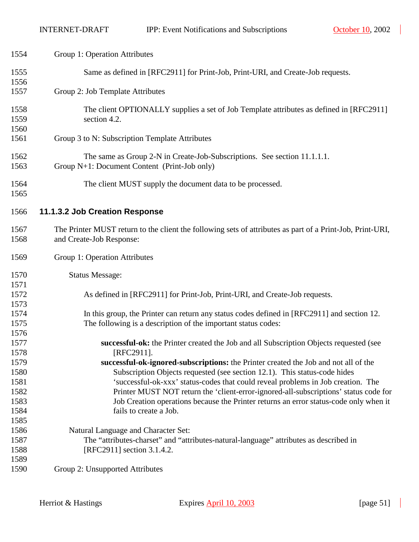| 1554         | Group 1: Operation Attributes                                                                                                                                                 |
|--------------|-------------------------------------------------------------------------------------------------------------------------------------------------------------------------------|
| 1555<br>1556 | Same as defined in [RFC2911] for Print-Job, Print-URI, and Create-Job requests.                                                                                               |
| 1557         | Group 2: Job Template Attributes                                                                                                                                              |
| 1558<br>1559 | The client OPTIONALLY supplies a set of Job Template attributes as defined in [RFC2911]<br>section 4.2.                                                                       |
| 1560         |                                                                                                                                                                               |
| 1561         | Group 3 to N: Subscription Template Attributes                                                                                                                                |
| 1562<br>1563 | The same as Group 2-N in Create-Job-Subscriptions. See section 11.1.1.1.<br>Group N+1: Document Content (Print-Job only)                                                      |
|              |                                                                                                                                                                               |
| 1564         | The client MUST supply the document data to be processed.                                                                                                                     |
| 1565         |                                                                                                                                                                               |
| 1566         | 11.1.3.2 Job Creation Response                                                                                                                                                |
| 1567         | The Printer MUST return to the client the following sets of attributes as part of a Print-Job, Print-URI,                                                                     |
| 1568         | and Create-Job Response:                                                                                                                                                      |
| 1569         | Group 1: Operation Attributes                                                                                                                                                 |
| 1570         | <b>Status Message:</b>                                                                                                                                                        |
| 1571         |                                                                                                                                                                               |
| 1572         | As defined in [RFC2911] for Print-Job, Print-URI, and Create-Job requests.                                                                                                    |
| 1573         |                                                                                                                                                                               |
| 1574         | In this group, the Printer can return any status codes defined in [RFC2911] and section 12.                                                                                   |
| 1575         | The following is a description of the important status codes:                                                                                                                 |
| 1576         |                                                                                                                                                                               |
| 1577         | successful-ok: the Printer created the Job and all Subscription Objects requested (see                                                                                        |
| 1578         | [RFC2911].                                                                                                                                                                    |
| 1579         | successful-ok-ignored-subscriptions: the Printer created the Job and not all of the                                                                                           |
| 1580         | Subscription Objects requested (see section 12.1). This status-code hides                                                                                                     |
| 1581<br>1582 | 'successful-ok-xxx' status-codes that could reveal problems in Job creation. The                                                                                              |
| 1583         | Printer MUST NOT return the 'client-error-ignored-all-subscriptions' status code for<br>Job Creation operations because the Printer returns an error status-code only when it |
| 1584         | fails to create a Job.                                                                                                                                                        |
| 1585         |                                                                                                                                                                               |
|              |                                                                                                                                                                               |
| 1586<br>1587 | Natural Language and Character Set:                                                                                                                                           |
|              | The "attributes-charset" and "attributes-natural-language" attributes as described in                                                                                         |
| 1588         | [RFC2911] section 3.1.4.2.                                                                                                                                                    |
| 1589         |                                                                                                                                                                               |
| 1590         | Group 2: Unsupported Attributes                                                                                                                                               |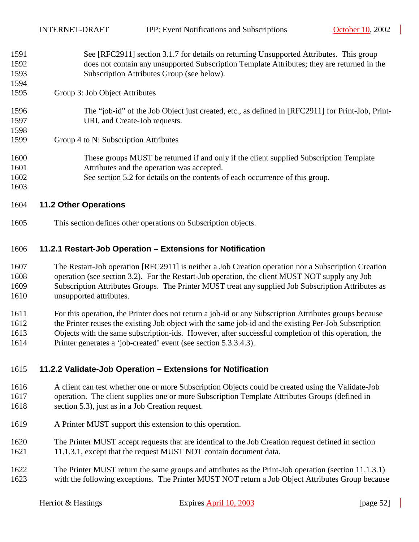| 1591 | See [RFC2911] section 3.1.7 for details on returning Unsupported Attributes. This group          |
|------|--------------------------------------------------------------------------------------------------|
| 1592 | does not contain any unsupported Subscription Template Attributes; they are returned in the      |
| 1593 | Subscription Attributes Group (see below).                                                       |
| 1594 |                                                                                                  |
| 1595 | Group 3: Job Object Attributes                                                                   |
| 1596 | The "job-id" of the Job Object just created, etc., as defined in [RFC2911] for Print-Job, Print- |
| 1597 | URI, and Create-Job requests.                                                                    |
| 1598 |                                                                                                  |
| 1599 | Group 4 to N: Subscription Attributes                                                            |
| 1600 | These groups MUST be returned if and only if the client supplied Subscription Template           |
| 1601 | Attributes and the operation was accepted.                                                       |
| 1602 | See section 5.2 for details on the contents of each occurrence of this group.                    |
| 1603 |                                                                                                  |
|      |                                                                                                  |

#### 1604 **11.2 Other Operations**

1605 This section defines other operations on Subscription objects.

#### 1606 **11.2.1 Restart-Job Operation – Extensions for Notification**

1607 The Restart-Job operation [RFC2911] is neither a Job Creation operation nor a Subscription Creation 1608 operation (see section [3.2\)](#page-10-0). For the Restart-Job operation, the client MUST NOT supply any Job 1609 Subscription Attributes Groups. The Printer MUST treat any supplied Job Subscription Attributes as 1610 unsupported attributes.

1611 For this operation, the Printer does not return a job-id or any Subscription Attributes groups because

1612 the Printer reuses the existing Job object with the same job-id and the existing Per-Job Subscription

- 1613 Objects with the same subscription-ids. However, after successful completion of this operation, the
- 1614 Printer generates a 'job-created' event (see section [5.3.3.4.3\)](#page-23-0).

#### 1615 **11.2.2 Validate-Job Operation – Extensions for Notification**

- 1616 A client can test whether one or more Subscription Objects could be created using the Validate-Job 1617 operation. The client supplies one or more Subscription Template Attributes Groups (defined in 1618 section [5.3\)](#page-18-0), just as in a Job Creation request.
- 1619 A Printer MUST support this extension to this operation.
- 1620 The Printer MUST accept requests that are identical to the Job Creation request defined in section 1621 [11.1.3.1,](#page-49-0) except that the request MUST NOT contain document data.
- 1622 The Printer MUST return the same groups and attributes as the Print-Job operation (section [11.1.3.1\)](#page-49-0) 1623 with the following exceptions. The Printer MUST NOT return a Job Object Attributes Group because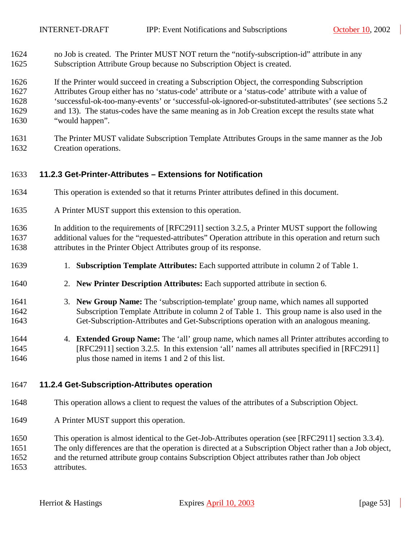- <span id="page-52-0"></span>1624 no Job is created. The Printer MUST NOT return the "notify-subscription-id" attribute in any 1625 Subscription Attribute Group because no Subscription Object is created.
- 1626 If the Printer would succeed in creating a Subscription Object, the corresponding Subscription 1627 Attributes Group either has no 'status-code' attribute or a 'status-code' attribute with a value of 1628 'successful-ok-too-many-events' or 'successful-ok-ignored-or-substituted-attributes' (see sections [5.2](#page-15-0)  1629 and [13\)](#page-62-0). The status-codes have the same meaning as in Job Creation except the results state what
- 1630 "would happen".
- 1631 The Printer MUST validate Subscription Template Attributes Groups in the same manner as the Job 1632 Creation operations.

#### 1633 **11.2.3 Get-Printer-Attributes – Extensions for Notification**

- 1634 This operation is extended so that it returns Printer attributes defined in this document.
- 1635 A Printer MUST support this extension to this operation.
- 1636 In addition to the requirements of [RFC2911] section 3.2.5, a Printer MUST support the following 1637 additional values for the "requested-attributes" Operation attribute in this operation and return such 1638 attributes in the Printer Object Attributes group of its response.
- 1639 1. **Subscription Template Attributes:** Each supported attribute in column 2 of [Table 1.](#page-19-0)
- 1640 2. **New Printer Description Attributes:** Each supported attribute in section [6.](#page-34-0)
- 1641 3. **New Group Name:** The 'subscription-template' group name, which names all supported 1642 Subscription Template Attribute in column 2 of [Table 1.](#page-19-0) This group name is also used in the 1643 Get-Subscription-Attributes and Get-Subscriptions operation with an analogous meaning.
- 1644 4. **Extended Group Name:** The 'all' group name, which names all Printer attributes according to 1645 [RFC2911] section 3.2.5. In this extension 'all' names all attributes specified in [RFC2911] 1646 plus those named in items 1 and 2 of this list.

#### 1647 **11.2.4 Get-Subscription-Attributes operation**

- 1648 This operation allows a client to request the values of the attributes of a Subscription Object.
- 1649 A Printer MUST support this operation.
- 1650 This operation is almost identical to the Get-Job-Attributes operation (see [RFC2911] section 3.3.4).
- 1651 The only differences are that the operation is directed at a Subscription Object rather than a Job object,
- 1652 and the returned attribute group contains Subscription Object attributes rather than Job object 1653 attributes.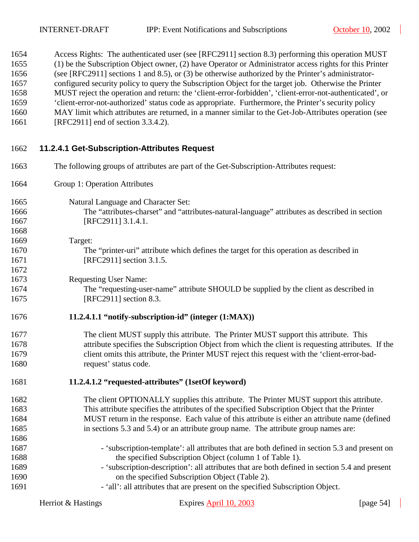<span id="page-53-0"></span>

| 1654 | Access Rights: The authenticated user (see [RFC2911] section 8.3) performing this operation MUST         |
|------|----------------------------------------------------------------------------------------------------------|
| 1655 | (1) be the Subscription Object owner, (2) have Operator or Administrator access rights for this Printer  |
| 1656 | (see [RFC2911] sections 1 and 8.5), or (3) be otherwise authorized by the Printer's administrator-       |
| 1657 | configured security policy to query the Subscription Object for the target job. Otherwise the Printer    |
| 1658 | MUST reject the operation and return: the 'client-error-forbidden', 'client-error-not-authenticated', or |
| 1659 | 'client-error-not-authorized' status code as appropriate. Furthermore, the Printer's security policy     |
| 1660 | MAY limit which attributes are returned, in a manner similar to the Get-Job-Attributes operation (see    |
| 1661 | [RFC2911] end of section 3.3.4.2).                                                                       |

### 1662 **11.2.4.1 Get-Subscription-Attributes Request**

| 1663 | The following groups of attributes are part of the Get-Subscription-Attributes request:            |
|------|----------------------------------------------------------------------------------------------------|
| 1664 | Group 1: Operation Attributes                                                                      |
| 1665 | Natural Language and Character Set:                                                                |
| 1666 | The "attributes-charset" and "attributes-natural-language" attributes as described in section      |
| 1667 | [RFC2911] 3.1.4.1.                                                                                 |
| 1668 |                                                                                                    |
| 1669 | Target:                                                                                            |
| 1670 | The "printer-uri" attribute which defines the target for this operation as described in            |
| 1671 | [RFC2911] section 3.1.5.                                                                           |
| 1672 |                                                                                                    |
| 1673 | <b>Requesting User Name:</b>                                                                       |
| 1674 | The "requesting-user-name" attribute SHOULD be supplied by the client as described in              |
| 1675 | [RFC2911] section 8.3.                                                                             |
| 1676 | 11.2.4.1.1 "notify-subscription-id" (integer (1:MAX))                                              |
| 1677 | The client MUST supply this attribute. The Printer MUST support this attribute. This               |
| 1678 | attribute specifies the Subscription Object from which the client is requesting attributes. If the |
| 1679 | client omits this attribute, the Printer MUST reject this request with the 'client-error-bad-      |
| 1680 | request' status code.                                                                              |
| 1681 | 11.2.4.1.2 "requested-attributes" (1setOf keyword)                                                 |
| 1682 | The client OPTIONALLY supplies this attribute. The Printer MUST support this attribute.            |
| 1683 | This attribute specifies the attributes of the specified Subscription Object that the Printer      |
| 1684 | MUST return in the response. Each value of this attribute is either an attribute name (defined     |
| 1685 | in sections 5.3 and 5.4) or an attribute group name. The attribute group names are:                |
| 1686 |                                                                                                    |
| 1687 | - 'subscription-template': all attributes that are both defined in section 5.3 and present on      |
| 1688 | the specified Subscription Object (column 1 of Table 1).                                           |
| 1689 | - 'subscription-description': all attributes that are both defined in section 5.4 and present      |
| 1690 | on the specified Subscription Object (Table 2).                                                    |
| 1691 | - 'all': all attributes that are present on the specified Subscription Object.                     |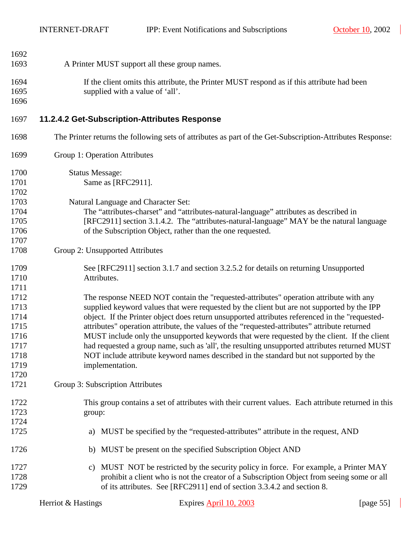$\overline{\phantom{a}}$ 

<span id="page-54-0"></span>

| 1692 |                                                                                                           |
|------|-----------------------------------------------------------------------------------------------------------|
| 1693 | A Printer MUST support all these group names.                                                             |
|      |                                                                                                           |
| 1694 | If the client omits this attribute, the Printer MUST respond as if this attribute had been                |
| 1695 | supplied with a value of 'all'.                                                                           |
| 1696 |                                                                                                           |
| 1697 | 11.2.4.2 Get-Subscription-Attributes Response                                                             |
| 1698 | The Printer returns the following sets of attributes as part of the Get-Subscription-Attributes Response: |
| 1699 | Group 1: Operation Attributes                                                                             |
| 1700 | <b>Status Message:</b>                                                                                    |
| 1701 | Same as [RFC2911].                                                                                        |
| 1702 |                                                                                                           |
| 1703 | Natural Language and Character Set:                                                                       |
| 1704 | The "attributes-charset" and "attributes-natural-language" attributes as described in                     |
| 1705 | [RFC2911] section 3.1.4.2. The "attributes-natural-language" MAY be the natural language                  |
| 1706 | of the Subscription Object, rather than the one requested.                                                |
| 1707 |                                                                                                           |
| 1708 | Group 2: Unsupported Attributes                                                                           |
| 1709 | See [RFC2911] section 3.1.7 and section 3.2.5.2 for details on returning Unsupported                      |
| 1710 | Attributes.                                                                                               |
| 1711 |                                                                                                           |
| 1712 | The response NEED NOT contain the "requested-attributes" operation attribute with any                     |
| 1713 | supplied keyword values that were requested by the client but are not supported by the IPP                |
| 1714 | object. If the Printer object does return unsupported attributes referenced in the "requested-            |
| 1715 | attributes" operation attribute, the values of the "requested-attributes" attribute returned              |
| 1716 | MUST include only the unsupported keywords that were requested by the client. If the client               |
| 1717 | had requested a group name, such as 'all', the resulting unsupported attributes returned MUST             |
| 1718 | NOT include attribute keyword names described in the standard but not supported by the                    |
| 1719 | implementation.                                                                                           |
| 1720 |                                                                                                           |
| 1721 | Group 3: Subscription Attributes                                                                          |
| 1722 | This group contains a set of attributes with their current values. Each attribute returned in this        |
| 1723 | group:                                                                                                    |
| 1724 |                                                                                                           |
| 1725 | MUST be specified by the "requested-attributes" attribute in the request, AND<br>a)                       |
| 1726 | MUST be present on the specified Subscription Object AND<br>b)                                            |
| 1727 | MUST NOT be restricted by the security policy in force. For example, a Printer MAY<br>C)                  |
| 1728 | prohibit a client who is not the creator of a Subscription Object from seeing some or all                 |
| 1729 | of its attributes. See [RFC2911] end of section 3.3.4.2 and section 8.                                    |
|      |                                                                                                           |

 $\blacksquare$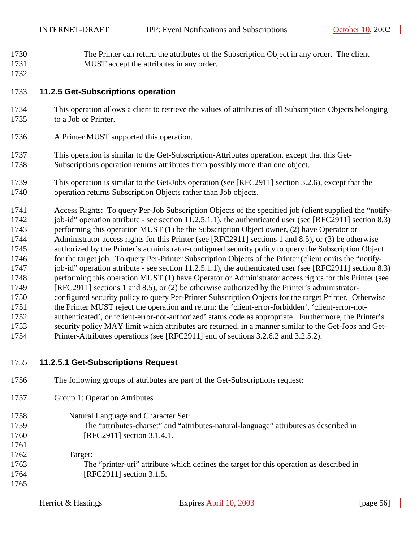- <span id="page-55-0"></span>1730 The Printer can return the attributes of the Subscription Object in any order. The client 1731 MUST accept the attributes in any order.
- 1732

#### 1733 **11.2.5 Get-Subscriptions operation**

- 1734 This operation allows a client to retrieve the values of attributes of all Subscription Objects belonging 1735 to a Job or Printer.
- 1736 A Printer MUST supported this operation.
- 1737 This operation is similar to the Get-Subscription-Attributes operation, except that this Get-1738 Subscriptions operation returns attributes from possibly more than one object.
- 1739 This operation is similar to the Get-Jobs operation (see [RFC2911] section 3.2.6), except that the 1740 operation returns Subscription Objects rather than Job objects.
- 1741 Access Rights: To query Per-Job Subscription Objects of the specified job (client supplied the "notify-1742 job-id" operation attribute - see section [11.2.5.1.1\)](#page-56-0), the authenticated user (see [RFC2911] section 8.3) 1743 performing this operation MUST (1) be the Subscription Object owner, (2) have Operator or 1744 Administrator access rights for this Printer (see [RFC2911] sections 1 and 8.5), or (3) be otherwise 1745 authorized by the Printer's administrator-configured security policy to query the Subscription Object 1746 for the target job. To query Per-Printer Subscription Objects of the Printer (client omits the "notify-1747 job-id" operation attribute - see section [11.2.5.1.1\)](#page-56-0), the authenticated user (see [RFC2911] section 8.3) 1748 performing this operation MUST (1) have Operator or Administrator access rights for this Printer (see 1749 [RFC2911] sections 1 and 8.5), or (2) be otherwise authorized by the Printer's administrator-1750 configured security policy to query Per-Printer Subscription Objects for the target Printer. Otherwise 1751 the Printer MUST reject the operation and return: the 'client-error-forbidden', 'client-error-not-1752 authenticated', or 'client-error-not-authorized' status code as appropriate. Furthermore, the Printer's 1753 security policy MAY limit which attributes are returned, in a manner similar to the Get-Jobs and Get-1754 Printer-Attributes operations (see [RFC2911] end of sections 3.2.6.2 and 3.2.5.2).
- 1755 **11.2.5.1 Get-Subscriptions Request**
- 1756 The following groups of attributes are part of the Get-Subscriptions request:
- 1757 Group 1: Operation Attributes
- 1758 Natural Language and Character Set: 1759 The "attributes-charset" and "attributes-natural-language" attributes as described in
- 1760 [RFC2911] section 3.1.4.1.
- 1761 1762 Target: 1763 The "printer-uri" attribute which defines the target for this operation as described in 1764 [RFC2911] section 3.1.5.
	-

1765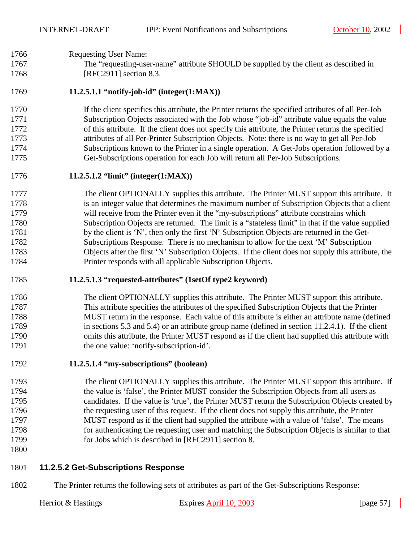#### <span id="page-56-0"></span>1766 Requesting User Name:

1767 The "requesting-user-name" attribute SHOULD be supplied by the client as described in 1768 [RFC2911] section 8.3.

#### 1769 **11.2.5.1.1 "notify-job-id" (integer(1:MAX))**

1770 If the client specifies this attribute, the Printer returns the specified attributes of all Per-Job 1771 Subscription Objects associated with the Job whose "job-id" attribute value equals the value 1772 of this attribute. If the client does not specify this attribute, the Printer returns the specified 1773 attributes of all Per-Printer Subscription Objects. Note: there is no way to get all Per-Job 1774 Subscriptions known to the Printer in a single operation. A Get-Jobs operation followed by a 1775 Get-Subscriptions operation for each Job will return all Per-Job Subscriptions.

#### 1776 **11.2.5.1.2 "limit" (integer(1:MAX))**

1777 The client OPTIONALLY supplies this attribute. The Printer MUST support this attribute. It 1778 is an integer value that determines the maximum number of Subscription Objects that a client 1779 will receive from the Printer even if the "my-subscriptions" attribute constrains which 1780 Subscription Objects are returned. The limit is a "stateless limit" in that if the value supplied 1781 by the client is 'N', then only the first 'N' Subscription Objects are returned in the Get-1782 Subscriptions Response. There is no mechanism to allow for the next 'M' Subscription 1783 Objects after the first 'N' Subscription Objects. If the client does not supply this attribute, the 1784 Printer responds with all applicable Subscription Objects.

#### 1785 **11.2.5.1.3 "requested-attributes" (1setOf type2 keyword)**

#### 1786 The client OPTIONALLY supplies this attribute. The Printer MUST support this attribute. 1787 This attribute specifies the attributes of the specified Subscription Objects that the Printer 1788 MUST return in the response. Each value of this attribute is either an attribute name (defined 1789 in sections [5.3](#page-18-0) and [5.4\)](#page-30-0) or an attribute group name (defined in section [11.2.4.1\)](#page-53-0). If the client 1790 omits this attribute, the Printer MUST respond as if the client had supplied this attribute with 1791 the one value: 'notify-subscription-id'.

#### 1792 **11.2.5.1.4 "my-subscriptions" (boolean)**

- 1793 The client OPTIONALLY supplies this attribute. The Printer MUST support this attribute. If 1794 the value is 'false', the Printer MUST consider the Subscription Objects from all users as 1795 candidates. If the value is 'true', the Printer MUST return the Subscription Objects created by 1796 the requesting user of this request. If the client does not supply this attribute, the Printer 1797 MUST respond as if the client had supplied the attribute with a value of 'false'. The means 1798 for authenticating the requesting user and matching the Subscription Objects is similar to that 1799 for Jobs which is described in [RFC2911] section 8.
- 1800

#### 1801 **11.2.5.2 Get-Subscriptions Response**

1802 The Printer returns the following sets of attributes as part of the Get-Subscriptions Response: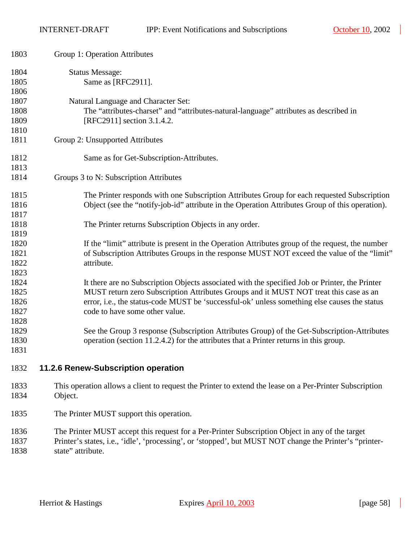<span id="page-57-0"></span>

| 1803                                 | Group 1: Operation Attributes                                                                                                                                                                                                                                                                                             |
|--------------------------------------|---------------------------------------------------------------------------------------------------------------------------------------------------------------------------------------------------------------------------------------------------------------------------------------------------------------------------|
| 1804<br>1805<br>1806                 | <b>Status Message:</b><br>Same as [RFC2911].                                                                                                                                                                                                                                                                              |
| 1807<br>1808<br>1809<br>1810         | Natural Language and Character Set:<br>The "attributes-charset" and "attributes-natural-language" attributes as described in<br>[RFC2911] section 3.1.4.2.                                                                                                                                                                |
| 1811                                 | Group 2: Unsupported Attributes                                                                                                                                                                                                                                                                                           |
| 1812<br>1813                         | Same as for Get-Subscription-Attributes.                                                                                                                                                                                                                                                                                  |
| 1814                                 | Groups 3 to N: Subscription Attributes                                                                                                                                                                                                                                                                                    |
| 1815<br>1816<br>1817                 | The Printer responds with one Subscription Attributes Group for each requested Subscription<br>Object (see the "notify-job-id" attribute in the Operation Attributes Group of this operation).                                                                                                                            |
| 1818<br>1819                         | The Printer returns Subscription Objects in any order.                                                                                                                                                                                                                                                                    |
| 1820<br>1821<br>1822<br>1823         | If the "limit" attribute is present in the Operation Attributes group of the request, the number<br>of Subscription Attributes Groups in the response MUST NOT exceed the value of the "limit"<br>attribute.                                                                                                              |
| 1824<br>1825<br>1826<br>1827<br>1828 | It there are no Subscription Objects associated with the specified Job or Printer, the Printer<br>MUST return zero Subscription Attributes Groups and it MUST NOT treat this case as an<br>error, i.e., the status-code MUST be 'successful-ok' unless something else causes the status<br>code to have some other value. |
| 1829<br>1830<br>1831                 | See the Group 3 response (Subscription Attributes Group) of the Get-Subscription-Attributes<br>operation (section 11.2.4.2) for the attributes that a Printer returns in this group.                                                                                                                                      |
| 1832                                 | 11.2.6 Renew-Subscription operation                                                                                                                                                                                                                                                                                       |
| 1833<br>1834                         | This operation allows a client to request the Printer to extend the lease on a Per-Printer Subscription<br>Object.                                                                                                                                                                                                        |
| 1835                                 | The Printer MUST support this operation.                                                                                                                                                                                                                                                                                  |

- 1836 The Printer MUST accept this request for a Per-Printer Subscription Object in any of the target 1837 Printer's states, i.e., 'idle', 'processing', or 'stopped', but MUST NOT change the Printer's "printer-
- 1838 state" attribute.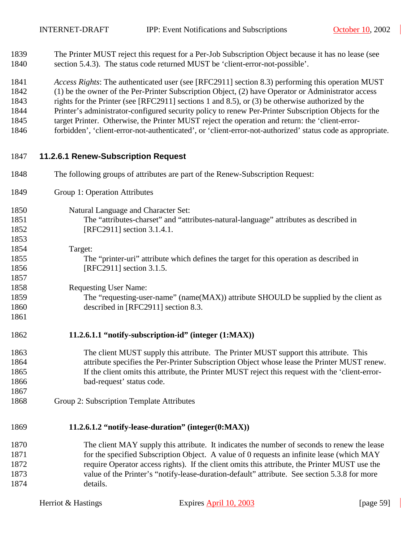- 1839 The Printer MUST reject this request for a Per-Job Subscription Object because it has no lease (see 1840 section [5.4.3\)](#page-31-0). The status code returned MUST be 'client-error-not-possible'.
- 1841 *Access Rights*: The authenticated user (see [RFC2911] section 8.3) performing this operation MUST
- 1842 (1) be the owner of the Per-Printer Subscription Object, (2) have Operator or Administrator access
- 1843 rights for the Printer (see [RFC2911] sections 1 and 8.5), or (3) be otherwise authorized by the
- 1844 Printer's administrator-configured security policy to renew Per-Printer Subscription Objects for the
- 1845 target Printer. Otherwise, the Printer MUST reject the operation and return: the 'client-error-
- 1846 forbidden', 'client-error-not-authenticated', or 'client-error-not-authorized' status code as appropriate.

#### 1847 **11.2.6.1 Renew-Subscription Request**

- 1848 The following groups of attributes are part of the Renew-Subscription Request:
- 1849 Group 1: Operation Attributes
- 1850 Natural Language and Character Set: 1851 The "attributes-charset" and "attributes-natural-language" attributes as described in 1852 [RFC2911] section 3.1.4.1.
- 1854 Target: 1855 The "printer-uri" attribute which defines the target for this operation as described in 1856 [RFC2911] section 3.1.5.
- 1858 Requesting User Name:

1853

1857

1861

1867

- 1859 The "requesting-user-name" (name(MAX)) attribute SHOULD be supplied by the client as 1860 described in [RFC2911] section 8.3.
- 1862 **11.2.6.1.1 "notify-subscription-id" (integer (1:MAX))**
- 1863 The client MUST supply this attribute. The Printer MUST support this attribute. This 1864 attribute specifies the Per-Printer Subscription Object whose lease the Printer MUST renew. 1865 If the client omits this attribute, the Printer MUST reject this request with the 'client-error-1866 bad-request' status code.
- 1868 Group 2: Subscription Template Attributes

#### 1869 **11.2.6.1.2 "notify-lease-duration" (integer(0:MAX))**

1870 The client MAY supply this attribute. It indicates the number of seconds to renew the lease 1871 for the specified Subscription Object. A value of 0 requests an infinite lease (which MAY 1872 require Operator access rights). If the client omits this attribute, the Printer MUST use the 1873 value of the Printer's "notify-lease-duration-default" attribute. See section [5.3.8](#page-28-0) for more 1874 details.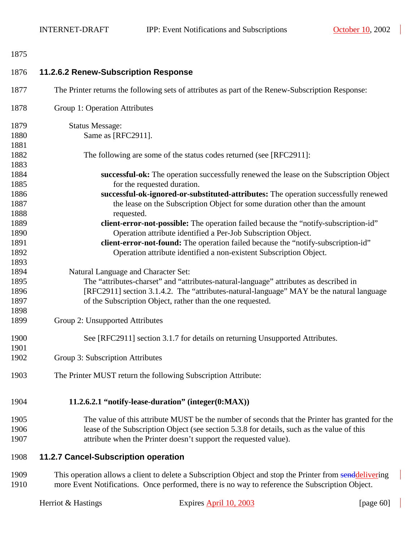<span id="page-59-0"></span>

| 1875 |                                                                                                         |
|------|---------------------------------------------------------------------------------------------------------|
| 1876 | 11.2.6.2 Renew-Subscription Response                                                                    |
| 1877 | The Printer returns the following sets of attributes as part of the Renew-Subscription Response:        |
| 1878 | Group 1: Operation Attributes                                                                           |
| 1879 | <b>Status Message:</b>                                                                                  |
| 1880 | Same as [RFC2911].                                                                                      |
| 1881 |                                                                                                         |
| 1882 | The following are some of the status codes returned (see [RFC2911]:                                     |
| 1883 |                                                                                                         |
| 1884 | successful-ok: The operation successfully renewed the lease on the Subscription Object                  |
| 1885 | for the requested duration.                                                                             |
| 1886 | successful-ok-ignored-or-substituted-attributes: The operation successfully renewed                     |
| 1887 | the lease on the Subscription Object for some duration other than the amount                            |
| 1888 | requested.                                                                                              |
| 1889 | client-error-not-possible: The operation failed because the "notify-subscription-id"                    |
| 1890 | Operation attribute identified a Per-Job Subscription Object.                                           |
| 1891 | client-error-not-found: The operation failed because the "notify-subscription-id"                       |
| 1892 | Operation attribute identified a non-existent Subscription Object.                                      |
| 1893 |                                                                                                         |
| 1894 | Natural Language and Character Set:                                                                     |
| 1895 | The "attributes-charset" and "attributes-natural-language" attributes as described in                   |
| 1896 | [RFC2911] section 3.1.4.2. The "attributes-natural-language" MAY be the natural language                |
| 1897 | of the Subscription Object, rather than the one requested.                                              |
| 1898 |                                                                                                         |
| 1899 | Group 2: Unsupported Attributes                                                                         |
| 1900 | See [RFC2911] section 3.1.7 for details on returning Unsupported Attributes.                            |
| 1901 |                                                                                                         |
| 1902 | Group 3: Subscription Attributes                                                                        |
| 1903 | The Printer MUST return the following Subscription Attribute:                                           |
| 1904 | 11.2.6.2.1 "notify-lease-duration" (integer(0:MAX))                                                     |
| 1905 | The value of this attribute MUST be the number of seconds that the Printer has granted for the          |
| 1906 | lease of the Subscription Object (see section 5.3.8 for details, such as the value of this              |
| 1907 | attribute when the Printer doesn't support the requested value).                                        |
| 1908 | 11.2.7 Cancel-Subscription operation                                                                    |
| 1909 | This operation allows a client to delete a Subscription Object and stop the Printer from senddelivering |
| 1910 | more Event Notifications. Once performed, there is no way to reference the Subscription Object.         |

 $\overline{\phantom{a}}$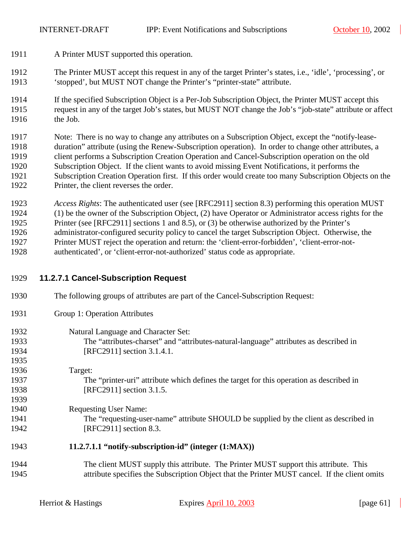- 1911 A Printer MUST supported this operation.
- 1912 The Printer MUST accept this request in any of the target Printer's states, i.e., 'idle', 'processing', or 1913 'stopped', but MUST NOT change the Printer's "printer-state" attribute.
- 1914 If the specified Subscription Object is a Per-Job Subscription Object, the Printer MUST accept this 1915 request in any of the target Job's states, but MUST NOT change the Job's "job-state" attribute or affect 1916 the Job.

1917 Note: There is no way to change any attributes on a Subscription Object, except the "notify-lease-1918 duration" attribute (using the Renew-Subscription operation). In order to change other attributes, a 1919 client performs a Subscription Creation Operation and Cancel-Subscription operation on the old 1920 Subscription Object. If the client wants to avoid missing Event Notifications, it performs the 1921 Subscription Creation Operation first. If this order would create too many Subscription Objects on the 1922 Printer, the client reverses the order.

1923 *Access Rights*: The authenticated user (see [RFC2911] section 8.3) performing this operation MUST 1924 (1) be the owner of the Subscription Object, (2) have Operator or Administrator access rights for the 1925 Printer (see [RFC2911] sections 1 and 8.5), or (3) be otherwise authorized by the Printer's 1926 administrator-configured security policy to cancel the target Subscription Object. Otherwise, the 1927 Printer MUST reject the operation and return: the 'client-error-forbidden', 'client-error-not-1928 authenticated', or 'client-error-not-authorized' status code as appropriate.

#### 1929 **11.2.7.1 Cancel-Subscription Request**

- 1930 The following groups of attributes are part of the Cancel-Subscription Request:
- 1931 Group 1: Operation Attributes
- 1932 Natural Language and Character Set: 1933 The "attributes-charset" and "attributes-natural-language" attributes as described in 1934 [RFC2911] section 3.1.4.1. 1935
- 1936 Target: 1937 The "printer-uri" attribute which defines the target for this operation as described in 1938 [RFC2911] section 3.1.5. 1939
- 1940 Requesting User Name: 1941 The "requesting-user-name" attribute SHOULD be supplied by the client as described in 1942 [RFC2911] section 8.3.

#### 1943 **11.2.7.1.1 "notify-subscription-id" (integer (1:MAX))**

1944 The client MUST supply this attribute. The Printer MUST support this attribute. This 1945 attribute specifies the Subscription Object that the Printer MUST cancel. If the client omits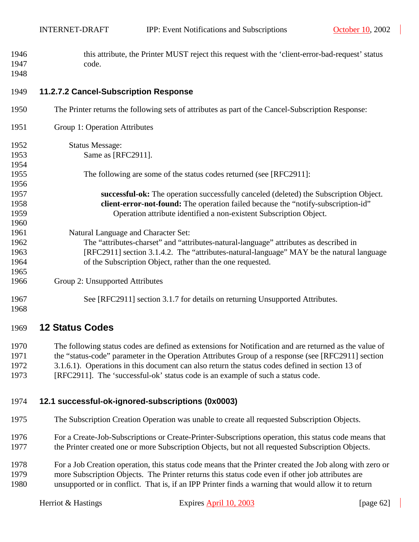<span id="page-61-0"></span>1946 this attribute, the Printer MUST reject this request with the 'client-error-bad-request' status 1947 code. 1948

#### 1949 **11.2.7.2 Cancel-Subscription Response**

| 1950 | The Printer returns the following sets of attributes as part of the Cancel-Subscription Response: |
|------|---------------------------------------------------------------------------------------------------|
| 1951 | Group 1: Operation Attributes                                                                     |
| 1952 | <b>Status Message:</b>                                                                            |
| 1953 | Same as [RFC2911].                                                                                |
| 1954 |                                                                                                   |
| 1955 | The following are some of the status codes returned (see [RFC2911]:                               |
| 1956 |                                                                                                   |
| 1957 | successful-ok: The operation successfully canceled (deleted) the Subscription Object.             |
| 1958 | <b>client-error-not-found:</b> The operation failed because the "notify-subscription-id"          |
| 1959 | Operation attribute identified a non-existent Subscription Object.                                |
| 1960 |                                                                                                   |
| 1961 | Natural Language and Character Set:                                                               |
| 1962 | The "attributes-charset" and "attributes-natural-language" attributes as described in             |
| 1963 | [RFC2911] section 3.1.4.2. The "attributes-natural-language" MAY be the natural language          |
| 1964 | of the Subscription Object, rather than the one requested.                                        |
| 1965 |                                                                                                   |
| 1966 | Group 2: Unsupported Attributes                                                                   |
| 1967 | See [RFC2911] section 3.1.7 for details on returning Unsupported Attributes.                      |
| 1968 |                                                                                                   |

#### 1969 **12 Status Codes**

1970 The following status codes are defined as extensions for Notification and are returned as the value of 1971 the "status-code" parameter in the Operation Attributes Group of a response (see [RFC2911] section 1972 3.1.6.1). Operations in this document can also return the status codes defined in section 13 of 1973 [RFC2911]. The 'successful-ok' status code is an example of such a status code.

# 1974 **12.1 successful-ok-ignored-subscriptions (0x0003)**

- 1975 The Subscription Creation Operation was unable to create all requested Subscription Objects.
- 1976 For a Create-Job-Subscriptions or Create-Printer-Subscriptions operation, this status code means that 1977 the Printer created one or more Subscription Objects, but not all requested Subscription Objects.
- 1978 For a Job Creation operation, this status code means that the Printer created the Job along with zero or 1979 more Subscription Objects. The Printer returns this status code even if other job attributes are 1980 unsupported or in conflict. That is, if an IPP Printer finds a warning that would allow it to return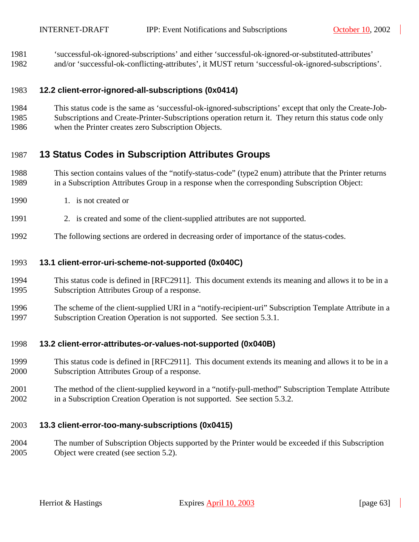<span id="page-62-0"></span>1981 'successful-ok-ignored-subscriptions' and either 'successful-ok-ignored-or-substituted-attributes'

1982 and/or 'successful-ok-conflicting-attributes', it MUST return 'successful-ok-ignored-subscriptions'.

#### 1983 **12.2 client-error-ignored-all-subscriptions (0x0414)**

- 1984 This status code is the same as 'successful-ok-ignored-subscriptions' except that only the Create-Job-
- 1985 Subscriptions and Create-Printer-Subscriptions operation return it. They return this status code only
- 1986 when the Printer creates zero Subscription Objects.

# 1987 **13 Status Codes in Subscription Attributes Groups**

- 1988 This section contains values of the "notify-status-code" (type2 enum) attribute that the Printer returns 1989 in a Subscription Attributes Group in a response when the corresponding Subscription Object:
- 1990 1. is not created or
- 1991 2. is created and some of the client-supplied attributes are not supported.
- 1992 The following sections are ordered in decreasing order of importance of the status-codes.

### 1993 **13.1 client-error-uri-scheme-not-supported (0x040C)**

- 1994 This status code is defined in [RFC2911]. This document extends its meaning and allows it to be in a 1995 Subscription Attributes Group of a response.
- 1996 The scheme of the client-supplied URI in a "notify-recipient-uri" Subscription Template Attribute in a 1997 Subscription Creation Operation is not supported. See section [5.3.1.](#page-19-0)

#### 1998 **13.2 client-error-attributes-or-values-not-supported (0x040B)**

- 1999 This status code is defined in [RFC2911]. This document extends its meaning and allows it to be in a 2000 Subscription Attributes Group of a response.
- 2001 The method of the client-supplied keyword in a "notify-pull-method" Subscription Template Attribute 2002 in a Subscription Creation Operation is not supported. See section [5.3.2.](#page-20-0)

# 2003 **13.3 client-error-too-many-subscriptions (0x0415)**

2004 The number of Subscription Objects supported by the Printer would be exceeded if this Subscription 2005 Object were created (see section [5.2\)](#page-15-0).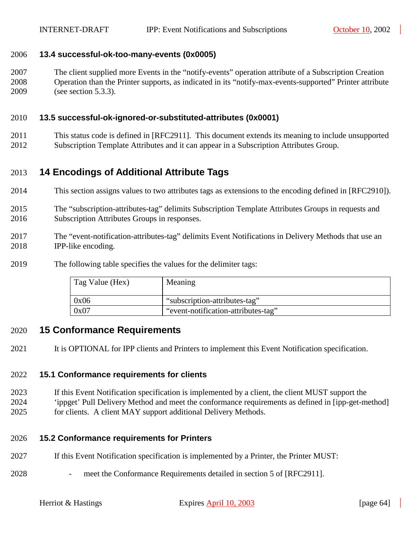#### <span id="page-63-0"></span>2006 **13.4 successful-ok-too-many-events (0x0005)**

2007 The client supplied more Events in the "notify-events" operation attribute of a Subscription Creation 2008 Operation than the Printer supports, as indicated in its "notify-max-events-supported" Printer attribute 2009 (see section [5.3.3\)](#page-20-0).

#### 2010 **13.5 successful-ok-ignored-or-substituted-attributes (0x0001)**

2011 This status code is defined in [RFC2911]. This document extends its meaning to include unsupported 2012 Subscription Template Attributes and it can appear in a Subscription Attributes Group.

# 2013 **14 Encodings of Additional Attribute Tags**

- 2014 This section assigns values to two attributes tags as extensions to the encoding defined in [RFC2910]).
- 2015 The "subscription-attributes-tag" delimits Subscription Template Attributes Groups in requests and 2016 Subscription Attributes Groups in responses.
- 2017 The "event-notification-attributes-tag" delimits Event Notifications in Delivery Methods that use an 2018 IPP-like encoding.
- 2019 The following table specifies the values for the delimiter tags:

| Tag Value (Hex) | Meaning                             |
|-----------------|-------------------------------------|
| 0x06            | "subscription-attributes-tag"       |
| 0x07            | "event-notification-attributes-tag" |

#### 2020 **15 Conformance Requirements**

2021 It is OPTIONAL for IPP clients and Printers to implement this Event Notification specification.

#### 2022 **15.1 Conformance requirements for clients**

2023 If this Event Notification specification is implemented by a client, the client MUST support the 2024 'ippget' Pull Delivery Method and meet the conformance requirements as defined in [ipp-get-method] 2025 for clients. A client MAY support additional Delivery Methods.

#### 2026 **15.2 Conformance requirements for Printers**

- 2027 If this Event Notification specification is implemented by a Printer, the Printer MUST:
- 2028 meet the Conformance Requirements detailed in section 5 of [RFC2911].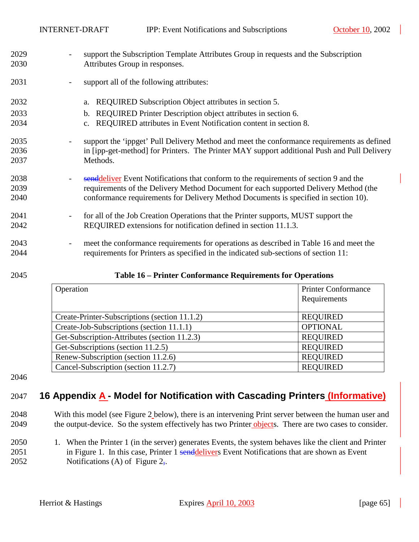- 2029 support the Subscription Template Attributes Group in requests and the Subscription 2030 Attributes Group in responses.
- 2031 support all of the following attributes:
- 2032 a. REQUIRED Subscription Object attributes in section [5.](#page-13-0)
- 2033 b. REQUIRED Printer Description object attributes in section [6.](#page-34-0)
- 2034 c. REQUIRED attributes in Event Notification content in section [8.](#page-35-0)
- 2035 support the 'ippget' Pull Delivery Method and meet the conformance requirements as defined 2036 in [ipp-get-method] for Printers. The Printer MAY support additional Push and Pull Delivery 2037 Methods.
- 2038 senddeliver Event Notifications that conform to the requirements of section [9](#page-36-0) and the 2039 requirements of the Delivery Method Document for each supported Delivery Method (the 2040 conformance requirements for Delivery Method Documents is specified in section [10\)](#page-44-0).
- 2041 for all of the Job Creation Operations that the Printer supports, MUST support the 2042 REQUIRED extensions for notification defined in section [11.1.3.](#page-49-0)
- 2043 meet the conformance requirements for operations as described in Table 16 and meet the 2044 requirements for Printers as specified in the indicated sub-sections of section [11:](#page-45-0)

| 2045 | Table 16 – Printer Conformance Requirements for Operations |  |
|------|------------------------------------------------------------|--|
|      |                                                            |  |

| Operation                                     | <b>Printer Conformance</b><br>Requirements |
|-----------------------------------------------|--------------------------------------------|
| Create-Printer-Subscriptions (section 11.1.2) | <b>REQUIRED</b>                            |
| Create-Job-Subscriptions (section 11.1.1)     | <b>OPTIONAL</b>                            |
| Get-Subscription-Attributes (section 11.2.3)  | <b>REQUIRED</b>                            |
| Get-Subscriptions (section 11.2.5)            | <b>REQUIRED</b>                            |
| Renew-Subscription (section 11.2.6)           | <b>REQUIRED</b>                            |
| Cancel-Subscription (section 11.2.7)          | <b>REQUIRED</b>                            |

2046

# 2047 **16 Appendix A - Model for Notification with Cascading Printers (Informative)**

- 2048 With this model (see [Figure 2](#page-65-0) [below\)](#page-65-0), there is an intervening Print server between the human user and 2049 the output-device. So the system effectively has two Printer objects. There are two cases to consider.
- 2050 1. When the Printer 1 (in the server) generates Events, the system behaves like the client and Printer 2051 in [Figure 1.](#page-9-0) In this case, Printer 1 senddelivers Event Notifications that are shown as Event 2052 Notifications (A) of [Figure 2,](#page-65-0)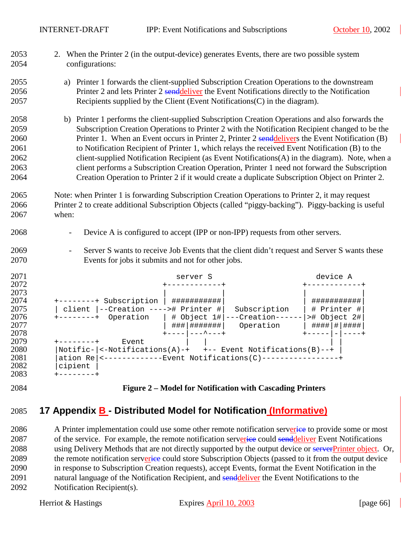<span id="page-65-0"></span>

| 2084         | Figure 2 – Model for Notification with Cascading Printers                                                                |  |
|--------------|--------------------------------------------------------------------------------------------------------------------------|--|
| 2083         | +--------+                                                                                                               |  |
| 2082         | cipient                                                                                                                  |  |
| 2081         | ation Re <------------Event Notifications(C)-----------------+                                                           |  |
| 2080         | Notific- <-Notifications(A)-+ +-- Event Notifications(B)--+                                                              |  |
| 2079         | $+ - - - - - - - +$<br>Event                                                                                             |  |
| 2078         | ### ####### <br>Operation   $\#$ ### # #####<br>$+ - - - -$   --- ^---+<br>$+$ - - - - - $ - $ - - - - +                 |  |
| 2076<br>2077 | +--------+ Operation   # Object 1# ---Creation------  ># Object 2#                                                       |  |
| 2075         | client  --Creation ----># Printer # <br>Subscription<br># Printer #                                                      |  |
| 2074         | +--------+ Subscription   ############<br>###########                                                                    |  |
| 2073         |                                                                                                                          |  |
| 2072         | +------------+                                                                                                           |  |
| 2071         | device A<br>server S                                                                                                     |  |
| 2070         | Events for jobs it submits and not for other jobs.                                                                       |  |
| 2069         | Server S wants to receive Job Events that the client didn't request and Server S wants these<br>$\overline{\phantom{a}}$ |  |
| 2068         | Device A is configured to accept (IPP or non-IPP) requests from other servers.<br>$\overline{\phantom{a}}$               |  |
|              |                                                                                                                          |  |
| 2067         | when:                                                                                                                    |  |
| 2066         | Printer 2 to create additional Subscription Objects (called "piggy-backing"). Piggy-backing is useful                    |  |
| 2065         | Note: when Printer 1 is forwarding Subscription Creation Operations to Printer 2, it may request                         |  |
| 2064         | Creation Operation to Printer 2 if it would create a duplicate Subscription Object on Printer 2.                         |  |
| 2063         | client performs a Subscription Creation Operation, Printer 1 need not forward the Subscription                           |  |
| 2062         | client-supplied Notification Recipient (as Event Notifications(A) in the diagram). Note, when a                          |  |
| 2061         | to Notification Recipient of Printer 1, which relays the received Event Notification (B) to the                          |  |
| 2060         | Printer 1. When an Event occurs in Printer 2, Printer 2 senddelivers the Event Notification (B)                          |  |
| 2059         | Subscription Creation Operations to Printer 2 with the Notification Recipient changed to be the                          |  |
| 2058         | b) Printer 1 performs the client-supplied Subscription Creation Operations and also forwards the                         |  |
|              |                                                                                                                          |  |
| 2057         | Recipients supplied by the Client (Event Notifications (C) in the diagram).                                              |  |
| 2056         | Printer 2 and lets Printer 2 senddeliver the Event Notifications directly to the Notification                            |  |
| 2055         | a) Printer 1 forwards the client-supplied Subscription Creation Operations to the downstream                             |  |
| 2054         | configurations:                                                                                                          |  |
| 2053         | 2. When the Printer 2 (in the output-device) generates Events, there are two possible system                             |  |
|              |                                                                                                                          |  |

# 2085 **17 Appendix B - Distributed Model for Notification (Informative)**

2086 A Printer implementation could use some other remote notification serverice to provide some or most 2087 of the service. For example, the remote notification serverice could senddeliver Event Notifications 2088 using Delivery Methods that are not directly supported by the output device or serverPrinter object. Or, 2089 the remote notification serverice could store Subscription Objects (passed to it from the output device 2090 in response to Subscription Creation requests), accept Events, format the Event Notification in the 2091 natural language of the Notification Recipient, and senddeliver the Event Notifications to the 2092 Notification Recipient(s).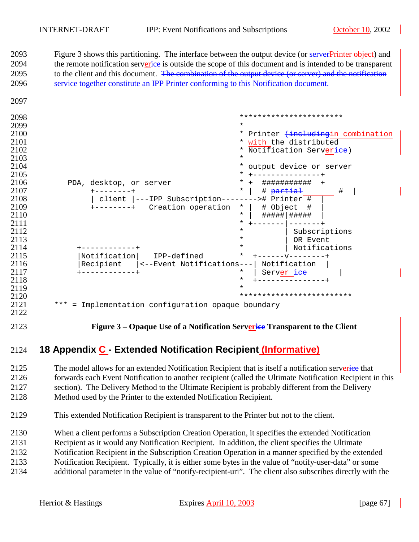2093 Figure 3 shows this partitioning. The interface between the output device (or serverPrinter object) and 2094 the remote notification serverice is outside the scope of this document and is intended to be transparent 2095 to the client and this document. The combination of the output device (or server) and the notification 2096 service together constitute an IPP Printer conforming to this Notification document.

| $\Delta$ UJI |                                                     |                                                |
|--------------|-----------------------------------------------------|------------------------------------------------|
| 2098         |                                                     |                                                |
| 2099         |                                                     | $\star$                                        |
| 2100         |                                                     | * Printer <del>(including</del> in combination |
| 2101         |                                                     | * with the distributed                         |
| 2102         |                                                     | * Notification Server <del>ice</del> )         |
| 2103         |                                                     | $\ast$                                         |
| 2104         |                                                     | * output device or server                      |
| 2105         |                                                     |                                                |
| 2106         | PDA, desktop, or server                             | $\ast$<br>###########                          |
| 2107         | ----+                                               | # partial<br>$\star$<br>#                      |
| 2108         | client  <br>---IPP Subscription--------># Printer # |                                                |
| 2109         | Creation operation<br>$+ - - - - - - - +$           | # Object<br>$\star$<br>- #                     |
| 2110         |                                                     | #####   #####<br>$\ast$                        |
| 2111         |                                                     |                                                |
| 2112         |                                                     | $\star$<br>Subscriptions                       |
| 2113         |                                                     | OR Event<br>$\ast$                             |
| 2114         |                                                     | Notifications<br>$\ast$                        |
| 2115         | Notification<br>IPP-defined                         | $\ast$                                         |
| 2116         | Recipient   <--Event Notifications---               | Notification                                   |
| 2117         |                                                     | $\star$<br>Server <del>ice</del>               |
| 2118         |                                                     | *                                              |
| 2119         |                                                     | $\star$                                        |
| 2120         |                                                     | *************************                      |
| 2121         | *** = Implementation configuration opaque boundary  |                                                |

# 

**Figure 3 – Opaque Use of a Notification Serverice Transparent to the Client** 

# **18 Appendix C - Extended Notification Recipient (Informative)**

2125 The model allows for an extended Notification Recipient that is itself a notification serverice that 2126 forwards each Event Notification to another recipient (called the Ultimate Notification Recipient in this 2127 section). The Delivery Method to the Ultimate Recipient is probably different from the Delivery 2128 Method used by the Printer to the extended Notification Recipient.

- 2129 This extended Notification Recipient is transparent to the Printer but not to the client.
- 2130 When a client performs a Subscription Creation Operation, it specifies the extended Notification
- 2131 Recipient as it would any Notification Recipient. In addition, the client specifies the Ultimate
- 2132 Notification Recipient in the Subscription Creation Operation in a manner specified by the extended
- 2133 Notification Recipient. Typically, it is either some bytes in the value of "notify-user-data" or some
- 2134 additional parameter in the value of "notify-recipient-uri". The client also subscribes directly with the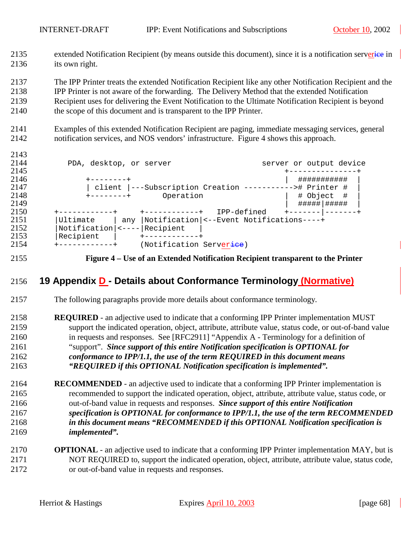2135 extended Notification Recipient (by means outside this document), since it is a notification serverice in 2136 its own right.

2137 The IPP Printer treats the extended Notification Recipient like any other Notification Recipient and the

2138 IPP Printer is not aware of the forwarding. The Delivery Method that the extended Notification

- 2139 Recipient uses for delivering the Event Notification to the Ultimate Notification Recipient is beyond 2140 the scope of this document and is transparent to the IPP Printer.
- 2141 Examples of this extended Notification Recipient are paging, immediate messaging services, general 2142 notification services, and NOS vendors' infrastructure. Figure 4 shows this approach.

| 2144 | PDA, desktop, or server |     |                                                          |             |               | server or output device |
|------|-------------------------|-----|----------------------------------------------------------|-------------|---------------|-------------------------|
| 2145 |                         |     |                                                          |             |               |                         |
| 2146 |                         |     |                                                          |             | ###########   |                         |
| 2147 |                         |     | client  ---Subscription Creation -----------># Printer # |             |               |                         |
| 2148 | --------+               |     | Operation                                                |             | # Object #    |                         |
| 2149 |                         |     |                                                          |             | #####   ##### |                         |
| 2150 |                         |     |                                                          | IPP-defined |               |                         |
| 2151 | Ultimate                | any | Notification  <--Event Notifications----+                |             |               |                         |
| 2152 | $Notification$   <----  |     | Recipient                                                |             |               |                         |
| 2153 | Recipient               |     |                                                          |             |               |                         |
| 2154 |                         |     | (Notification Server <del>ice</del> )                    |             |               |                         |
|      |                         |     |                                                          |             |               |                         |

2143

2155 **Figure 4 – Use of an Extended Notification Recipient transparent to the Printer** 

# 2156 **19 Appendix D - Details about Conformance Terminology (Normative)**

- 2157 The following paragraphs provide more details about conformance terminology.
- 2158 **REQUIRED**  an adjective used to indicate that a conforming IPP Printer implementation MUST 2159 support the indicated operation, object, attribute, attribute value, status code, or out-of-band value 2160 in requests and responses. See [RFC2911] "Appendix A - Terminology for a definition of 2161 "support". *Since support of this entire Notification specification is OPTIONAL for*  2162 *conformance to IPP/1.1, the use of the term REQUIRED in this document means*  2163 *"REQUIRED if this OPTIONAL Notification specification is implemented".*
- 2164 **RECOMMENDED**  an adjective used to indicate that a conforming IPP Printer implementation is 2165 recommended to support the indicated operation, object, attribute, attribute value, status code, or 2166 out-of-band value in requests and responses. *Since support of this entire Notification*  2167 *specification is OPTIONAL for conformance to IPP/1.1, the use of the term RECOMMENDED*  2168 *in this document means "RECOMMENDED if this OPTIONAL Notification specification is*  2169 *implemented".*
- 2170 **OPTIONAL**  an adjective used to indicate that a conforming IPP Printer implementation MAY, but is 2171 NOT REQUIRED to, support the indicated operation, object, attribute, attribute value, status code, 2172 or out-of-band value in requests and responses.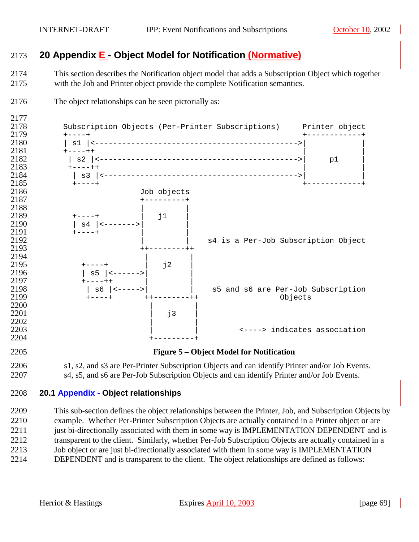# **20 Appendix E - Object Model for Notification (Normative)**

2174 This section describes the Notification object model that adds a Subscription Object which together 2175 with the Job and Printer object provide the complete Notification semantics.



2176 The object relationships can be seen pictorially as:

2206 s1, s2, and s3 are Per-Printer Subscription Objects and can identify Printer and/or Job Events. 2207 s4, s5, and s6 are Per-Job Subscription Objects and can identify Printer and/or Job Events.

# **20.1 Appendix - Object relationships**

2209 This sub-section defines the object relationships between the Printer, Job, and Subscription Objects by 2210 example. Whether Per-Printer Subscription Objects are actually contained in a Printer object or are 2211 just bi-directionally associated with them in some way is IMPLEMENTATION DEPENDENT and is 2212 transparent to the client. Similarly, whether Per-Job Subscription Objects are actually contained in a 2213 Job object or are just bi-directionally associated with them in some way is IMPLEMENTATION 2214 DEPENDENT and is transparent to the client. The object relationships are defined as follows: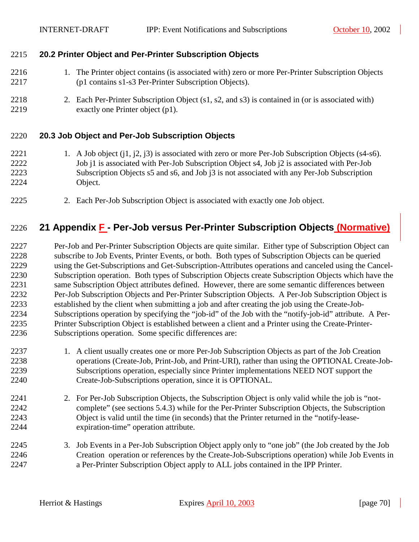#### 2215 **20.2 Printer Object and Per-Printer Subscription Objects**

- 2216 1. The Printer object contains (is associated with) zero or more Per-Printer Subscription Objects 2217 (p1 contains s1-s3 Per-Printer Subscription Objects).
- 2218 2. Each Per-Printer Subscription Object (s1, s2, and s3) is contained in (or is associated with) 2219 exactly one Printer object (p1).

#### 2220 **20.3 Job Object and Per-Job Subscription Objects**

- 2221 1. A Job object (j1, j2, j3) is associated with zero or more Per-Job Subscription Objects (s4-s6). 2222 Job j1 is associated with Per-Job Subscription Object s4, Job j2 is associated with Per-Job 2223 Subscription Objects s5 and s6, and Job j3 is not associated with any Per-Job Subscription 2224 Object.
- 2225 2. Each Per-Job Subscription Object is associated with exactly one Job object.

# 2226 **21 Appendix F - Per-Job versus Per-Printer Subscription Objects (Normative)**

2227 Per-Job and Per-Printer Subscription Objects are quite similar. Either type of Subscription Object can 2228 subscribe to Job Events, Printer Events, or both. Both types of Subscription Objects can be queried 2229 using the Get-Subscriptions and Get-Subscription-Attributes operations and canceled using the Cancel-2230 Subscription operation. Both types of Subscription Objects create Subscription Objects which have the 2231 same Subscription Object attributes defined. However, there are some semantic differences between 2232 Per-Job Subscription Objects and Per-Printer Subscription Objects. A Per-Job Subscription Object is 2233 established by the client when submitting a job and after creating the job using the Create-Job-2234 Subscriptions operation by specifying the "job-id" of the Job with the "notify-job-id" attribute. A Per-2235 Printer Subscription Object is established between a client and a Printer using the Create-Printer-2236 Subscriptions operation. Some specific differences are:

- 2237 1. A client usually creates one or more Per-Job Subscription Objects as part of the Job Creation 2238 operations (Create-Job, Print-Job, and Print-URI), rather than using the OPTIONAL Create-Job-2239 Subscriptions operation, especially since Printer implementations NEED NOT support the 2240 Create-Job-Subscriptions operation, since it is OPTIONAL.
- 2241 2. For Per-Job Subscription Objects, the Subscription Object is only valid while the job is "not-2242 complete" (see sections [5.4.3\)](#page-31-0) while for the Per-Printer Subscription Objects, the Subscription 2243 Object is valid until the time (in seconds) that the Printer returned in the "notify-lease-2244 expiration-time" operation attribute.
- 2245 3. Job Events in a Per-Job Subscription Object apply only to "one job" (the Job created by the Job 2246 Creation operation or references by the Create-Job-Subscriptions operation) while Job Events in 2247 a Per-Printer Subscription Object apply to ALL jobs contained in the IPP Printer.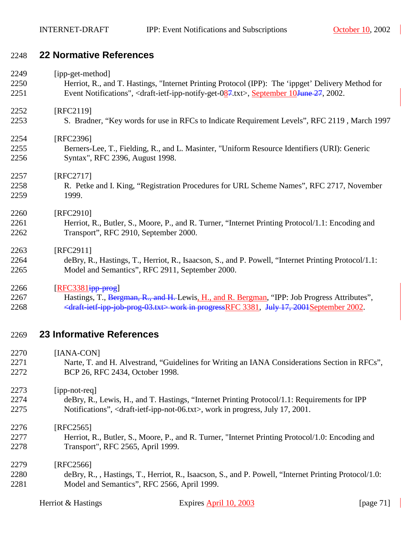# 2248 **22 Normative References**

| 2249 | [ipp-get-method]                                                                                                          |
|------|---------------------------------------------------------------------------------------------------------------------------|
| 2250 | Herriot, R., and T. Hastings, "Internet Printing Protocol (IPP): The 'ippget' Delivery Method for                         |
| 2251 | Event Notifications", <draft-ietf-ipp-notify-get-087.txt>, September 10June 27, 2002.</draft-ietf-ipp-notify-get-087.txt> |
| 2252 | [RFC2119]                                                                                                                 |
| 2253 | S. Bradner, "Key words for use in RFCs to Indicate Requirement Levels", RFC 2119, March 1997                              |
| 2254 | [RFC2396]                                                                                                                 |
| 2255 | Berners-Lee, T., Fielding, R., and L. Masinter, "Uniform Resource Identifiers (URI): Generic                              |
| 2256 | Syntax", RFC 2396, August 1998.                                                                                           |
| 2257 | [RFC2717]                                                                                                                 |
| 2258 | R. Petke and I. King, "Registration Procedures for URL Scheme Names", RFC 2717, November                                  |
| 2259 | 1999.                                                                                                                     |
| 2260 | [RFC2910]                                                                                                                 |
| 2261 | Herriot, R., Butler, S., Moore, P., and R. Turner, "Internet Printing Protocol/1.1: Encoding and                          |
| 2262 | Transport", RFC 2910, September 2000.                                                                                     |
| 2263 | [RFC2911]                                                                                                                 |
| 2264 | deBry, R., Hastings, T., Herriot, R., Isaacson, S., and P. Powell, "Internet Printing Protocol/1.1:                       |
| 2265 | Model and Semantics", RFC 2911, September 2000.                                                                           |
| 2266 | $[RFC3381]$ ipp-prog                                                                                                      |
| 2267 | Hastings, T., Bergman, R., and H. Lewis, H., and R. Bergman, "IPP: Job Progress Attributes",                              |
| 2268 | <draft-ietf-ipp-job-prog-03.txt> work in progressRFC 3381, July 17, 2001September 2002.</draft-ietf-ipp-job-prog-03.txt>  |
| 2269 | <b>23 Informative References</b>                                                                                          |
| 2270 | [IANA-CON]                                                                                                                |
| 2271 | Narte, T. and H. Alvestrand, "Guidelines for Writing an IANA Considerations Section in RFCs",                             |
| 2272 | BCP 26, RFC 2434, October 1998.                                                                                           |
| 2273 | [ipp-not-req]                                                                                                             |
| 2274 | deBry, R., Lewis, H., and T. Hastings, "Internet Printing Protocol/1.1: Requirements for IPP                              |
| 2275 | Notifications", <draft-ietf-ipp-not-06.txt>, work in progress, July 17, 2001.</draft-ietf-ipp-not-06.txt>                 |
| 2276 | $[RFC2565]$                                                                                                               |

- 2277 Herriot, R., Butler, S., Moore, P., and R. Turner, "Internet Printing Protocol/1.0: Encoding and 2278 Transport", RFC 2565, April 1999.
- 2279 [RFC2566] 2280 deBry, R., , Hastings, T., Herriot, R., Isaacson, S., and P. Powell, "Internet Printing Protocol/1.0: 2281 Model and Semantics", RFC 2566, April 1999.

| Herriot & Hastings | Expires April 10, 2003 | [page $71$ ] |
|--------------------|------------------------|--------------|
|--------------------|------------------------|--------------|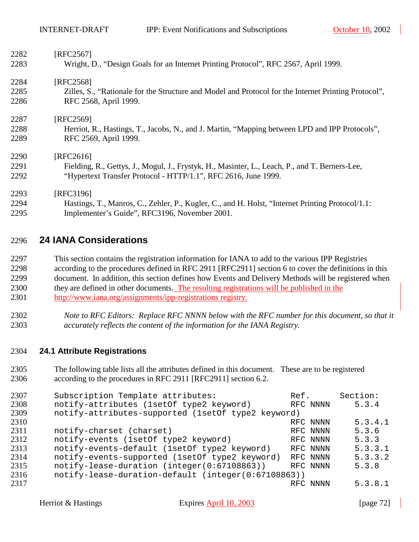| 2282 | [RFC2567]                                                                                            |  |  |  |
|------|------------------------------------------------------------------------------------------------------|--|--|--|
| 2283 | Wright, D., "Design Goals for an Internet Printing Protocol", RFC 2567, April 1999.                  |  |  |  |
| 2284 | [RFC2568]                                                                                            |  |  |  |
| 2285 | Zilles, S., "Rationale for the Structure and Model and Protocol for the Internet Printing Protocol", |  |  |  |
| 2286 | RFC 2568, April 1999.                                                                                |  |  |  |
| 2287 | [RFC2569]                                                                                            |  |  |  |
| 2288 | Herriot, R., Hastings, T., Jacobs, N., and J. Martin, "Mapping between LPD and IPP Protocols",       |  |  |  |
| 2289 | RFC 2569, April 1999.                                                                                |  |  |  |
| 2290 | [RFC2616]                                                                                            |  |  |  |
| 2291 | Fielding, R., Gettys, J., Mogul, J., Frystyk, H., Masinter, L., Leach, P., and T. Berners-Lee,       |  |  |  |
| 2292 | "Hypertext Transfer Protocol - HTTP/1.1", RFC 2616, June 1999.                                       |  |  |  |
| 2293 | [RFC3196]                                                                                            |  |  |  |
| 2294 | Hastings, T., Manros, C., Zehler, P., Kugler, C., and H. Holst, "Internet Printing Protocol/1.1:     |  |  |  |
| 2295 | Implementer's Guide", RFC3196, November 2001.                                                        |  |  |  |

### 2296 **24 IANA Considerations**

2297 This section contains the registration information for IANA to add to the various IPP Registries 2298 according to the procedures defined in RFC 2911 [RFC2911] section 6 to cover the definitions in this 2299 document. In addition, this section defines how Events and Delivery Methods will be registered when 2300 they are defined in other documents. The resulting registrations will be published in the 2301 http://www.iana.org/assignments/ipp-registrations registry.

2302 *Note to RFC Editors: Replace RFC NNNN below with the RFC number for this document, so that it*  2303 *accurately reflects the content of the information for the IANA Registry.* 

#### 2304 **24.1 Attribute Registrations**

2305 The following table lists all the attributes defined in this document. These are to be registered 2306 according to the procedures in RFC 2911 [RFC2911] section 6.2.

| 2307 | Subscription Template attributes:                   | Ref. |          | Section: |  |
|------|-----------------------------------------------------|------|----------|----------|--|
| 2308 | notify-attributes (1setOf type2 keyword)            |      | RFC NNNN | 5.3.4    |  |
| 2309 | notify-attributes-supported (1set0f type2 keyword)  |      |          |          |  |
| 2310 |                                                     |      | RFC NNNN | 5.3.4.1  |  |
| 2311 | notify-charset (charset)                            |      | RFC NNNN | 5.3.6    |  |
| 2312 | notify-events (1setOf type2 keyword)                |      | RFC NNNN | 5.3.3    |  |
| 2313 | notify-events-default (1setOf type2 keyword)        |      | RFC NNNN | 5.3.3.1  |  |
| 2314 | notify-events-supported (1setOf type2 keyword)      |      | RFC NNNN | 5.3.3.2  |  |
| 2315 | notify-lease-duration (integer(0:67108863))         |      | RFC NNNN | 5.3.8    |  |
| 2316 | notify-lease-duration-default (integer(0:67108863)) |      |          |          |  |
| 2317 |                                                     |      | RFC NNNN | 5.3.8.1  |  |
|      |                                                     |      |          |          |  |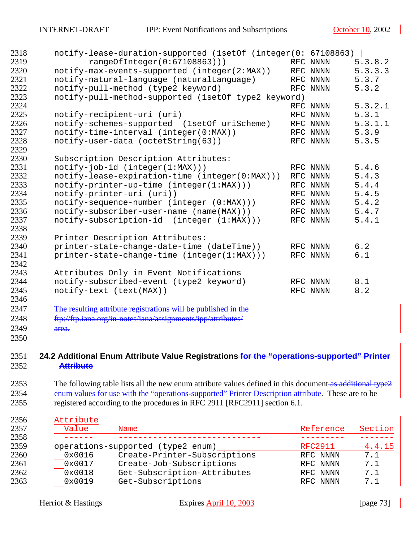| 2318 | notify-lease-duration-supported (1setOf (integer(0: 67108863)  |          |         |
|------|----------------------------------------------------------------|----------|---------|
| 2319 | rangeOfInteger(0:67108863)))                                   | RFC NNNN | 5.3.8.2 |
| 2320 | notify-max-events-supported (integer(2:MAX))                   | RFC NNNN | 5.3.3.3 |
| 2321 | notify-natural-language (naturalLanguage)                      | RFC NNNN | 5.3.7   |
| 2322 | notify-pull-method (type2 keyword)                             | RFC NNNN | 5.3.2   |
| 2323 | notify-pull-method-supported (1setOf type2 keyword)            |          |         |
| 2324 |                                                                | RFC NNNN | 5.3.2.1 |
| 2325 | notify-recipient-uri (uri)                                     | RFC NNNN | 5.3.1   |
| 2326 | notify-schemes-supported (1setOf uriScheme)                    | RFC NNNN | 5.3.1.1 |
| 2327 | notify-time-interval (integer(0:MAX))                          | RFC NNNN | 5.3.9   |
| 2328 | notify-user-data (octetString(63))                             | RFC NNNN | 5.3.5   |
| 2329 |                                                                |          |         |
| 2330 | Subscription Description Attributes:                           |          |         |
| 2331 | $notify-job-id (integer(1:MAX)))$                              | RFC NNNN | 5.4.6   |
| 2332 | notify-lease-expiration-time (integer(0:MAX)))                 | RFC NNNN | 5.4.3   |
| 2333 | notify-printer-up-time (integer(1:MAX)))                       | RFC NNNN | 5.4.4   |
| 2334 | notify-printer-uri (uri))                                      | RFC NNNN | 5.4.5   |
| 2335 | notify-sequence-number (integer (0:MAX)))                      | RFC NNNN | 5.4.2   |
| 2336 | notify-subscriber-user-name (name(MAX)))                       | RFC NNNN | 5.4.7   |
| 2337 | notify-subscription-id (integer (1:MAX)))                      | RFC NNNN | 5.4.1   |
| 2338 |                                                                |          |         |
| 2339 | Printer Description Attributes:                                |          |         |
| 2340 | printer-state-change-date-time (dateTime))                     | RFC NNNN | 6.2     |
| 2341 | printer-state-change-time (integer(1:MAX)))                    | RFC NNNN | 6.1     |
| 2342 |                                                                |          |         |
| 2343 | Attributes Only in Event Notifications                         |          |         |
| 2344 | notify-subscribed-event (type2 keyword)                        | RFC NNNN | 8.1     |
| 2345 | notify-text (text(MAX))                                        | RFC NNNN | $8.2\,$ |
| 2346 |                                                                |          |         |
| 2347 | The resulting attribute registrations will be published in the |          |         |
| 2348 | ftp://ftp.iana.org/in-notes/iana/assignments/ipp/attributes/   |          |         |
| 2349 | area.                                                          |          |         |

## **24.2 Additional Enum Attribute Value Registrations for the "operations-supported" Printer Attribute**

2353 The following table lists all the new enum attribute values defined in this document as additional type2 2354 enum values for use with the "operations-supported" Printer Description attribute. These are to be 2355 registered according to the procedures in RFC 2911 [RFC2911] section 6.1.

| Attribute |                                   |           |         |
|-----------|-----------------------------------|-----------|---------|
| Value     | Name                              | Reference | Section |
|           |                                   |           |         |
|           | operations-supported (type2 enum) | RFC2911   | 4.4.15  |
| 0x0016    | Create-Printer-Subscriptions      | RFC NNNN  | 7.1     |
| 0x0017    | Create-Job-Subscriptions          | RFC NNNN  | 7.1     |
| 0x0018    | Get-Subscription-Attributes       | RFC NNNN  | 7.1     |
| 0x0019    | Get-Subscriptions                 | RFC NNNN  | 7.1     |
|           |                                   |           |         |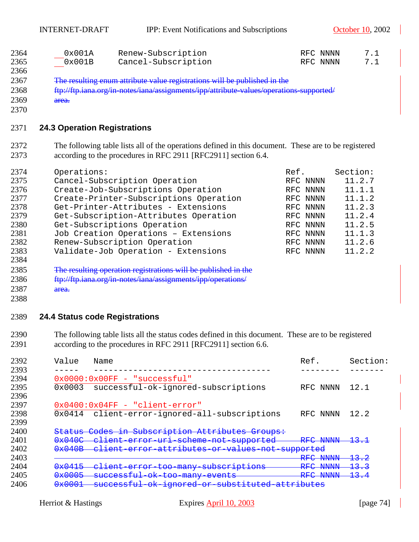INTERNET-DRAFT IPP: Event Notifications and Subscriptions October 10, 2002

| 2364 | 0x001A | Renew-Subscription  | RFC NNNN | 7.1 |
|------|--------|---------------------|----------|-----|
| 2365 | 0x001B | Cancel-Subscription | RFC NNNN | 7.1 |
| 2366 |        |                     |          |     |

2367 The resulting enum attribute value registrations will be published in the 2368 ftp://ftp.iana.org/in-notes/iana/assignments/ipp/attribute-values/operations-supported/ 2369 area.

#### **24.3 Operation Registrations**

2372 The following table lists all of the operations defined in this document. These are to be registered 2373 according to the procedures in RFC 2911 [RFC2911] section 6.4.

| 2374 | Operations:                            | Ref. |          | Section: |
|------|----------------------------------------|------|----------|----------|
| 2375 | Cancel-Subscription Operation          |      | RFC NNNN | 11.2.7   |
| 2376 | Create-Job-Subscriptions Operation     |      | RFC NNNN | 11.1.1   |
| 2377 | Create-Printer-Subscriptions Operation |      | RFC NNNN | 11.1.2   |
| 2378 | Get-Printer-Attributes - Extensions    |      | RFC NNNN | 11.2.3   |
| 2379 | Get-Subscription-Attributes Operation  |      | RFC NNNN | 11.2.4   |
| 2380 | Get-Subscriptions Operation            |      | RFC NNNN | 11.2.5   |
| 2381 | Job Creation Operations - Extensions   |      | RFC NNNN | 11.1.3   |
| 2382 | Renew-Subscription Operation           |      | RFC NNNN | 11.2.6   |
| 2383 | Validate-Job Operation - Extensions    |      | RFC NNNN | 11.2.2   |
| 2384 |                                        |      |          |          |

2385 The resulting operation registrations will be published in the 2386 ftp://ftp.iana.org/in-notes/iana/assignments/ipp/operations/

- 2387 area.
- 

#### **24.4 Status code Registrations**

2390 The following table lists all the status codes defined in this document. These are to be registered 2391 according to the procedures in RFC 2911 [RFC2911] section 6.6.

| 2392 | Value                                                                                                                                      | Name                                                                          | Ref.                                                         | Section:        |
|------|--------------------------------------------------------------------------------------------------------------------------------------------|-------------------------------------------------------------------------------|--------------------------------------------------------------|-----------------|
| 2393 |                                                                                                                                            |                                                                               |                                                              |                 |
| 2394 |                                                                                                                                            | $0x0000:0x00FF - "successful"$                                                |                                                              |                 |
| 2395 | 0x0003                                                                                                                                     | successful-ok-ignored-subscriptions                                           | RFC NNNN                                                     | 12.1            |
| 2396 |                                                                                                                                            |                                                                               |                                                              |                 |
| 2397 |                                                                                                                                            | 0x0400:0x04FF - "client-error"                                                |                                                              |                 |
| 2398 | 0x0414                                                                                                                                     | client-error-ignored-all-subscriptions                                        | RFC NNNN                                                     | 12.2            |
| 2399 |                                                                                                                                            |                                                                               |                                                              |                 |
| 2400 |                                                                                                                                            | Status Codes in Subscription Attributes Groups:                               |                                                              |                 |
| 2401 | $0*040C$                                                                                                                                   | client error uri scheme not supported                                         | RFC NNNN                                                     | <del>13.1</del> |
| 2402 | 0x040B                                                                                                                                     | client error attributes or values not supported                               |                                                              |                 |
| 2403 |                                                                                                                                            |                                                                               | ^ם ס<br><b>NINININI</b><br><b>ININININ</b>                   | <del>13.2</del> |
| 2404 | $0 \times 0 A1 E$<br><u> Tanto de la provincia de la provincia de la provincia de la provincia de la provincia de la provincia de la p</u> | $arrow-taq$ many cubcarint i and<br><del>ouvou rycrono</del><br><b>THOLLY</b> | מהת<br><b>NTNTNTNT</b><br><b>FAVE AVE AVE AV</b>             | <del>13.3</del> |
| 2405 | $0*0005$                                                                                                                                   | ok too many events<br><del>successful</del>                                   | מהת ח<br><b>ATATATAT</b><br><b>IVE G</b><br><b>ENFINENCE</b> | <del>13.4</del> |
| 2406 | $0 \times 0001$<br><del>uxuuui</del>                                                                                                       | <del>ok ignored or su</del><br><b>DUCCODIUI</b><br><del>pappertuccu</del>     | <del>attributes</del>                                        |                 |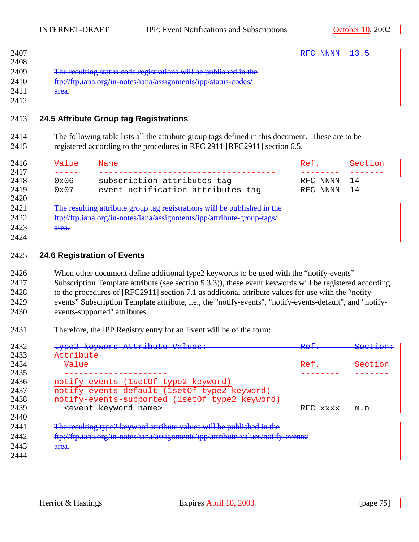|                                                                  | <b>DEC MAINTAT</b> |
|------------------------------------------------------------------|--------------------|
|                                                                  | <b>ENFAVOUR</b>    |
|                                                                  |                    |
| The resulting status code registrations will be published in the |                    |
| ftp://ftp.iana.org/in-notes/iana/assignments/ipp/status-codes/   |                    |
| area.                                                            |                    |
|                                                                  |                    |

2413 **24.5 Attribute Group tag Registrations** 

2414 The following table lists all the attribute group tags defined in this document. These are to be 2415 registered according to the procedures in RFC 2911 [RFC2911] section 6.5.

| 2416         | Value         | Name                                                                     | Ref.     | Section |
|--------------|---------------|--------------------------------------------------------------------------|----------|---------|
| 2417         |               |                                                                          |          |         |
| 2418         | $0 \times 06$ | subscription-attributes-tag                                              | RFC NNNN | 14      |
| 2419<br>2420 | 0x07          | event-notification-attributes-tag                                        | RFC NNNN | 14      |
| 2421         |               | The resulting attribute group tag registrations will be published in the |          |         |
| 2422         |               | ftp://ftp.iana.org/in-notes/iana/assignments/ipp/attribute-group-tags/   |          |         |
| 2423         | area.         |                                                                          |          |         |
| 2424         |               |                                                                          |          |         |

#### 2425 **24.6 Registration of Events**

2426 When other document define additional type2 keywords to be used with the "notify-events" 2427 Subscription Template attribute (see section [5.3.3\)](#page-20-0)), these event keywords will be registered according

2428 to the procedures of [RFC2911] section 7.1 as additional attribute values for use with the "notify-

- 2429 events" Subscription Template attribute, i.e., the "notify-events", "notify-events-default", and "notify-2430 events-supported" attributes.
- 2431 Therefore, the IPP Registry entry for an Event will be of the form:

| 2432<br>type2 keyword Attribute Values:                                                  | $D \cap F$<br>RCI | <del>Section:</del> |
|------------------------------------------------------------------------------------------|-------------------|---------------------|
| Attribute<br>2434<br>Value                                                               | Ref.              | Section             |
|                                                                                          |                   |                     |
| 2436<br>notify-events (1setOf type2 keyword)                                             |                   |                     |
| notify-events-default (1setOf type2 keyword)                                             |                   |                     |
| 2438<br>notify-events-supported (1setOf type2 keyword)                                   |                   |                     |
| <event keyword="" name=""><br/>2440</event>                                              | RFC XXXX          | m.n                 |
| The resulting type2 keyword attribute values will be published in the                    |                   |                     |
| ftp://ftp.iana.org/in-notes/iana/assignments/ipp/attribute-values/notify-events/<br>2442 |                   |                     |
| area.                                                                                    |                   |                     |
|                                                                                          |                   |                     |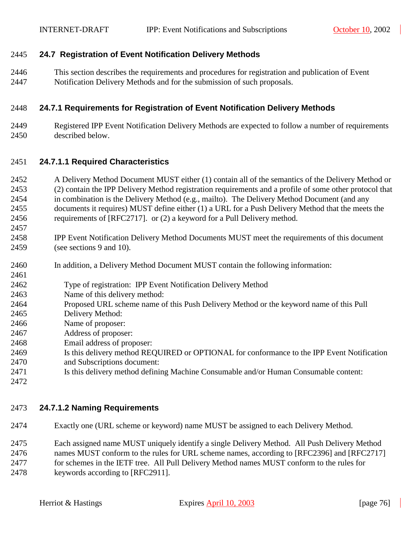#### 2445 **24.7 Registration of Event Notification Delivery Methods**

2446 This section describes the requirements and procedures for registration and publication of Event 2447 Notification Delivery Methods and for the submission of such proposals.

#### 2448 **24.7.1 Requirements for Registration of Event Notification Delivery Methods**

2449 Registered IPP Event Notification Delivery Methods are expected to follow a number of requirements 2450 described below.

#### 2451 **24.7.1.1 Required Characteristics**

- 2452 A Delivery Method Document MUST either (1) contain all of the semantics of the Delivery Method or 2453 (2) contain the IPP Delivery Method registration requirements and a profile of some other protocol that 2454 in combination is the Delivery Method (e.g., mailto). The Delivery Method Document (and any 2455 documents it requires) MUST define either (1) a URL for a Push Delivery Method that the meets the 2456 requirements of [RFC2717]. or (2) a keyword for a Pull Delivery method.
- 2458 IPP Event Notification Delivery Method Documents MUST meet the requirements of this document 2459 (see sections [9](#page-36-0) and [10\)](#page-44-0).
- 2460 In addition, a Delivery Method Document MUST contain the following information:
- 2462 Type of registration: IPP Event Notification Delivery Method
- 2463 Name of this delivery method:
- 2464 Proposed URL scheme name of this Push Delivery Method or the keyword name of this Pull
- 2465 Delivery Method:
- 2466 Name of proposer:
- 2467 Address of proposer:
- 2468 Email address of proposer:
- 2469 Is this delivery method REQUIRED or OPTIONAL for conformance to the IPP Event Notification 2470 and Subscriptions document:
- 2471 Is this delivery method defining Machine Consumable and/or Human Consumable content:
- 2472

2457

2461

## 2473 **24.7.1.2 Naming Requirements**

- 2474 Exactly one (URL scheme or keyword) name MUST be assigned to each Delivery Method.
- 2475 Each assigned name MUST uniquely identify a single Delivery Method. All Push Delivery Method 2476 names MUST conform to the rules for URL scheme names, according to [RFC2396] and [RFC2717] 2477 for schemes in the IETF tree. All Pull Delivery Method names MUST conform to the rules for 2478 keywords according to [RFC2911].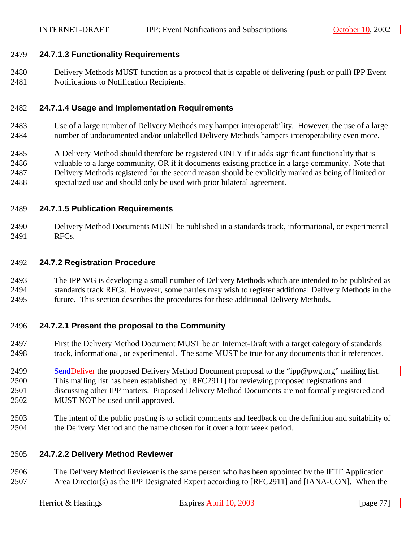#### 2479 **24.7.1.3 Functionality Requirements**

2480 Delivery Methods MUST function as a protocol that is capable of delivering (push or pull) IPP Event 2481 Notifications to Notification Recipients.

#### 2482 **24.7.1.4 Usage and Implementation Requirements**

2483 Use of a large number of Delivery Methods may hamper interoperability. However, the use of a large 2484 number of undocumented and/or unlabelled Delivery Methods hampers interoperability even more.

2485 A Delivery Method should therefore be registered ONLY if it adds significant functionality that is 2486 valuable to a large community, OR if it documents existing practice in a large community. Note that 2487 Delivery Methods registered for the second reason should be explicitly marked as being of limited or 2488 specialized use and should only be used with prior bilateral agreement.

#### 2489 **24.7.1.5 Publication Requirements**

2490 Delivery Method Documents MUST be published in a standards track, informational, or experimental 2491 RFCs.

#### 2492 **24.7.2 Registration Procedure**

2493 The IPP WG is developing a small number of Delivery Methods which are intended to be published as 2494 standards track RFCs. However, some parties may wish to register additional Delivery Methods in the 2495 future. This section describes the procedures for these additional Delivery Methods.

## 2496 **24.7.2.1 Present the proposal to the Community**

- 2497 First the Delivery Method Document MUST be an Internet-Draft with a target category of standards 2498 track, informational, or experimental. The same MUST be true for any documents that it references.
- 2499 SendDeliver the proposed Delivery Method Document proposal to the "ipp@pwg.org" mailing list. 2500 This mailing list has been established by [RFC2911] for reviewing proposed registrations and 2501 discussing other IPP matters. Proposed Delivery Method Documents are not formally registered and 2502 MUST NOT be used until approved.
- 2503 The intent of the public posting is to solicit comments and feedback on the definition and suitability of 2504 the Delivery Method and the name chosen for it over a four week period.

#### 2505 **24.7.2.2 Delivery Method Reviewer**

2506 The Delivery Method Reviewer is the same person who has been appointed by the IETF Application 2507 Area Director(s) as the IPP Designated Expert according to [RFC2911] and [IANA-CON]. When the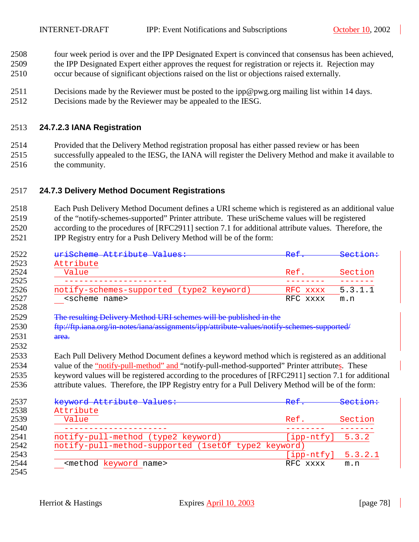- 2508 four week period is over and the IPP Designated Expert is convinced that consensus has been achieved,
- 2509 the IPP Designated Expert either approves the request for registration or rejects it. Rejection may
- 2510 occur because of significant objections raised on the list or objections raised externally.
- 2511 Decisions made by the Reviewer must be posted to the ipp@pwg.org mailing list within 14 days.
- 2512 Decisions made by the Reviewer may be appealed to the IESG.

#### 2513 **24.7.2.3 IANA Registration**

- 2514 Provided that the Delivery Method registration proposal has either passed review or has been
- 2515 successfully appealed to the IESG, the IANA will register the Delivery Method and make it available to 2516 the community.

### 2517 **24.7.3 Delivery Method Document Registrations**

2518 Each Push Delivery Method Document defines a URI scheme which is registered as an additional value 2519 of the "notify-schemes-supported" Printer attribute. These uriScheme values will be registered 2520 according to the procedures of [RFC2911] section 7.1 for additional attribute values. Therefore, the 2521 IPP Registry entry for a Push Delivery Method will be of the form:

| 2522 | uriScheme Attribute Values:                                                                           | <del>Ref</del>      | Caation            |
|------|-------------------------------------------------------------------------------------------------------|---------------------|--------------------|
| 2523 | Attribute                                                                                             |                     |                    |
| 2524 | Value                                                                                                 | Ref.                | Section            |
| 2525 |                                                                                                       |                     |                    |
| 2526 | notify-schemes-supported (type2 keyword)                                                              | RFC.<br><b>XXXX</b> | 5.3.1.1            |
| 2527 | <scheme name=""></scheme>                                                                             | RFC xxxx            | m.n                |
| 2528 |                                                                                                       |                     |                    |
| 2529 | The resulting Delivery Method URI schemes will be published in the                                    |                     |                    |
| 2530 | ftp://ftp.iana.org/in-notes/iana/assignments/ipp/attribute-values/notify-schemes-supported/           |                     |                    |
| 2531 | area.                                                                                                 |                     |                    |
| 2532 |                                                                                                       |                     |                    |
| 2533 | Each Pull Delivery Method Document defines a keyword method which is registered as an additional      |                     |                    |
| 2534 | value of the "notify-pull-method" and "notify-pull-method-supported" Printer attributes. These        |                     |                    |
| 2535 | keyword values will be registered according to the procedures of [RFC2911] section 7.1 for additional |                     |                    |
| 2536 | attribute values. Therefore, the IPP Registry entry for a Pull Delivery Method will be of the form:   |                     |                    |
|      |                                                                                                       |                     |                    |
| 2537 | keyword Attribute Values:                                                                             | <del>Ref</del>      | <del>Section</del> |
| 2538 | Attribute                                                                                             |                     |                    |
| 2539 | Value                                                                                                 | Ref.                | Section            |
| 2540 |                                                                                                       |                     |                    |
| 2541 | notify-pull-method (type2 keyword)                                                                    | ipp-ntfy]           | 5.3.2              |

notify-pull-method-supported (1setOf type2 keyword) [ipp-ntfy] 5.3.2.1 <method keyword name> RFC xxxx m.n 2545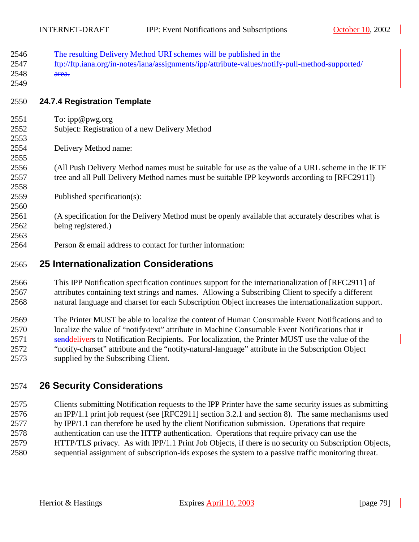| 2546<br>2547<br>2548<br>2549 | The resulting Delivery Method URI schemes will be published in the<br>ftp://ftp.iana.org/in-notes/iana/assignments/ipp/attribute-values/notify-pull-method-supported/<br>area. |
|------------------------------|--------------------------------------------------------------------------------------------------------------------------------------------------------------------------------|
| 2550                         | <b>24.7.4 Registration Template</b>                                                                                                                                            |
| 2551                         | To: ipp@pwg.org                                                                                                                                                                |
| 2552<br>2553                 | Subject: Registration of a new Delivery Method                                                                                                                                 |
| 2554                         | Delivery Method name:                                                                                                                                                          |
| 2555                         |                                                                                                                                                                                |
| 2556                         | (All Push Delivery Method names must be suitable for use as the value of a URL scheme in the IETF                                                                              |
| 2557                         | tree and all Pull Delivery Method names must be suitable IPP keywords according to [RFC2911])                                                                                  |
| 2558<br>2559                 | Published specification(s):                                                                                                                                                    |
| 2560                         |                                                                                                                                                                                |
| 2561                         | (A specification for the Delivery Method must be openly available that accurately describes what is                                                                            |
| 2562                         | being registered.)                                                                                                                                                             |
| 2563                         |                                                                                                                                                                                |
| 2564                         | Person & email address to contact for further information:                                                                                                                     |
| 2565                         | <b>25 Internationalization Considerations</b>                                                                                                                                  |
| 2566                         | This IPP Notification specification continues support for the internationalization of [RFC2911] of                                                                             |
| 2567                         | attributes containing text strings and names. Allowing a Subscribing Client to specify a different                                                                             |

2567 attributes containing text strings and names. Allowing a Subscribing Client to specify a different 2568 natural language and charset for each Subscription Object increases the internationalization support.

2569 The Printer MUST be able to localize the content of Human Consumable Event Notifications and to 2570 localize the value of "notify-text" attribute in Machine Consumable Event Notifications that it 2571 senddelivers to Notification Recipients. For localization, the Printer MUST use the value of the 2572 "notify-charset" attribute and the "notify-natural-language" attribute in the Subscription Object 2573 supplied by the Subscribing Client.

# 2574 **26 Security Considerations**

2575 Clients submitting Notification requests to the IPP Printer have the same security issues as submitting 2576 an IPP/1.1 print job request (see [RFC2911] section 3.2.1 and section 8). The same mechanisms used 2577 by IPP/1.1 can therefore be used by the client Notification submission. Operations that require 2578 authentication can use the HTTP authentication. Operations that require privacy can use the 2579 HTTP/TLS privacy. As with IPP/1.1 Print Job Objects, if there is no security on Subscription Objects, 2580 sequential assignment of subscription-ids exposes the system to a passive traffic monitoring threat.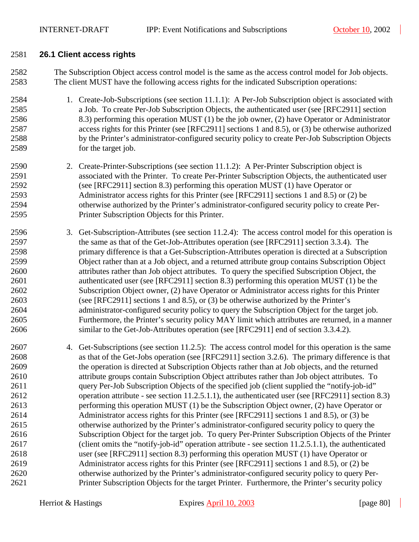#### 2581 **26.1 Client access rights**

2582 The Subscription Object access control model is the same as the access control model for Job objects. 2583 The client MUST have the following access rights for the indicated Subscription operations:

- 2584 1. Create-Job-Subscriptions (see section [11.1.1\)](#page-46-0): A Per-Job Subscription object is associated with 2585 a Job. To create Per-Job Subscription Objects, the authenticated user (see [RFC2911] section 2586 8.3) performing this operation MUST (1) be the job owner, (2) have Operator or Administrator 2587 access rights for this Printer (see [RFC2911] sections 1 and 8.5), or (3) be otherwise authorized 2588 by the Printer's administrator-configured security policy to create Per-Job Subscription Objects 2589 for the target job.
- 2590 2. Create-Printer-Subscriptions (see section [11.1.2\)](#page-48-0): A Per-Printer Subscription object is 2591 associated with the Printer. To create Per-Printer Subscription Objects, the authenticated user 2592 (see [RFC2911] section 8.3) performing this operation MUST (1) have Operator or 2593 Administrator access rights for this Printer (see [RFC2911] sections 1 and 8.5) or (2) be 2594 otherwise authorized by the Printer's administrator-configured security policy to create Per-2595 Printer Subscription Objects for this Printer.
- 2596 3. Get-Subscription-Attributes (see section [11.2.4\)](#page-52-0): The access control model for this operation is 2597 the same as that of the Get-Job-Attributes operation (see [RFC2911] section 3.3.4). The 2598 primary difference is that a Get-Subscription-Attributes operation is directed at a Subscription 2599 Object rather than at a Job object, and a returned attribute group contains Subscription Object 2600 attributes rather than Job object attributes. To query the specified Subscription Object, the 2601 authenticated user (see [RFC2911] section 8.3) performing this operation MUST (1) be the 2602 Subscription Object owner, (2) have Operator or Administrator access rights for this Printer 2603 (see [RFC2911] sections 1 and 8.5), or (3) be otherwise authorized by the Printer's 2604 administrator-configured security policy to query the Subscription Object for the target job. 2605 Furthermore, the Printer's security policy MAY limit which attributes are returned, in a manner 2606 similar to the Get-Job-Attributes operation (see [RFC2911] end of section 3.3.4.2).
- 2607 4. Get-Subscriptions (see section [11.2.5\)](#page-55-0): The access control model for this operation is the same 2608 as that of the Get-Jobs operation (see [RFC2911] section 3.2.6). The primary difference is that 2609 the operation is directed at Subscription Objects rather than at Job objects, and the returned 2610 attribute groups contain Subscription Object attributes rather than Job object attributes. To 2611 query Per-Job Subscription Objects of the specified job (client supplied the "notify-job-id" 2612 operation attribute - see section [11.2.5.1.1\)](#page-56-0), the authenticated user (see [RFC2911] section 8.3) 2613 performing this operation MUST (1) be the Subscription Object owner, (2) have Operator or 2614 Administrator access rights for this Printer (see [RFC2911] sections 1 and 8.5), or (3) be 2615 otherwise authorized by the Printer's administrator-configured security policy to query the 2616 Subscription Object for the target job. To query Per-Printer Subscription Objects of the Printer 2617 (client omits the "notify-job-id" operation attribute - see section [11.2.5.1.1\)](#page-56-0), the authenticated 2618 user (see [RFC2911] section 8.3) performing this operation MUST (1) have Operator or 2619 Administrator access rights for this Printer (see [RFC2911] sections 1 and 8.5), or (2) be 2620 otherwise authorized by the Printer's administrator-configured security policy to query Per-2621 Printer Subscription Objects for the target Printer. Furthermore, the Printer's security policy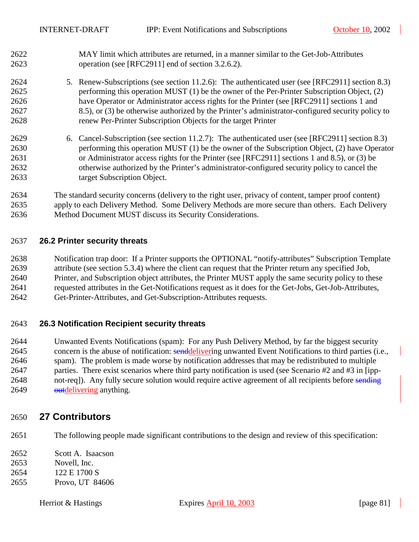- 2622 MAY limit which attributes are returned, in a manner similar to the Get-Job-Attributes 2623 operation (see [RFC2911] end of section 3.2.6.2).
- 2624 5. Renew-Subscriptions (see section [11.2.6\)](#page-57-0): The authenticated user (see [RFC2911] section 8.3) 2625 performing this operation MUST (1) be the owner of the Per-Printer Subscription Object, (2) 2626 have Operator or Administrator access rights for the Printer (see [RFC2911] sections 1 and 2627 8.5), or (3) be otherwise authorized by the Printer's administrator-configured security policy to 2628 renew Per-Printer Subscription Objects for the target Printer
- 2629 6. Cancel-Subscription (see section [11.2.7\)](#page-59-0): The authenticated user (see [RFC2911] section 8.3) 2630 performing this operation MUST (1) be the owner of the Subscription Object, (2) have Operator 2631 or Administrator access rights for the Printer (see [RFC2911] sections 1 and 8.5), or (3) be 2632 otherwise authorized by the Printer's administrator-configured security policy to cancel the 2633 target Subscription Object.

2634 The standard security concerns (delivery to the right user, privacy of content, tamper proof content) 2635 apply to each Delivery Method. Some Delivery Methods are more secure than others. Each Delivery 2636 Method Document MUST discuss its Security Considerations.

#### 2637 **26.2 Printer security threats**

2638 Notification trap door: If a Printer supports the OPTIONAL "notify-attributes" Subscription Template 2639 attribute (see section [5.3.4\)](#page-25-0) where the client can request that the Printer return any specified Job, 2640 Printer, and Subscription object attributes, the Printer MUST apply the same security policy to these 2641 requested attributes in the Get-Notifications request as it does for the Get-Jobs, Get-Job-Attributes, 2642 Get-Printer-Attributes, and Get-Subscription-Attributes requests.

#### 2643 **26.3 Notification Recipient security threats**

2644 Unwanted Events Notifications (spam): For any Push Delivery Method, by far the biggest security 2645 concern is the abuse of notification: senddelivering unwanted Event Notifications to third parties (i.e., 2646 spam). The problem is made worse by notification addresses that may be redistributed to multiple 2647 parties. There exist scenarios where third party notification is used (see Scenario #2 and #3 in [ipp-2648 not-req]). Any fully secure solution would require active agreement of all recipients before sending 2649 **outdelivering anything.** 

## 2650 **27 Contributors**

- 2651 The following people made significant contributions to the design and review of this specification:
- 2652 Scott A. Isaacson
- 2653 Novell, Inc.
- 2654 122 E 1700 S
- 2655 Provo, UT 84606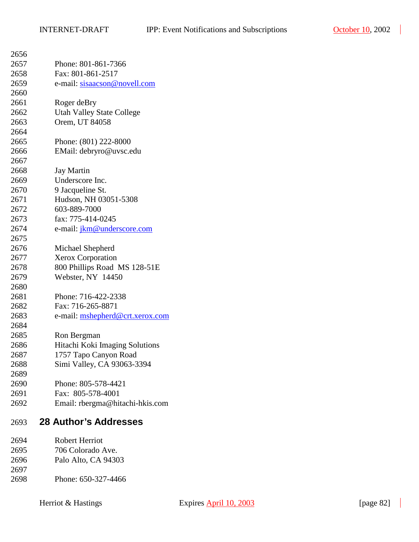| 2656 |                                   |
|------|-----------------------------------|
| 2657 | Phone: 801-861-7366               |
| 2658 | Fax: 801-861-2517                 |
| 2659 | e-mail: sisaacson@novell.com      |
| 2660 |                                   |
| 2661 | Roger deBry                       |
| 2662 | <b>Utah Valley State College</b>  |
| 2663 | Orem, UT 84058                    |
| 2664 |                                   |
| 2665 | Phone: (801) 222-8000             |
| 2666 | EMail: debryro@uvsc.edu           |
| 2667 |                                   |
| 2668 | <b>Jay Martin</b>                 |
| 2669 | Underscore Inc.                   |
| 2670 | 9 Jacqueline St.                  |
| 2671 | Hudson, NH 03051-5308             |
| 2672 | 603-889-7000                      |
| 2673 | fax: 775-414-0245                 |
| 2674 | e-mail: <i>jkm@underscore.com</i> |
| 2675 |                                   |
| 2676 | Michael Shepherd                  |
| 2677 | <b>Xerox Corporation</b>          |
| 2678 | 800 Phillips Road MS 128-51E      |
| 2679 | Webster, NY 14450                 |
| 2680 |                                   |
| 2681 | Phone: 716-422-2338               |
| 2682 | Fax: 716-265-8871                 |
| 2683 | e-mail: mshepherd@crt.xerox.com   |
| 2684 |                                   |
| 2685 | Ron Bergman                       |
| 2686 | Hitachi Koki Imaging Solutions    |
| 2687 | 1757 Tapo Canyon Road             |
| 2688 | Simi Valley, CA 93063-3394        |
| 2689 |                                   |
| 2690 | Phone: 805-578-4421               |
| 2691 | Fax: 805-578-4001                 |
| 2692 | Email: rbergma@hitachi-hkis.com   |
| 2693 | <b>28 Author's Addresses</b>      |
| 2694 | <b>Robert Herriot</b>             |
| 2695 | 706 Colorado Ave.                 |
| 2696 | Palo Alto, CA 94303               |
| 2697 |                                   |

2698 Phone: 650-327-4466

 $\overline{\phantom{a}}$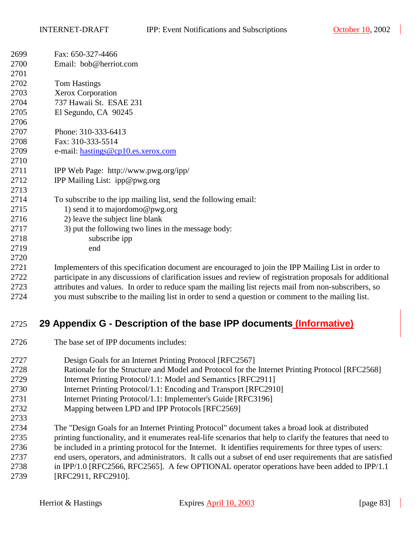| 2699 | Fax: 650-327-4466                                                                                          |
|------|------------------------------------------------------------------------------------------------------------|
| 2700 | Email: bob@herriot.com                                                                                     |
| 2701 |                                                                                                            |
| 2702 | <b>Tom Hastings</b>                                                                                        |
| 2703 | Xerox Corporation                                                                                          |
| 2704 | 737 Hawaii St. ESAE 231                                                                                    |
| 2705 | El Segundo, CA 90245                                                                                       |
| 2706 |                                                                                                            |
| 2707 | Phone: 310-333-6413                                                                                        |
| 2708 | Fax: 310-333-5514                                                                                          |
| 2709 | e-mail: hastings@cp10.es.xerox.com                                                                         |
| 2710 |                                                                                                            |
| 2711 | IPP Web Page: http://www.pwg.org/ipp/                                                                      |
| 2712 | IPP Mailing List: ipp@pwg.org                                                                              |
| 2713 |                                                                                                            |
| 2714 | To subscribe to the ipp mailing list, send the following email:                                            |
| 2715 | 1) send it to majordomo@pwg.org                                                                            |
| 2716 | 2) leave the subject line blank                                                                            |
| 2717 | 3) put the following two lines in the message body:                                                        |
| 2718 | subscribe ipp                                                                                              |
| 2719 | end                                                                                                        |
| 2720 |                                                                                                            |
| 2721 | Implementers of this specification document are encouraged to join the IPP Mailing List in order to        |
| 2722 | participate in any discussions of clarification issues and review of registration proposals for additional |
| 2723 | attributes and values. In order to reduce spam the mailing list rejects mail from non-subscribers, so      |

2724 you must subscribe to the mailing list in order to send a question or comment to the mailing list.

# 2725 **29 Appendix G - Description of the base IPP documents (Informative)**

- 2726 The base set of IPP documents includes:
- 2727 Design Goals for an Internet Printing Protocol [RFC2567]
- 2728 Rationale for the Structure and Model and Protocol for the Internet Printing Protocol [RFC2568]
- 2729 Internet Printing Protocol/1.1: Model and Semantics [RFC2911]
- 2730 Internet Printing Protocol/1.1: Encoding and Transport [RFC2910]
- 2731 Internet Printing Protocol/1.1: Implementer's Guide [RFC3196]
- 2732 Mapping between LPD and IPP Protocols [RFC2569]
- 2733
- 2734 The "Design Goals for an Internet Printing Protocol" document takes a broad look at distributed 2735 printing functionality, and it enumerates real-life scenarios that help to clarify the features that need to 2736 be included in a printing protocol for the Internet. It identifies requirements for three types of users: 2737 end users, operators, and administrators. It calls out a subset of end user requirements that are satisfied 2738 in IPP/1.0 [RFC2566, RFC2565]. A few OPTIONAL operator operations have been added to IPP/1.1 2739 [RFC2911, RFC2910].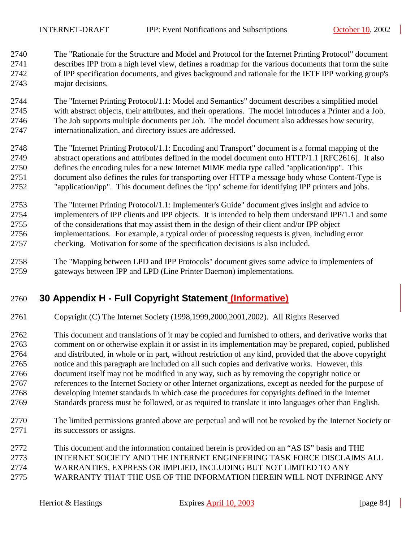2740 The "Rationale for the Structure and Model and Protocol for the Internet Printing Protocol" document 2741 describes IPP from a high level view, defines a roadmap for the various documents that form the suite 2742 of IPP specification documents, and gives background and rationale for the IETF IPP working group's 2743 major decisions.

2744 The "Internet Printing Protocol/1.1: Model and Semantics" document describes a simplified model 2745 with abstract objects, their attributes, and their operations. The model introduces a Printer and a Job. 2746 The Job supports multiple documents per Job. The model document also addresses how security, 2747 internationalization, and directory issues are addressed.

2748 The "Internet Printing Protocol/1.1: Encoding and Transport" document is a formal mapping of the 2749 abstract operations and attributes defined in the model document onto HTTP/1.1 [RFC2616]. It also 2750 defines the encoding rules for a new Internet MIME media type called "application/ipp". This 2751 document also defines the rules for transporting over HTTP a message body whose Content-Type is 2752 "application/ipp". This document defines the 'ipp' scheme for identifying IPP printers and jobs.

2753 The "Internet Printing Protocol/1.1: Implementer's Guide" document gives insight and advice to 2754 implementers of IPP clients and IPP objects. It is intended to help them understand IPP/1.1 and some 2755 of the considerations that may assist them in the design of their client and/or IPP object 2756 implementations. For example, a typical order of processing requests is given, including error 2757 checking. Motivation for some of the specification decisions is also included.

2758 The "Mapping between LPD and IPP Protocols" document gives some advice to implementers of 2759 gateways between IPP and LPD (Line Printer Daemon) implementations.

## 2760 **30 Appendix H - Full Copyright Statement (Informative)**

2761 Copyright (C) The Internet Society (1998,1999,2000,2001,2002). All Rights Reserved

2762 This document and translations of it may be copied and furnished to others, and derivative works that 2763 comment on or otherwise explain it or assist in its implementation may be prepared, copied, published 2764 and distributed, in whole or in part, without restriction of any kind, provided that the above copyright 2765 notice and this paragraph are included on all such copies and derivative works. However, this 2766 document itself may not be modified in any way, such as by removing the copyright notice or 2767 references to the Internet Society or other Internet organizations, except as needed for the purpose of 2768 developing Internet standards in which case the procedures for copyrights defined in the Internet 2769 Standards process must be followed, or as required to translate it into languages other than English.

- 2770 The limited permissions granted above are perpetual and will not be revoked by the Internet Society or 2771 its successors or assigns.
- 2772 This document and the information contained herein is provided on an "AS IS" basis and THE 2773 INTERNET SOCIETY AND THE INTERNET ENGINEERING TASK FORCE DISCLAIMS ALL 2774 WARRANTIES, EXPRESS OR IMPLIED, INCLUDING BUT NOT LIMITED TO ANY 2775 WARRANTY THAT THE USE OF THE INFORMATION HEREIN WILL NOT INFRINGE ANY